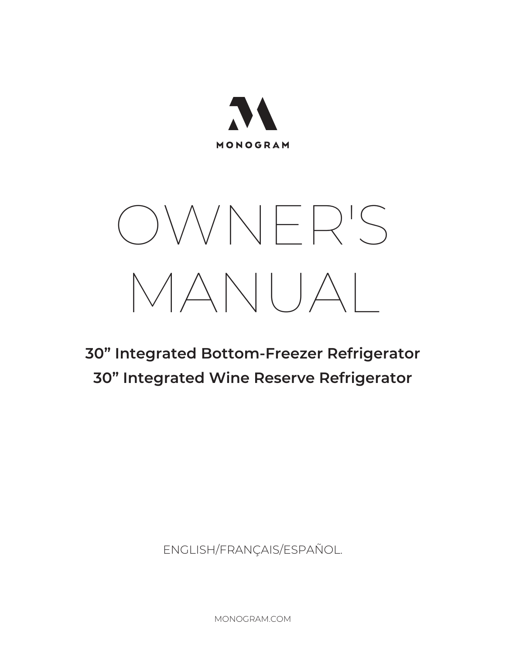

# OWNER'S MANUAL

# **30" Integrated Bottom-Freezer Refrigerator 30" Integrated Wine Reserve Refrigerator**

ENGLISH/FRANÇAIS/ESPAÑOL.

MONOGRAM.COM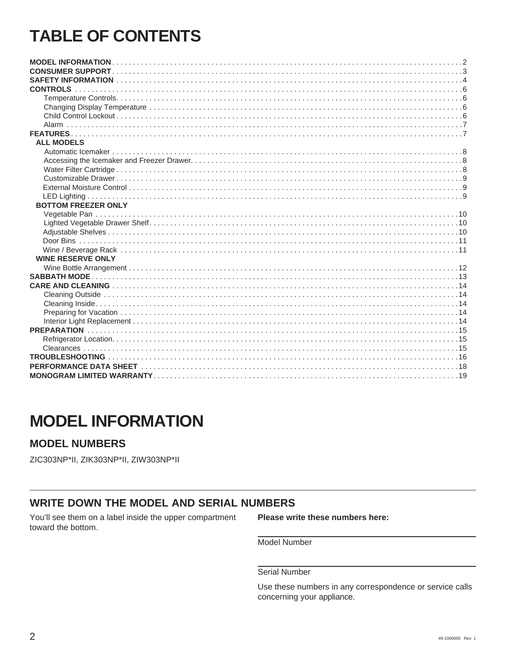# **TABLE OF CONTENTS**

| <b>ALL MODELS</b>          |  |
|----------------------------|--|
|                            |  |
|                            |  |
|                            |  |
|                            |  |
|                            |  |
|                            |  |
| <b>BOTTOM FREEZER ONLY</b> |  |
|                            |  |
|                            |  |
|                            |  |
|                            |  |
|                            |  |
| <b>WINE RESERVE ONLY</b>   |  |
|                            |  |
|                            |  |
|                            |  |
|                            |  |
|                            |  |
|                            |  |
|                            |  |
|                            |  |
|                            |  |
|                            |  |
|                            |  |
|                            |  |
|                            |  |

# **MODEL INFORMATION**

### **MODEL NUMBERS**

ZIC303NP\*II, ZIK303NP\*II, ZIW303NP\*II

### **WRITE DOWN THE MODEL AND SERIAL NUMBERS**

You'll see them on a label inside the upper compartment toward the bottom.

Please write these numbers here:

Model Number

Serial Number

Use these numbers in any correspondence or service calls concerning your appliance.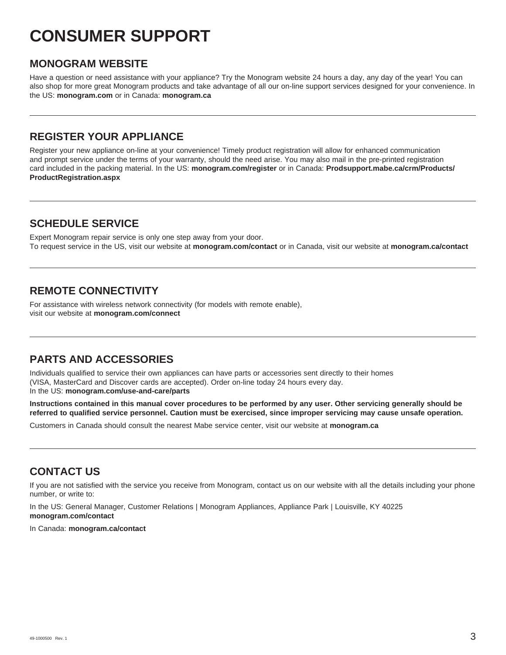# **CONSUMER SUPPORT**

### **MONOGRAM WEBSITE**

Have a question or need assistance with your appliance? Try the Monogram website 24 hours a day, any day of the year! You can also shop for more great Monogram products and take advantage of all our on-line support services designed for your convenience. In the US: **monogram.com** or in Canada: **monogram.ca**

# **REGISTER YOUR APPLIANCE**

Register your new appliance on-line at your convenience! Timely product registration will allow for enhanced communication and prompt service under the terms of your warranty, should the need arise. You may also mail in the pre-printed registration card included in the packing material. In the US: **monogram.com/register** or in Canada: **Prodsupport.mabe.ca/crm/Products/ ProductRegistration.aspx**

# **SCHEDULE SERVICE**

Expert Monogram repair service is only one step away from your door. To request service in the US, visit our website at **monogram.com/contact** or in Canada, visit our website at **monogram.ca/contact**

# **REMOTE CONNECTIVITY**

For assistance with wireless network connectivity (for models with remote enable), visit our website at **monogram.com/connect**

# **PARTS AND ACCESSORIES**

Individuals qualified to service their own appliances can have parts or accessories sent directly to their homes (VISA, MasterCard and Discover cards are accepted). Order on-line today 24 hours every day.

In the US: **monogram.com/use-and-care/parts**

**Instructions contained in this manual cover procedures to be performed by any user. Other servicing generally should be referred to qualified service personnel. Caution must be exercised, since improper servicing may cause unsafe operation.**

Customers in Canada should consult the nearest Mabe service center, visit our website at **monogram.ca**

# **CONTACT US**

If you are not satisfied with the service you receive from Monogram, contact us on our website with all the details including your phone number, or write to:

In the US: General Manager, Customer Relations | Monogram Appliances, Appliance Park | Louisville, KY 40225 **monogram.com/contact**

In Canada: **monogram.ca/contact**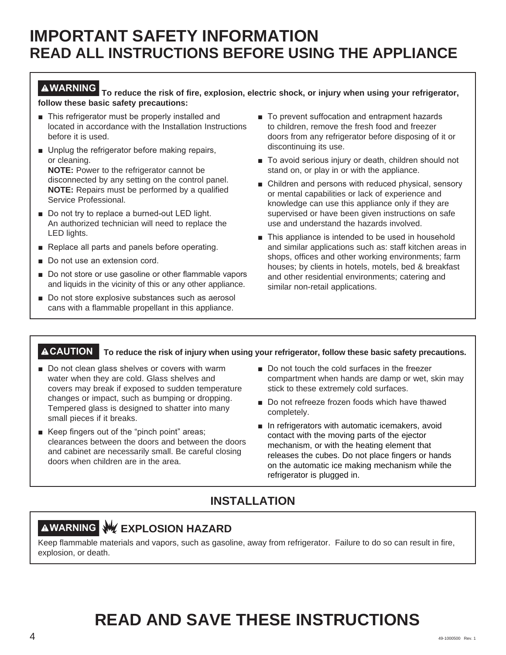# **IMPORTANT SAFETY INFORMATION READ ALL INSTRUCTIONS BEFORE USING THE APPLIANCE**

**WARNING To reduce the risk of fire, explosion, electric shock, or injury when using your refrigerator, follow these basic safety precautions:**

- $\blacksquare$  This refrigerator must be properly installed and located in accordance with the Installation Instructions before it is used.
- **Unplug the refrigerator before making repairs,** or cleaning. **NOTE:** Power to the refrigerator cannot be disconnected by any setting on the control panel.

**NOTE:** Repairs must be performed by a qualified Service Professional.

- Do not try to replace a burned-out LED light. An authorized technician will need to replace the LED lights.
- Replace all parts and panels before operating.
- Do not use an extension cord.
- Do not store or use gasoline or other flammable vapors and liquids in the vicinity of this or any other appliance.
- $\blacksquare$  Do not store explosive substances such as aerosol cans with a flammable propellant in this appliance.
- To prevent suffocation and entrapment hazards to children, remove the fresh food and freezer doors from any refrigerator before disposing of it or discontinuing its use.
- To avoid serious injury or death, children should not stand on, or play in or with the appliance.
- $\blacksquare$  Children and persons with reduced physical, sensory or mental capabilities or lack of experience and knowledge can use this appliance only if they are supervised or have been given instructions on safe use and understand the hazards involved.
- $\blacksquare$  This appliance is intended to be used in household and similar applications such as: staff kitchen areas in shops, offices and other working environments; farm houses; by clients in hotels, motels, bed & breakfast and other residential environments; catering and similar non-retail applications.

### **CAUTION To reduce the risk of injury when using your refrigerator, follow these basic safety precautions.**

- Do not clean glass shelves or covers with warm water when they are cold. Glass shelves and covers may break if exposed to sudden temperature changes or impact, such as bumping or dropping. Tempered glass is designed to shatter into many small pieces if it breaks.
- Keep fingers out of the "pinch point" areas; clearances between the doors and between the doors and cabinet are necessarily small. Be careful closing doors when children are in the area.
- Do not touch the cold surfaces in the freezer compartment when hands are damp or wet, skin may stick to these extremely cold surfaces.
- Do not refreeze frozen foods which have thawed completely.
- $\blacksquare$  In refrigerators with automatic icemakers, avoid contact with the moving parts of the ejector mechanism, or with the heating element that releases the cubes. Do not place fingers or hands on the automatic ice making mechanism while the refrigerator is plugged in.

# **INSTALLATION**

# **AWARNING WEXPLOSION HAZARD**

Keep flammable materials and vapors, such as gasoline, away from refrigerator. Failure to do so can result in fire, explosion, or death.

# **READ AND SAVE THESE INSTRUCTIONS**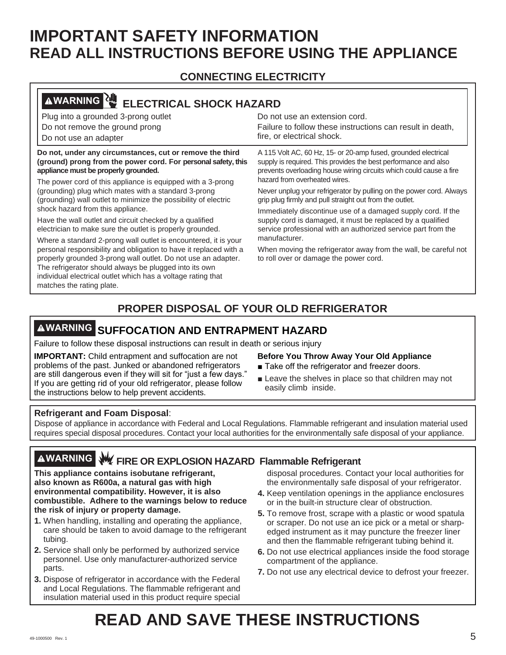# **IMPORTANT SAFETY INFORMATION READ ALL INSTRUCTIONS BEFORE USING THE APPLIANCE**

# **CONNECTING ELECTRICITY**

| <b>AWARNING</b><br><b>ELECTRICAL SHOCK HAZARD</b>                                                                                                                 |                                                                                                                                                                                                          |
|-------------------------------------------------------------------------------------------------------------------------------------------------------------------|----------------------------------------------------------------------------------------------------------------------------------------------------------------------------------------------------------|
| Plug into a grounded 3-prong outlet                                                                                                                               | Do not use an extension cord.                                                                                                                                                                            |
| Do not remove the ground prong                                                                                                                                    | Failure to follow these instructions can result in death,                                                                                                                                                |
| Do not use an adapter                                                                                                                                             | fire, or electrical shock.                                                                                                                                                                               |
| Do not, under any circumstances, cut or remove the third<br>(ground) prong from the power cord. For personal safety, this<br>appliance must be properly grounded. | A 115 Volt AC, 60 Hz, 15- or 20-amp fused, grounded electrical<br>supply is required. This provides the best performance and also<br>prevents overloading house wiring circuits which could cause a fire |
| The power cord of this appliance is equipped with a 3-prong                                                                                                       | hazard from overheated wires.                                                                                                                                                                            |
| (grounding) plug which mates with a standard 3-prong<br>(grounding) wall outlet to minimize the possibility of electric                                           | Never unplug your refrigerator by pulling on the power cord. Always<br>grip plug firmly and pull straight out from the outlet.                                                                           |
| shock hazard from this appliance.                                                                                                                                 | Immediately discontinue use of a damaged supply cord. If the                                                                                                                                             |
| Have the wall outlet and circuit checked by a qualified<br>electrician to make sure the outlet is properly grounded.                                              | supply cord is damaged, it must be replaced by a qualified<br>service professional with an authorized service part from the                                                                              |
| Where a standard 2-prong wall outlet is encountered, it is your                                                                                                   | manufacturer.                                                                                                                                                                                            |
| personal responsibility and obligation to have it replaced with a                                                                                                 | When moving the refrigerator away from the wall, be careful not                                                                                                                                          |
| properly grounded 3-prong wall outlet. Do not use an adapter.                                                                                                     | to roll over or damage the power cord.                                                                                                                                                                   |
| The refrigerator should always be plugged into its own<br>individual electrical outlet which has a voltage rating that                                            |                                                                                                                                                                                                          |
| matches the rating plate.                                                                                                                                         |                                                                                                                                                                                                          |

# **PROPER DISPOSAL OF YOUR OLD REFRIGERATOR**

# **WARNING SUFFOCATION AND ENTRAPMENT HAZARD**

Failure to follow these disposal instructions can result in death or serious injury

**IMPORTANT:** Child entrapment and suffocation are not problems of the past. Junked or abandoned refrigerators are still dangerous even if they will sit for "just a few days." If you are getting rid of your old refrigerator, please follow the instructions below to help prevent accidents.

### **Before You Throw Away Your Old Appliance**

- Take off the refrigerator and freezer doors.
- $\blacksquare$  Leave the shelves in place so that children may not easily climb inside.

### **Refrigerant and Foam Disposal**:

Dispose of appliance in accordance with Federal and Local Regulations. Flammable refrigerant and insulation material used requires special disposal procedures. Contact your local authorities for the environmentally safe disposal of your appliance.

# **WARNING FIRE OR EXPLOSION HAZARD Flammable Refrigerant**

**This appliance contains isobutane refrigerant, also known as R600a, a natural gas with high environmental compatibility. However, it is also combustible. Adhere to the warnings below to reduce the risk of injury or property damage.**

- **1.** When handling, installing and operating the appliance, care should be taken to avoid damage to the refrigerant tubing.
- **2.** Service shall only be performed by authorized service personnel. Use only manufacturer-authorized service parts.
- **3.** Dispose of refrigerator in accordance with the Federal and Local Regulations. The flammable refrigerant and insulation material used in this product require special

disposal procedures. Contact your local authorities for the environmentally safe disposal of your refrigerator.

- **4.** Keep ventilation openings in the appliance enclosures or in the built-in structure clear of obstruction.
- **5.** To remove frost, scrape with a plastic or wood spatula or scraper. Do not use an ice pick or a metal or sharpedged instrument as it may puncture the freezer liner and then the flammable refrigerant tubing behind it.
- **6.** Do not use electrical appliances inside the food storage compartment of the appliance.
- **7.** Do not use any electrical device to defrost your freezer.

# **READ AND SAVE THESE INSTRUCTIONS**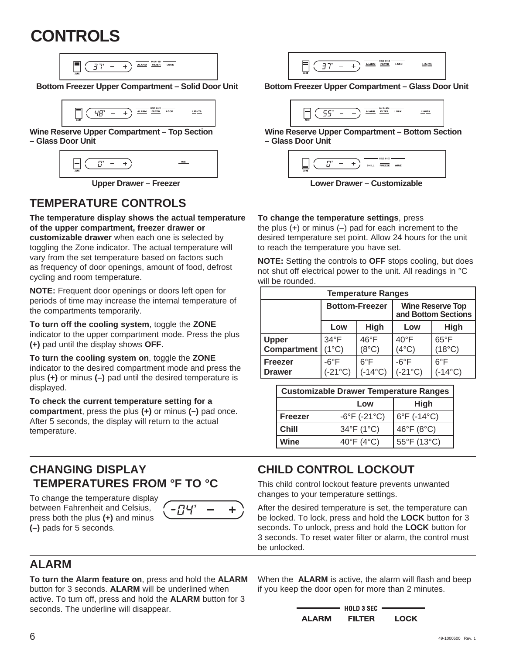# **CONTROLS**

 $\leftarrow$   $\leftarrow$   $\frac{\text{ALARM}}{\text{ALIER}}$   $\frac{\text{HUTER}}{\text{ILTER}}$  LOCK  $37^\circ$  -

 $- +$   $\overline{) \frac{\text{ALARM}}{\text{HUTER}}}$  LOCK  $L$ GHTS  $4B^r$ 

**Wine Reserve Upper Compartment – Top Section – Glass Door Unit**

| ↜<br>ZONE |
|-----------|
|-----------|

# **TEMPERATURE CONTROLS**

**The temperature display shows the actual temperature of the upper compartment, freezer drawer or customizable drawer** when each one is selected by toggling the Zone indicator. The actual temperature will vary from the set temperature based on factors such

as frequency of door openings, amount of food, defrost cycling and room temperature.

**NOTE:** Frequent door openings or doors left open for periods of time may increase the internal temperature of the compartments temporarily.

**To turn off the cooling system**, toggle the **ZONE** indicator to the upper compartment mode. Press the plus **(+)** pad until the display shows **OFF**.

**To turn the cooling system on**, toggle the **ZONE** indicator to the desired compartment mode and press the plus **(+)** or minus **(–)** pad until the desired temperature is displayed.

**To check the current temperature setting for a compartment**, press the plus **(+)** or minus **(–)** pad once. After 5 seconds, the display will return to the actual temperature.

# **CHANGING DISPLAY TEMPERATURES FROM °F TO °C**

To change the temperature display between Fahrenheit and Celsius, press both the plus **(+)** and minus **(–)** pads for 5 seconds.





**Bottom Freezer Upper Compartment – Solid Door Unit Bottom Freezer Upper Compartment – Glass Door Unit**

$$
\boxed{\frac{1}{\sqrt{25}}\sqrt{\frac{55}{25}}-1} \quad \frac{1}{\sqrt{25}} \quad \frac{1}{\sqrt{25}} \quad \frac{1}{\sqrt{25}} \quad \frac{1}{\sqrt{25}} \quad \frac{1}{\sqrt{25}} \quad \frac{1}{\sqrt{25}} \quad \frac{1}{\sqrt{25}} \quad \frac{1}{\sqrt{25}} \quad \frac{1}{\sqrt{25}} \quad \frac{1}{\sqrt{25}} \quad \frac{1}{\sqrt{25}} \quad \frac{1}{\sqrt{25}} \quad \frac{1}{\sqrt{25}} \quad \frac{1}{\sqrt{25}} \quad \frac{1}{\sqrt{25}} \quad \frac{1}{\sqrt{25}} \quad \frac{1}{\sqrt{25}} \quad \frac{1}{\sqrt{25}} \quad \frac{1}{\sqrt{25}} \quad \frac{1}{\sqrt{25}} \quad \frac{1}{\sqrt{25}} \quad \frac{1}{\sqrt{25}} \quad \frac{1}{\sqrt{25}} \quad \frac{1}{\sqrt{25}} \quad \frac{1}{\sqrt{25}} \quad \frac{1}{\sqrt{25}} \quad \frac{1}{\sqrt{25}} \quad \frac{1}{\sqrt{25}} \quad \frac{1}{\sqrt{25}} \quad \frac{1}{\sqrt{25}} \quad \frac{1}{\sqrt{25}} \quad \frac{1}{\sqrt{25}} \quad \frac{1}{\sqrt{25}} \quad \frac{1}{\sqrt{25}} \quad \frac{1}{\sqrt{25}} \quad \frac{1}{\sqrt{25}} \quad \frac{1}{\sqrt{25}} \quad \frac{1}{\sqrt{25}} \quad \frac{1}{\sqrt{25}} \quad \frac{1}{\sqrt{25}} \quad \frac{1}{\sqrt{25}} \quad \frac{1}{\sqrt{25}} \quad \frac{1}{\sqrt{25}} \quad \frac{1}{\sqrt{25}} \quad \frac{1}{\sqrt{25}} \quad \frac{1}{\sqrt{25}} \quad \frac{1}{\sqrt{25}} \quad \frac{1}{\sqrt{25}} \quad \frac{1}{\sqrt{25}} \quad \frac{1}{\sqrt{25}} \quad \frac{1}{\sqrt{25}} \quad \frac{1}{\sqrt{25}} \quad \frac{1}{\sqrt{25}} \quad \frac{1}{\sqrt{25}} \quad \frac{1}{\sqrt{25}} \quad \frac{1}{\sqrt{25}} \quad \frac{
$$

**Wine Reserve Upper Compartment – Bottom Section – Glass Door Unit**

| ZONE | $\overline{\phantom{0}}$ | CHILL | FREEZE | WINE |     |  |
|------|--------------------------|-------|--------|------|-----|--|
|      | --                       | -     |        |      | . . |  |

**Upper Drawer – Freezer Lower Drawer – Customizable**

### **To change the temperature settings**, press

the plus  $(+)$  or minus  $(-)$  pad for each increment to the desired temperature set point. Allow 24 hours for the unit to reach the temperature you have set.

**NOTE:** Setting the controls to **OFF** stops cooling, but does not shut off electrical power to the unit. All readings in °C will be rounded.

| <b>Temperature Ranges</b>       |                                   |                                   |                                                |                                   |  |
|---------------------------------|-----------------------------------|-----------------------------------|------------------------------------------------|-----------------------------------|--|
|                                 |                                   | <b>Bottom-Freezer</b>             | <b>Wine Reserve Top</b><br>and Bottom Sections |                                   |  |
|                                 | Low                               | High                              | Low                                            | <b>High</b>                       |  |
| <b>Upper</b>                    | $34^{\circ}F$                     | $46^{\circ}$ F                    | $40^{\circ}$ F                                 | $65^{\circ}$ F                    |  |
| <b>Compartment</b>              | $(1^{\circ}C)$                    | $(8^{\circ}C)$                    | $(4^{\circ}C)$                                 | $(18^{\circ}C)$                   |  |
| <b>Freezer</b><br><b>Drawer</b> | $-6^{\circ}F$<br>$(-21^{\circ}C)$ | $6^{\circ}$ F<br>$(-14^{\circ}C)$ | $-6^{\circ}F$<br>$(-21^{\circ}C)$              | $6^{\circ}$ F<br>$(-14^{\circ}C)$ |  |

| <b>Customizable Drawer Temperature Ranges</b> |                                   |                                |  |
|-----------------------------------------------|-----------------------------------|--------------------------------|--|
|                                               | Low                               | <b>High</b>                    |  |
| <b>Freezer</b>                                | $-6^{\circ}$ F ( $-21^{\circ}$ C) | 6°F (-14°C)                    |  |
| Chill                                         | 34°F (1°C)                        | 46 $\degree$ F (8 $\degree$ C) |  |
| Wine                                          | 40°F (4°C)                        | 55°F (13°C)                    |  |

# **CHILD CONTROL LOCKOUT**

This child control lockout feature prevents unwanted changes to your temperature settings.

After the desired temperature is set, the temperature can be locked. To lock, press and hold the **LOCK** button for 3 seconds. To unlock, press and hold the **LOCK** button for 3 seconds. To reset water filter or alarm, the control must be unlocked.

# **ALARM**

**To turn the Alarm feature on**, press and hold the **ALARM** button for 3 seconds. **ALARM** will be underlined when active. To turn off, press and hold the **ALARM** button for 3 seconds. The underline will disappear.

When the **ALARM** is active, the alarm will flash and beep if you keep the door open for more than 2 minutes.

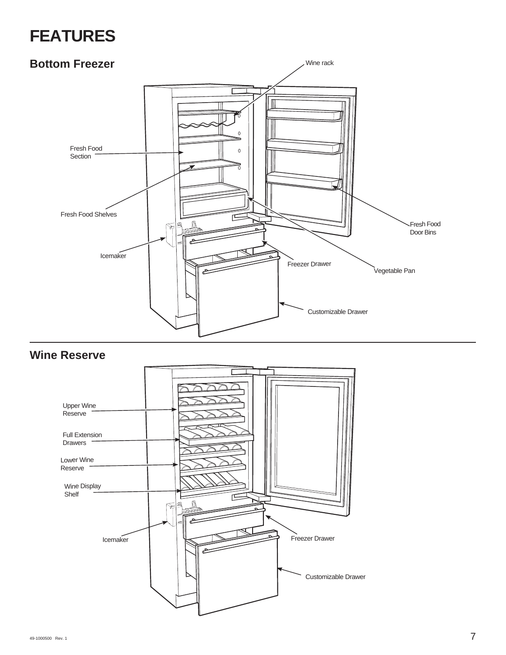# **FEATURES**

# **Bottom Freezer**



# **Wine Reserve**

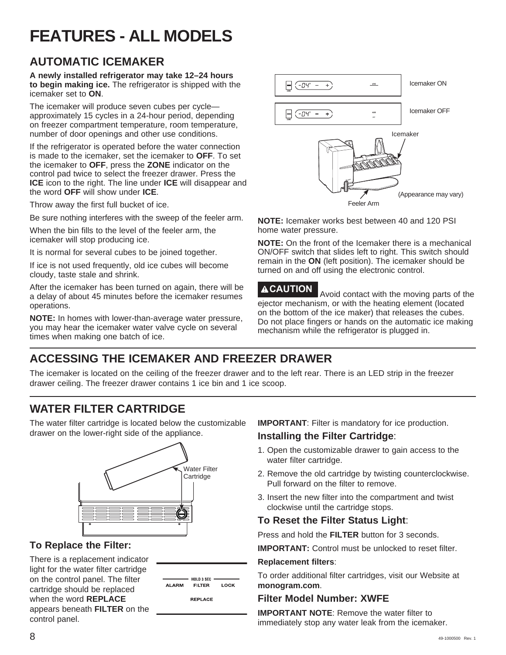# **FEATURES - ALL MODELS**

# **AUTOMATIC ICEMAKER**

**A newly installed refrigerator may take 12–24 hours to begin making ice.** The refrigerator is shipped with the icemaker set to **ON**.

The icemaker will produce seven cubes per cycle approximately 15 cycles in a 24-hour period, depending on freezer compartment temperature, room temperature, number of door openings and other use conditions.

If the refrigerator is operated before the water connection is made to the icemaker, set the icemaker to **OFF**. To set the icemaker to **OFF**, press the **ZONE** indicator on the control pad twice to select the freezer drawer. Press the **ICE** icon to the right. The line under **ICE** will disappear and the word **OFF** will show under **ICE**.

Throw away the first full bucket of ice.

Be sure nothing interferes with the sweep of the feeler arm.

When the bin fills to the level of the feeler arm, the icemaker will stop producing ice.

It is normal for several cubes to be joined together.

If ice is not used frequently, old ice cubes will become cloudy, taste stale and shrink.

After the icemaker has been turned on again, there will be a delay of about 45 minutes before the icemaker resumes operations.

**NOTE:** In homes with lower-than-average water pressure, you may hear the icemaker water valve cycle on several times when making one batch of ice.



**NOTE:** Icemaker works best between 40 and 120 PSI home water pressure.

**NOTE:** On the front of the Icemaker there is a mechanical ON/OFF switch that slides left to right. This switch should remain in the **ON** (left position). The icemaker should be turned on and off using the electronic control.

**ACAUTION** Avoid contact with the moving parts of the ejector mechanism, or with the heating element (located on the bottom of the ice maker) that releases the cubes. Do not place fingers or hands on the automatic ice making mechanism while the refrigerator is plugged in.

# **ACCESSING THE ICEMAKER AND FREEZER DRAWER**

The icemaker is located on the ceiling of the freezer drawer and to the left rear. There is an LED strip in the freezer drawer ceiling. The freezer drawer contains 1 ice bin and 1 ice scoop.

# **WATER FILTER CARTRIDGE**

The water filter cartridge is located below the customizable drawer on the lower-right side of the appliance.



# **To Replace the Filter:**

There is a replacement indicator light for the water filter cartridge on the control panel. The filter cartridge should be replaced when the word **REPLACE** appears beneath **FILTER** on the control panel.

| <b>LARM</b> | $\longrightarrow$ HOLD 3 SEC $\longrightarrow$<br><b>FILTER</b> | LOCK |  |
|-------------|-----------------------------------------------------------------|------|--|
|             | <b>REPLACE</b>                                                  |      |  |

**IMPORTANT**: Filter is mandatory for ice production.

### **Installing the Filter Cartridge**:

- 1. Open the customizable drawer to gain access to the water filter cartridge.
- 2. Remove the old cartridge by twisting counterclockwise. Pull forward on the filter to remove.
- 3. Insert the new filter into the compartment and twist clockwise until the cartridge stops.

### **To Reset the Filter Status Light**:

Press and hold the **FILTER** button for 3 seconds.

**IMPORTANT:** Control must be unlocked to reset filter.

### **Replacement filters**:

To order additional filter cartridges, visit our Website at **monogram.com**.

### **Filter Model Number: XWFE**

**IMPORTANT NOTE:** Remove the water filter to immediately stop any water leak from the icemaker.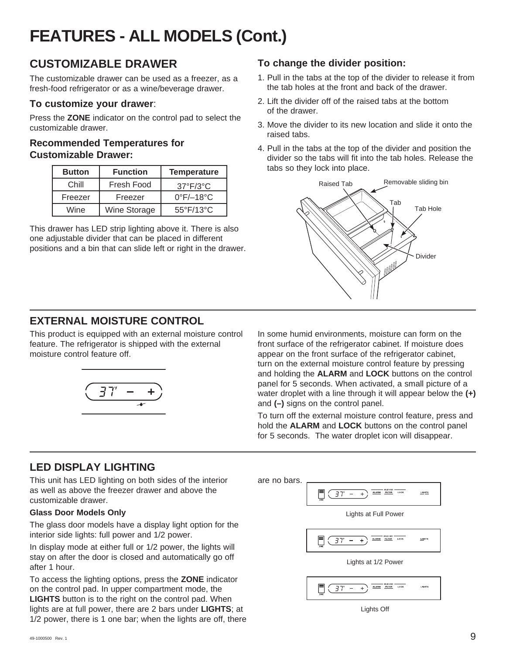# **FEATURES - ALL MODELS (Cont.)**

# **CUSTOMIZABLE DRAWER**

The customizable drawer can be used as a freezer, as a fresh-food refrigerator or as a wine/beverage drawer.

### **To customize your drawer**:

Press the **ZONE** indicator on the control pad to select the customizable drawer.

### **Recommended Temperatures for Customizable Drawer:**

| <b>Button</b> | <b>Function</b> | <b>Temperature</b>             |
|---------------|-----------------|--------------------------------|
| Chill         | Fresh Food      | $37^{\circ}F/3^{\circ}C$       |
| Freezer       | Freezer         | $0^{\circ}$ F/ $-18^{\circ}$ C |
| Wine          | Wine Storage    | $55^{\circ}$ F/13 $^{\circ}$ C |

This drawer has LED strip lighting above it. There is also one adjustable divider that can be placed in different positions and a bin that can slide left or right in the drawer.

# **To change the divider position:**

- 1. Pull in the tabs at the top of the divider to release it from the tab holes at the front and back of the drawer.
- 2. Lift the divider off of the raised tabs at the bottom of the drawer.
- 3. Move the divider to its new location and slide it onto the raised tabs.
- 4. Pull in the tabs at the top of the divider and position the divider so the tabs will fit into the tab holes. Release the tabs so they lock into place.



# **EXTERNAL MOISTURE CONTROL**

This product is equipped with an external moisture control feature. The refrigerator is shipped with the external moisture control feature off.



In some humid environments, moisture can form on the front surface of the refrigerator cabinet. If moisture does appear on the front surface of the refrigerator cabinet, turn on the external moisture control feature by pressing and holding the **ALARM** and **LOCK** buttons on the control panel for 5 seconds. When activated, a small picture of a water droplet with a line through it will appear below the **(+)** and **(–)** signs on the control panel.

To turn off the external moisture control feature, press and hold the **ALARM** and **LOCK** buttons on the control panel for 5 seconds. The water droplet icon will disappear.

# **LED DISPLAY LIGHTING**

This unit has LED lighting on both sides of the interior as well as above the freezer drawer and above the customizable drawer.

### **Glass Door Models Only**

The glass door models have a display light option for the interior side lights: full power and 1/2 power.

In display mode at either full or 1/2 power, the lights will stay on after the door is closed and automatically go off after 1 hour.

To access the lighting options, press the **ZONE** indicator on the control pad. In upper compartment mode, the **LIGHTS** button is to the right on the control pad. When lights are at full power, there are 2 bars under **LIGHTS**; at 1/2 power, there is 1 one bar; when the lights are off, there are no bars. $\mathbb{F}$  ( 37' – ALARM FILTER цента  $+$ Lights at Full Power  $+$   $\overline{ALARM}$   $BUTER$  LOCK <u>ша</u>нта Lights at 1/2 Power  $+$   $\overline{max}$   $max_{HUTER}$  LOOK  $\blacksquare$   $\boxed{37 -}$ Lights Lights Off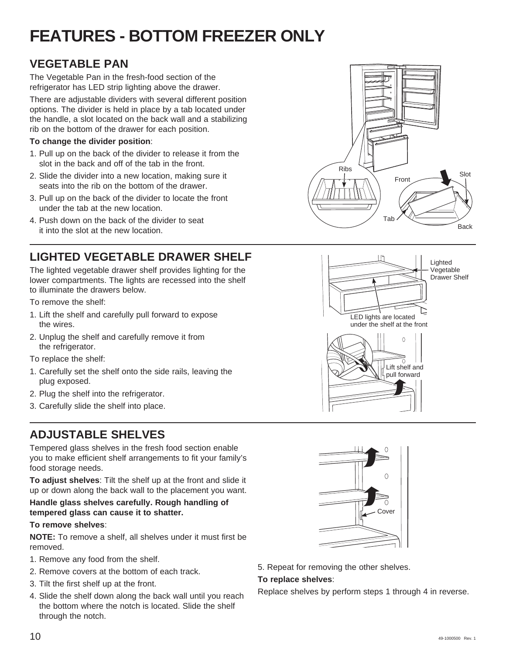# **FEATURES - BOTTOM FREEZER ONLY**

# **VEGETABLE PAN**

The Vegetable Pan in the fresh-food section of the refrigerator has LED strip lighting above the drawer.

There are adjustable dividers with several different position options. The divider is held in place by a tab located under the handle, a slot located on the back wall and a stabilizing rib on the bottom of the drawer for each position.

### **To change the divider position**:

- 1. Pull up on the back of the divider to release it from the slot in the back and off of the tab in the front.
- 2. Slide the divider into a new location, making sure it seats into the rib on the bottom of the drawer.
- 3. Pull up on the back of the divider to locate the front under the tab at the new location.
- 4. Push down on the back of the divider to seat it into the slot at the new location.

# **LIGHTED VEGETABLE DRAWER SHELF**

The lighted vegetable drawer shelf provides lighting for the lower compartments. The lights are recessed into the shelf to illuminate the drawers below.

To remove the shelf:

- 1. Lift the shelf and carefully pull forward to expose the wires.
- 2. Unplug the shelf and carefully remove it from the refrigerator.

To replace the shelf:

- 1. Carefully set the shelf onto the side rails, leaving the plug exposed.
- 2. Plug the shelf into the refrigerator.
- 3. Carefully slide the shelf into place.

# **ADJUSTABLE SHELVES**

Tempered glass shelves in the fresh food section enable you to make efficient shelf arrangements to fit your family's food storage needs.

**To adjust shelves**: Tilt the shelf up at the front and slide it up or down along the back wall to the placement you want.

### **Handle glass shelves carefully. Rough handling of tempered glass can cause it to shatter.**

### **To remove shelves**:

**NOTE:** To remove a shelf, all shelves under it must first be removed.

- 1. Remove any food from the shelf.
- 2. Remove covers at the bottom of each track.
- 3. Tilt the first shelf up at the front.
- 4. Slide the shelf down along the back wall until you reach the bottom where the notch is located. Slide the shelf through the notch.







5. Repeat for removing the other shelves.

### **To replace shelves**:

Replace shelves by perform steps 1 through 4 in reverse.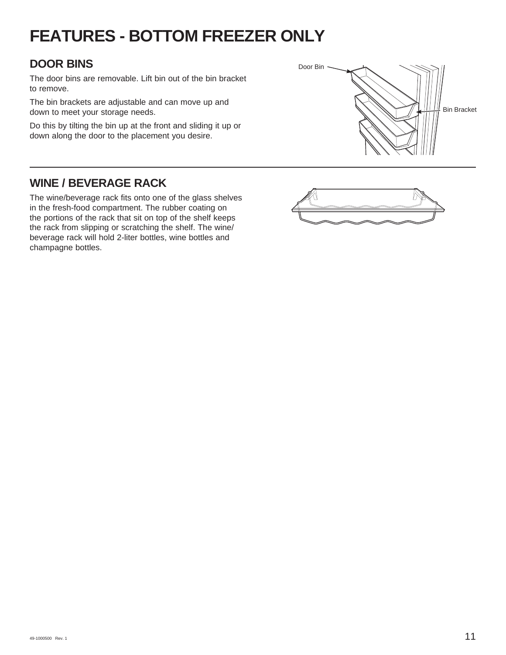# **FEATURES - BOTTOM FREEZER ONLY**

# **DOOR BINS**

The door bins are removable. Lift bin out of the bin bracket to remove.

The bin brackets are adjustable and can move up and down to meet your storage needs.

Do this by tilting the bin up at the front and sliding it up or down along the door to the placement you desire.



# **WINE / BEVERAGE RACK**

The wine/beverage rack fits onto one of the glass shelves in the fresh-food compartment. The rubber coating on the portions of the rack that sit on top of the shelf keeps the rack from slipping or scratching the shelf. The wine/ beverage rack will hold 2-liter bottles, wine bottles and champagne bottles.

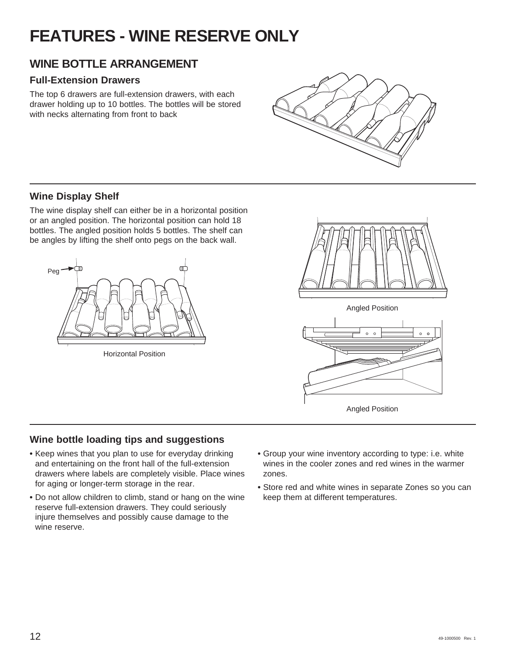# **FEATURES - WINE RESERVE ONLY**

# **WINE BOTTLE ARRANGEMENT**

## **Full-Extension Drawers**

The top 6 drawers are full-extension drawers, with each drawer holding up to 10 bottles. The bottles will be stored with necks alternating from front to back



## **Wine Display Shelf**

The wine display shelf can either be in a horizontal position or an angled position. The horizontal position can hold 18 bottles. The angled position holds 5 bottles. The shelf can be angles by lifting the shelf onto pegs on the back wall.



Horizontal Position



Angled Position



Angled Position

# **Wine bottle loading tips and suggestions**

- **•** Keep wines that you plan to use for everyday drinking and entertaining on the front hall of the full-extension drawers where labels are completely visible. Place wines for aging or longer-term storage in the rear.
- **•** Do not allow children to climb, stand or hang on the wine reserve full-extension drawers. They could seriously injure themselves and possibly cause damage to the wine reserve.
- **•** Group your wine inventory according to type: i.e. white wines in the cooler zones and red wines in the warmer zones.
- **•** Store red and white wines in separate Zones so you can keep them at different temperatures.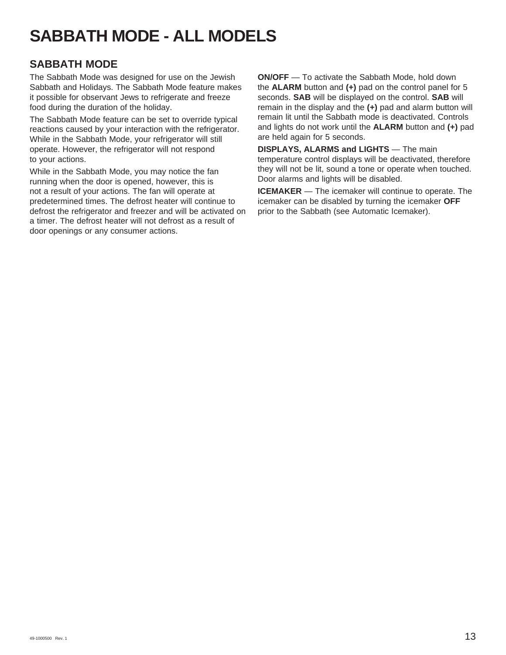# **SABBATH MODE - ALL MODELS**

# **SABBATH MODE**

The Sabbath Mode was designed for use on the Jewish Sabbath and Holidays. The Sabbath Mode feature makes it possible for observant Jews to refrigerate and freeze food during the duration of the holiday.

The Sabbath Mode feature can be set to override typical reactions caused by your interaction with the refrigerator. While in the Sabbath Mode, your refrigerator will still operate. However, the refrigerator will not respond to your actions.

While in the Sabbath Mode, you may notice the fan running when the door is opened, however, this is not a result of your actions. The fan will operate at predetermined times. The defrost heater will continue to defrost the refrigerator and freezer and will be activated on a timer. The defrost heater will not defrost as a result of door openings or any consumer actions.

**ON/OFF** — To activate the Sabbath Mode, hold down the **ALARM** button and **(+)** pad on the control panel for 5 seconds. **SAB** will be displayed on the control. **SAB** will remain in the display and the **(+)** pad and alarm button will remain lit until the Sabbath mode is deactivated. Controls and lights do not work until the **ALARM** button and **(+)** pad are held again for 5 seconds.

**DISPLAYS, ALARMS and LIGHTS** — The main temperature control displays will be deactivated, therefore they will not be lit, sound a tone or operate when touched. Door alarms and lights will be disabled.

**ICEMAKER** — The icemaker will continue to operate. The icemaker can be disabled by turning the icemaker **OFF** prior to the Sabbath (see Automatic Icemaker).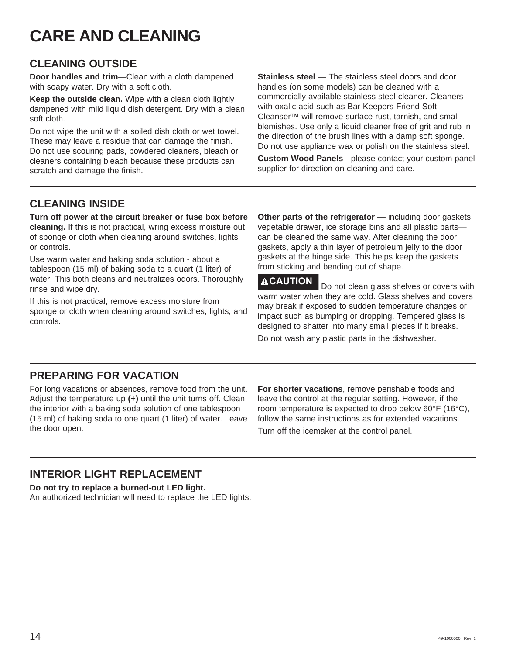# **CARE AND CLEANING**

# **CLEANING OUTSIDE**

**Door handles and trim**—Clean with a cloth dampened with soapy water. Dry with a soft cloth.

**Keep the outside clean.** Wipe with a clean cloth lightly dampened with mild liquid dish detergent. Dry with a clean, soft cloth.

Do not wipe the unit with a soiled dish cloth or wet towel. These may leave a residue that can damage the finish. Do not use scouring pads, powdered cleaners, bleach or cleaners containing bleach because these products can scratch and damage the finish.

**Stainless steel** — The stainless steel doors and door handles (on some models) can be cleaned with a commercially available stainless steel cleaner. Cleaners with oxalic acid such as Bar Keepers Friend Soft Cleanser™ will remove surface rust, tarnish, and small blemishes. Use only a liquid cleaner free of grit and rub in the direction of the brush lines with a damp soft sponge. Do not use appliance wax or polish on the stainless steel.

**Custom Wood Panels** - please contact your custom panel supplier for direction on cleaning and care.

# **CLEANING INSIDE**

**Turn off power at the circuit breaker or fuse box before cleaning.** If this is not practical, wring excess moisture out of sponge or cloth when cleaning around switches, lights or controls.

Use warm water and baking soda solution - about a tablespoon (15 ml) of baking soda to a quart (1 liter) of water. This both cleans and neutralizes odors. Thoroughly rinse and wipe dry.

If this is not practical, remove excess moisture from sponge or cloth when cleaning around switches, lights, and controls.

**Other parts of the refrigerator —** including door gaskets, vegetable drawer, ice storage bins and all plastic parts can be cleaned the same way. After cleaning the door gaskets, apply a thin layer of petroleum jelly to the door gaskets at the hinge side. This helps keep the gaskets from sticking and bending out of shape.

**ACAUTION** Do not clean glass shelves or covers with warm water when they are cold. Glass shelves and covers may break if exposed to sudden temperature changes or impact such as bumping or dropping. Tempered glass is designed to shatter into many small pieces if it breaks. Do not wash any plastic parts in the dishwasher.

# **PREPARING FOR VACATION**

For long vacations or absences, remove food from the unit. Adjust the temperature up **(+)** until the unit turns off. Clean the interior with a baking soda solution of one tablespoon (15 ml) of baking soda to one quart (1 liter) of water. Leave the door open.

**For shorter vacations**, remove perishable foods and leave the control at the regular setting. However, if the room temperature is expected to drop below 60°F (16°C), follow the same instructions as for extended vacations. Turn off the icemaker at the control panel.

# **INTERIOR LIGHT REPLACEMENT**

**Do not try to replace a burned-out LED light.** An authorized technician will need to replace the LED lights.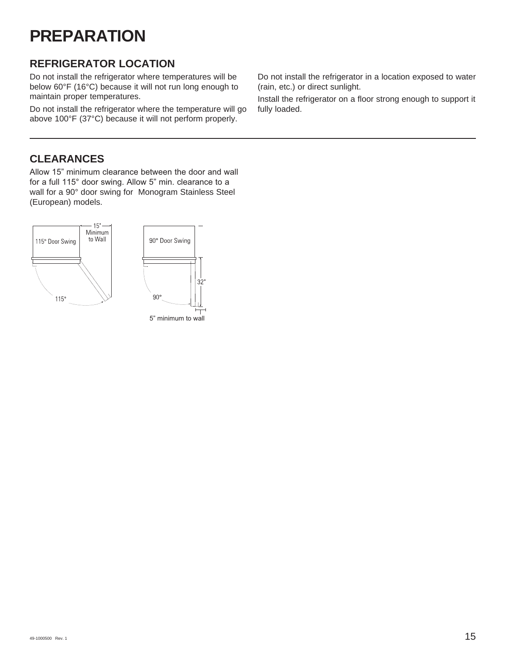# **PREPARATION**

# **REFRIGERATOR LOCATION**

Do not install the refrigerator where temperatures will be below 60°F (16°C) because it will not run long enough to maintain proper temperatures.

Do not install the refrigerator where the temperature will go above 100°F (37°C) because it will not perform properly.

Do not install the refrigerator in a location exposed to water (rain, etc.) or direct sunlight.

Install the refrigerator on a floor strong enough to support it fully loaded.

# **CLEARANCES**

Allow 15" minimum clearance between the door and wall for a full 115° door swing. Allow 5" min. clearance to a wall for a 90° door swing for Monogram Stainless Steel (European) models.

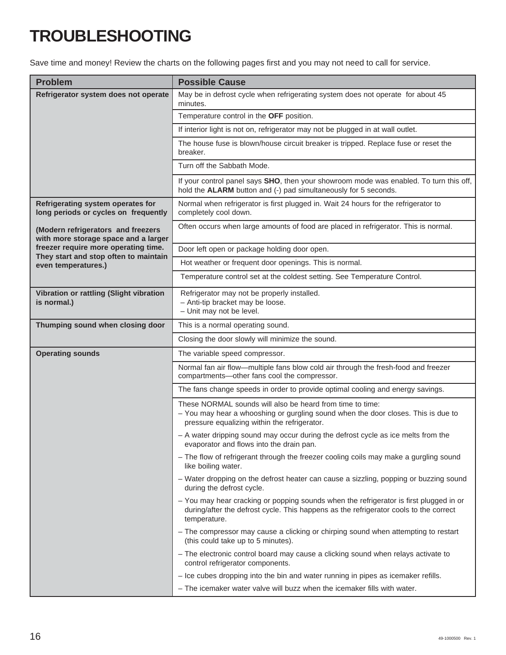# **TROUBLESHOOTING**

Save time and money! Review the charts on the following pages first and you may not need to call for service.

| <b>Problem</b>                                                                | <b>Possible Cause</b>                                                                                                                                                                           |
|-------------------------------------------------------------------------------|-------------------------------------------------------------------------------------------------------------------------------------------------------------------------------------------------|
| Refrigerator system does not operate                                          | May be in defrost cycle when refrigerating system does not operate for about 45<br>minutes.                                                                                                     |
|                                                                               | Temperature control in the OFF position.                                                                                                                                                        |
|                                                                               | If interior light is not on, refrigerator may not be plugged in at wall outlet.                                                                                                                 |
|                                                                               | The house fuse is blown/house circuit breaker is tripped. Replace fuse or reset the<br>breaker.                                                                                                 |
|                                                                               | Turn off the Sabbath Mode.                                                                                                                                                                      |
|                                                                               | If your control panel says SHO, then your showroom mode was enabled. To turn this off,<br>hold the ALARM button and (-) pad simultaneously for 5 seconds.                                       |
| Refrigerating system operates for<br>long periods or cycles on frequently     | Normal when refrigerator is first plugged in. Wait 24 hours for the refrigerator to<br>completely cool down.                                                                                    |
| (Modern refrigerators and freezers<br>with more storage space and a larger    | Often occurs when large amounts of food are placed in refrigerator. This is normal.                                                                                                             |
| freezer require more operating time.<br>They start and stop often to maintain | Door left open or package holding door open.                                                                                                                                                    |
| even temperatures.)                                                           | Hot weather or frequent door openings. This is normal.                                                                                                                                          |
|                                                                               | Temperature control set at the coldest setting. See Temperature Control.                                                                                                                        |
| Vibration or rattling (Slight vibration<br>is normal.)                        | Refrigerator may not be properly installed.<br>- Anti-tip bracket may be loose.<br>- Unit may not be level.                                                                                     |
| Thumping sound when closing door                                              | This is a normal operating sound.                                                                                                                                                               |
|                                                                               | Closing the door slowly will minimize the sound.                                                                                                                                                |
| <b>Operating sounds</b>                                                       | The variable speed compressor.                                                                                                                                                                  |
|                                                                               | Normal fan air flow-multiple fans blow cold air through the fresh-food and freezer<br>compartments-other fans cool the compressor.                                                              |
|                                                                               | The fans change speeds in order to provide optimal cooling and energy savings.                                                                                                                  |
|                                                                               | These NORMAL sounds will also be heard from time to time:<br>- You may hear a whooshing or gurgling sound when the door closes. This is due to<br>pressure equalizing within the refrigerator.  |
|                                                                               | - A water dripping sound may occur during the defrost cycle as ice melts from the<br>evaporator and flows into the drain pan.                                                                   |
|                                                                               | - The flow of refrigerant through the freezer cooling coils may make a gurgling sound<br>like boiling water.                                                                                    |
|                                                                               | - Water dropping on the defrost heater can cause a sizzling, popping or buzzing sound<br>during the defrost cycle.                                                                              |
|                                                                               | - You may hear cracking or popping sounds when the refrigerator is first plugged in or<br>during/after the defrost cycle. This happens as the refrigerator cools to the correct<br>temperature. |
|                                                                               | - The compressor may cause a clicking or chirping sound when attempting to restart<br>(this could take up to 5 minutes).                                                                        |
|                                                                               | - The electronic control board may cause a clicking sound when relays activate to<br>control refrigerator components.                                                                           |
|                                                                               | - Ice cubes dropping into the bin and water running in pipes as icemaker refills.                                                                                                               |
|                                                                               | - The icemaker water valve will buzz when the icemaker fills with water.                                                                                                                        |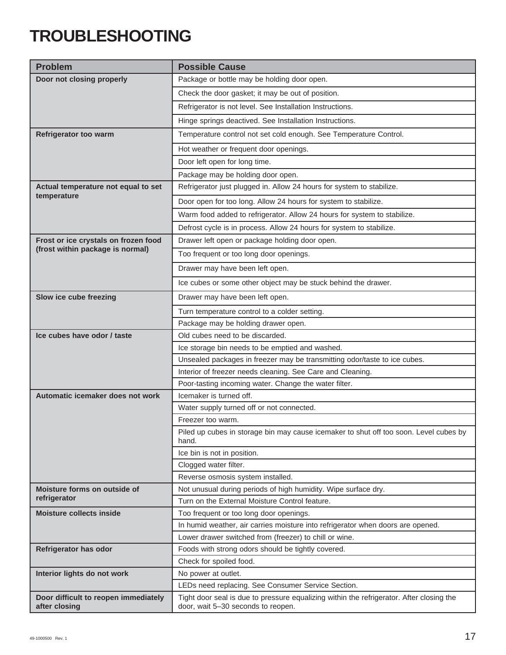# **TROUBLESHOOTING**

| <b>Problem</b>                       | <b>Possible Cause</b>                                                                          |
|--------------------------------------|------------------------------------------------------------------------------------------------|
| Door not closing properly            | Package or bottle may be holding door open.                                                    |
|                                      | Check the door gasket; it may be out of position.                                              |
|                                      | Refrigerator is not level. See Installation Instructions.                                      |
|                                      | Hinge springs deactived. See Installation Instructions.                                        |
| Refrigerator too warm                | Temperature control not set cold enough. See Temperature Control.                              |
|                                      | Hot weather or frequent door openings.                                                         |
|                                      | Door left open for long time.                                                                  |
|                                      | Package may be holding door open.                                                              |
| Actual temperature not equal to set  | Refrigerator just plugged in. Allow 24 hours for system to stabilize.                          |
| temperature                          | Door open for too long. Allow 24 hours for system to stabilize.                                |
|                                      | Warm food added to refrigerator. Allow 24 hours for system to stabilize.                       |
|                                      | Defrost cycle is in process. Allow 24 hours for system to stabilize.                           |
| Frost or ice crystals on frozen food | Drawer left open or package holding door open.                                                 |
| (frost within package is normal)     | Too frequent or too long door openings.                                                        |
|                                      | Drawer may have been left open.                                                                |
|                                      | Ice cubes or some other object may be stuck behind the drawer.                                 |
| Slow ice cube freezing               | Drawer may have been left open.                                                                |
|                                      | Turn temperature control to a colder setting.                                                  |
|                                      | Package may be holding drawer open.                                                            |
| Ice cubes have odor / taste          | Old cubes need to be discarded.                                                                |
|                                      | Ice storage bin needs to be emptied and washed.                                                |
|                                      | Unsealed packages in freezer may be transmitting odor/taste to ice cubes.                      |
|                                      | Interior of freezer needs cleaning. See Care and Cleaning.                                     |
|                                      | Poor-tasting incoming water. Change the water filter.                                          |
| Automatic icemaker does not work     | Icemaker is turned off.                                                                        |
|                                      | Water supply turned off or not connected.                                                      |
|                                      | Freezer too warm.                                                                              |
|                                      | Piled up cubes in storage bin may cause icemaker to shut off too soon. Level cubes by<br>hand. |
|                                      | Ice bin is not in position.                                                                    |
|                                      | Clogged water filter.                                                                          |
|                                      | Reverse osmosis system installed.                                                              |
| Moisture forms on outside of         | Not unusual during periods of high humidity. Wipe surface dry.                                 |
| refrigerator                         | Turn on the External Moisture Control feature.                                                 |
| <b>Moisture collects inside</b>      | Too frequent or too long door openings.                                                        |
|                                      | In humid weather, air carries moisture into refrigerator when doors are opened.                |
|                                      | Lower drawer switched from (freezer) to chill or wine.                                         |
| Refrigerator has odor                | Foods with strong odors should be tightly covered.                                             |
|                                      | Check for spoiled food.                                                                        |
| Interior lights do not work          | No power at outlet.<br>LEDs need replacing. See Consumer Service Section.                      |
| Door difficult to reopen immediately | Tight door seal is due to pressure equalizing within the refrigerator. After closing the       |
| after closing                        | door, wait 5-30 seconds to reopen.                                                             |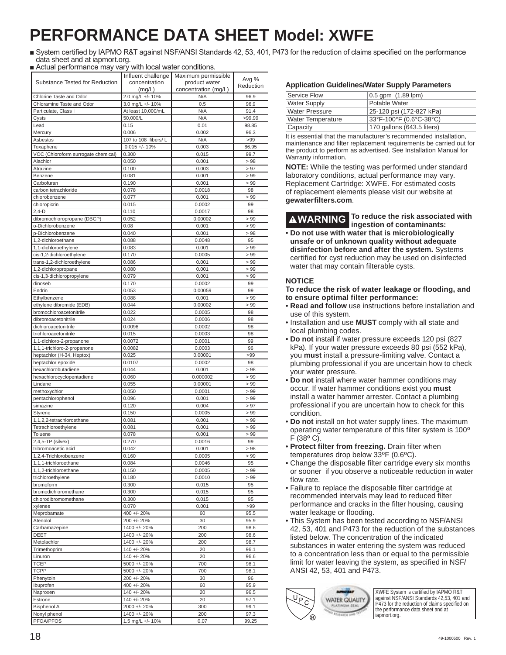# **PERFORMANCE DATA SHEET Model: XWFE**

- System certified by IAPMO R&T against NSF/ANSI Standards 42, 53, 401, P473 for the reduction of claims specified on the performance data sheet and at iapmort.org.
- Actual performance may vary with local water conditions.

|                                                     | Influent challenge         | Maximum permissible         | Avg %        |
|-----------------------------------------------------|----------------------------|-----------------------------|--------------|
| Substance Tested for Reduction                      | concentration              | product water               | Reduction    |
| Chlorine Taste and Odor                             | (mg/L)<br>2.0 mg/L +/- 10% | concentration (mg/L)<br>N/A | 96.9         |
| Chloramine Taste and Odor                           | 3.0 mg/L +/- 10%           | 0.5                         | 96.9         |
| Particulate, Class I                                | At least 10,000/mL         | N/A                         | 91.4         |
| Cysts                                               | 50,000/L                   | N/A                         | >99.99       |
| Lead                                                | 0.15                       | 0.01                        | 98.85        |
| Mercury                                             | 0.006                      | 0.002                       | 96.3         |
| Asbestos                                            | 107 to 108 fibers/ L       | N/A                         | >99          |
| Toxaphene                                           | $0.015 +/- 10%$            | 0.003                       | 86.95        |
| VOC (Chloroform surrogate chemical)                 | 0.300                      | 0.015                       | 99.7         |
| Alachlor                                            | 0.050                      | 0.001                       | >98          |
| Atrazine                                            | 0.100                      | 0.003                       | > 97         |
| Benzene                                             | 0.081                      | 0.001                       | > 99         |
| Carbofuran<br>carbon tetrachloride                  | 0.190<br>0.078             | 0.001<br>0.0018             | >99<br>98    |
| chlorobenzene                                       | 0.077                      | 0.001                       | >99          |
| chloropicrin                                        | 0.015                      | 0.0002                      | 99           |
| $2,4-D$                                             | 0.110                      | 0.0017                      | 98           |
| dibromochloropropane (DBCP)                         | 0.052                      | 0.00002                     | >99          |
| o-Dichlorobenzene                                   | 0.08                       | 0.001                       | >99          |
| p-Dichlorobenzene                                   | 0.040                      | 0.001                       | >98          |
| 1,2-dichloroethane                                  | 0.088                      | 0.0048                      | 95           |
| 1,1-dichloroethylene                                | 0.083                      | 0.001                       | >99          |
| cis-1,2-dichloroethylene                            | 0.170                      | 0.0005                      | >99          |
| trans-1,2-dichloroethylene                          | 0.086                      | 0.001                       | >99          |
| 1,2-dichloropropane                                 | 0.080                      | 0.001                       | >99          |
| cis-1,3-dichloropropylene                           | 0.079                      | 0.001                       | > 99         |
| dinoseb                                             | 0.170                      | 0.0002                      | 99           |
| Endrin                                              | 0.053                      | 0.00059                     | 99           |
| Ethylbenzene                                        | 0.088                      | 0.001                       | >99          |
| ethylene dibromide (EDB)<br>bromochloroacetonitrile | 0.044                      | 0.00002                     | >99          |
| dibromoacetonitrile                                 | 0.022<br>0.024             | 0.0005<br>0.0006            | 98<br>98     |
| dichloroacetonitrile                                | 0.0096                     | 0.0002                      | 98           |
| trichloroacetonitrile                               | 0.015                      | 0.0003                      | 98           |
| 1,1-dichloro-2-propanone                            | 0.0072                     | 0.0001                      | 99           |
| 1,1,1-trichloro-2-propanone                         | 0.0082                     | 0.0003                      | 96           |
| heptachlor (H-34, Heptox)                           | 0.025                      | 0.00001                     | >99          |
| heptachlor epoxide                                  | 0.0107                     | 0.0002                      | 98           |
| hexachlorobutadiene                                 | 0.044                      | 0.001                       | >98          |
| hexachlorocyclopentadiene                           | 0.060                      | 0.000002                    | >99          |
| Lindane                                             | 0.055                      | 0.00001                     | >99          |
| methoxychlor                                        | 0.050                      | 0.0001                      | >99          |
| pentachlorophenol                                   | 0.096                      | 0.001                       | >99          |
| simazine                                            | 0.120                      | 0.004                       | > 97         |
| Styrene<br>1,1,2,2-tetrachloroethane                | 0.150<br>0.081             | 0.0005<br>0.001             | >99<br>>99   |
| Tetrachloroethylene                                 | 0.081                      | 0.001                       | >99          |
| Toluene                                             | 0.078                      | 0.001                       | >99          |
| $2,4,5$ -TP (silvex)                                | 0.270                      | 0.0016                      | 99           |
| tribromoacetic acid                                 | 0.042                      | 0.001                       | >98          |
| 1,2,4-Trichlorobenzene                              | 0.160                      | 0.0005                      | >99          |
| 1,1,1-trichloroethane                               | 0.084                      | 0.0046                      | 95           |
| 1,1,2-trichloroethane                               | 0.150                      | 0.0005                      | > 99         |
| trichloroethylene                                   | 0.180                      | 0.0010                      | $>99$        |
| bromoform                                           | 0.300                      | 0.015                       | 95           |
| bromodichloromethane                                | 0.300                      | 0.015                       | 95           |
| chlorodibromomethane                                | 0.300                      | 0.015                       | 95           |
| xylenes                                             | 0.070                      | 0.001                       | >99          |
| Meprobamate                                         | 400 +/- 20%<br>200 +/- 20% | 60                          | 95.5         |
| Atenolol<br>Carbamazepine                           | 1400 +/- 20%               | 30<br>200                   | 95.9<br>98.6 |
| DEET                                                | 1400 +/- 20%               | 200                         | 98.6         |
| Metolachlor                                         | 1400 +/- 20%               | 200                         | 98.7         |
| Trimethoprim                                        | 140 +/- 20%                | 20                          | 96.1         |
| Linuron                                             | 140 +/- 20%                | 20                          | 96.6         |
| <b>TCEP</b>                                         | $5000 +/- 20%$             | 700                         | 98.1         |
| <b>TCPP</b>                                         | 5000 +/- 20%               | 700                         | 98.1         |
| Phenytoin                                           | 200 +/- 20%                | 30                          | 96           |
| Ibuprofen                                           | 400 +/- 20%                | 60                          | 95.9         |
| Naproxen                                            | 140 +/- 20%                | 20                          | 96.5         |
| Estrone                                             | 140 +/- 20%                | 20                          | 97.1         |
| <b>Bisphenol A</b>                                  | 2000 +/- 20%               | 300                         | 99.1         |
| Nonyl phenol                                        | 1400 +/- 20%               | 200                         | 97.3         |
| PFOA/PFOS                                           | 1.5 mg/L +/- 10%           | 0.07                        | 99.25        |

#### **Application Guidelines/Water Supply Parameters**

| Service Flow             | $0.5$ gpm $(1.89$ lpm)     |
|--------------------------|----------------------------|
| <b>Water Supply</b>      | Potable Water              |
| <b>Water Pressure</b>    | 25-120 psi (172-827 kPa)   |
| <b>Water Temperature</b> | 33°F-100°F (0.6°C-38°C)    |
| Capacity                 | 170 gallons (643.5 liters) |

It is essential that the manufacturer's recommended installation, maintenance and filter replacement requirements be carried out for the product to perform as advertised. See Installation Manual for Warranty information.

**NOTE:** While the testing was performed under standard laboratory conditions, actual performance may vary. Replacement Cartridge: XWFE. For estimated costs of replacement elements please visit our website at **gewaterfilters.com**.

**WARNING To reduce the risk associated with ingestion of contaminants:**

• **Do not use with water that is microbiologically unsafe or of unknown quality without adequate disinfection before and after the system.** Systems certified for cyst reduction may be used on disinfected water that may contain filterable cysts.

#### **NOTICE**

#### **To reduce the risk of water leakage or flooding, and to ensure optimal filter performance:**

- **Read and follow** use instructions before installation and use of this system.
- Installation and use **MUST** comply with all state and local plumbing codes.
- **Do not** install if water pressure exceeds 120 psi (827 kPa). If your water pressure exceeds 80 psi (552 kPa), you **must** install a pressure-limiting valve. Contact a plumbing professional if you are uncertain how to check your water pressure.
- **Do not** install where water hammer conditions may occur. If water hammer conditions exist you **must** install a water hammer arrester. Contact a plumbing professional if you are uncertain how to check for this condition.
- **Do not** install on hot water supply lines. The maximum operating water temperature of this filter system is 100º F (38º C).
- **Protect filter from freezing.** Drain filter when temperatures drop below 33ºF (0.6ºC).
- Change the disposable filter cartridge every six months or sooner if you observe a noticeable reduction in water flow rate.
- Failure to replace the disposable filter cartridge at recommended intervals may lead to reduced filter performance and cracks in the filter housing, causing water leakage or flooding.
- This System has been tested according to NSF/ANSI 42, 53, 401 and P473 for the reduction of the substances listed below. The concentration of the indicated substances in water entering the system was reduced to a concentration less than or equal to the permissible limit for water leaving the system, as specified in NSF/ ANSI 42, 53, 401 and P473.



XWFE System is certified by IAPMO R&T against NSF/ANSI Standards 42,53, 401 and P473 for the reduction of claims specified on the performance data sheet and at iapmort.org.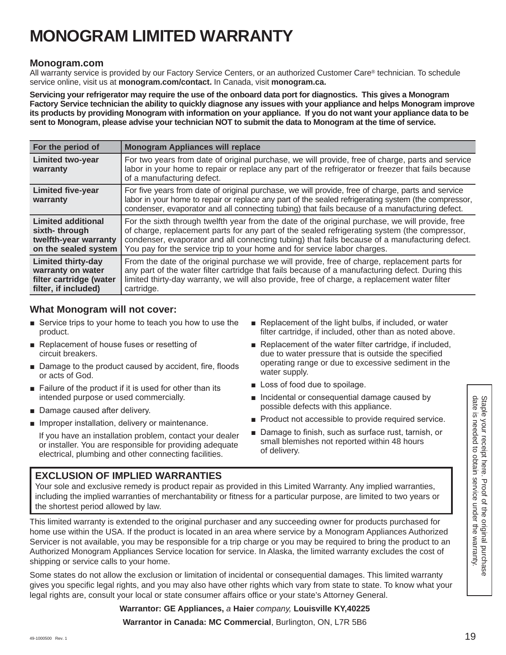# **MONOGRAM LIMITED WARRANTY**

### **Monogram.com**

All warranty service is provided by our Factory Service Centers, or an authorized Customer Care® technician. To schedule service online, visit us at **monogram.com/contact.** In Canada, visit **monogram.ca.**

**Servicing your refrigerator may require the use of the onboard data port for diagnostics. This gives a Monogram Factory Service technician the ability to quickly diagnose any issues with your appliance and helps Monogram improve its products by providing Monogram with information on your appliance. If you do not want your appliance data to be sent to Monogram, please advise your technician NOT to submit the data to Monogram at the time of service.**

| For the period of                                                                                 | <b>Monogram Appliances will replace</b>                                                                                                                                                                                                                                                                                                                                         |
|---------------------------------------------------------------------------------------------------|---------------------------------------------------------------------------------------------------------------------------------------------------------------------------------------------------------------------------------------------------------------------------------------------------------------------------------------------------------------------------------|
| <b>Limited two-year</b><br>warranty                                                               | For two years from date of original purchase, we will provide, free of charge, parts and service<br>labor in your home to repair or replace any part of the refrigerator or freezer that fails because<br>of a manufacturing defect.                                                                                                                                            |
| <b>Limited five-year</b><br>warranty                                                              | For five years from date of original purchase, we will provide, free of charge, parts and service<br>labor in your home to repair or replace any part of the sealed refrigerating system (the compressor,<br>condenser, evaporator and all connecting tubing) that fails because of a manufacturing defect.                                                                     |
| Limited additional<br>sixth-through<br>twelfth-year warranty<br>on the sealed system              | For the sixth through twelfth year from the date of the original purchase, we will provide, free<br>of charge, replacement parts for any part of the sealed refrigerating system (the compressor,<br>condenser, evaporator and all connecting tubing) that fails because of a manufacturing defect.<br>You pay for the service trip to your home and for service labor charges. |
| <b>Limited thirty-day</b><br>warranty on water<br>filter cartridge (water<br>filter, if included) | From the date of the original purchase we will provide, free of charge, replacement parts for<br>any part of the water filter cartridge that fails because of a manufacturing defect. During this<br>limited thirty-day warranty, we will also provide, free of charge, a replacement water filter<br>cartridge.                                                                |

### **What Monogram will not cover:**

- Service trips to your home to teach you how to use the product.
- $\blacksquare$  Replacement of house fuses or resetting of circuit breakers.
- Damage to the product caused by accident, fire, floods or acts of God.
- $\blacksquare$  Failure of the product if it is used for other than its intended purpose or used commercially.
- Damage caused after delivery.
- $\blacksquare$  Improper installation, delivery or maintenance.

 If you have an installation problem, contact your dealer or installer. You are responsible for providing adequate electrical, plumbing and other connecting facilities.

- Replacement of the light bulbs, if included, or water filter cartridge, if included, other than as noted above.
- $\blacksquare$  Replacement of the water filter cartridge, if included, due to water pressure that is outside the specified operating range or due to excessive sediment in the water supply.
- $\blacksquare$  Loss of food due to spoilage.
- lincidental or consequential damage caused by possible defects with this appliance.
- **Product not accessible to provide required service.**
- Damage to finish, such as surface rust, tarnish, or small blemishes not reported within 48 hours of delivery.

### **EXCLUSION OF IMPLIED WARRANTIES**

Your sole and exclusive remedy is product repair as provided in this Limited Warranty. Any implied warranties, including the implied warranties of merchantability or fitness for a particular purpose, are limited to two years or the shortest period allowed by law.

This limited warranty is extended to the original purchaser and any succeeding owner for products purchased for home use within the USA. If the product is located in an area where service by a Monogram Appliances Authorized Servicer is not available, you may be responsible for a trip charge or you may be required to bring the product to an Authorized Monogram Appliances Service location for service. In Alaska, the limited warranty excludes the cost of shipping or service calls to your home.

Some states do not allow the exclusion or limitation of incidental or consequential damages. This limited warranty gives you specific legal rights, and you may also have other rights which vary from state to state. To know what your legal rights are, consult your local or state consumer affairs office or your state's Attorney General.

### **Warrantor: GE Appliances,** *a* **Haier** *company,* **Louisville KY,40225**

**Warrantor in Canada: MC Commercial**, Burlington, ON, L7R 5B6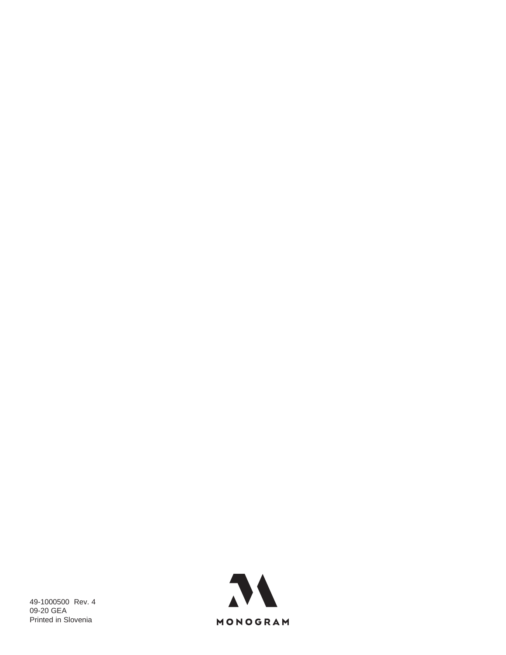49-1000500 Rev. 4 09-20 GEA Printed in Slovenia

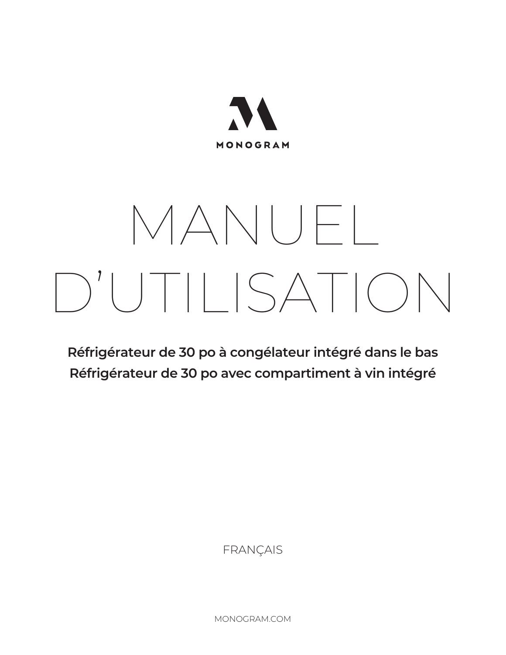

# MANUEL D'UTILISATION

**Réfrigérateur de 30 po à congélateur intégré dans le bas Réfrigérateur de 30 po avec compartiment à vin intégré**

FRANÇAIS

MONOGRAM.COM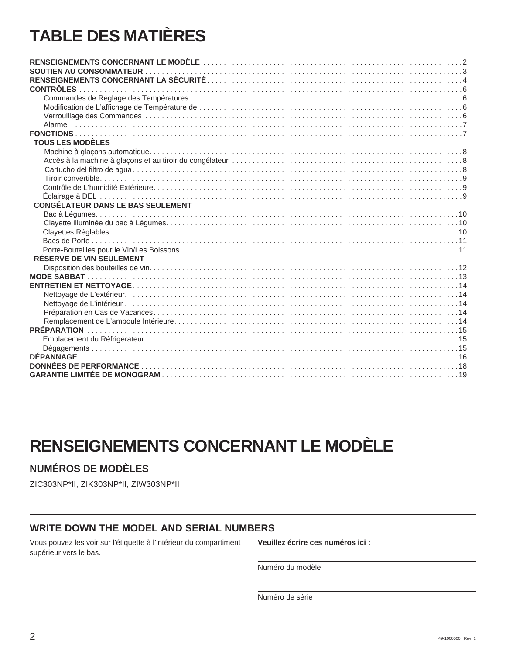# **TABLE DES MATIÈRES**

| <b>TOUS LES MODÈLES</b>                  |  |  |
|------------------------------------------|--|--|
|                                          |  |  |
|                                          |  |  |
|                                          |  |  |
|                                          |  |  |
|                                          |  |  |
|                                          |  |  |
| <b>CONGÉLATEUR DANS LE BAS SEULEMENT</b> |  |  |
|                                          |  |  |
|                                          |  |  |
|                                          |  |  |
|                                          |  |  |
|                                          |  |  |
| <b>RÉSERVE DE VIN SEULEMENT</b>          |  |  |
|                                          |  |  |
|                                          |  |  |
|                                          |  |  |
|                                          |  |  |
|                                          |  |  |
|                                          |  |  |
|                                          |  |  |
|                                          |  |  |
|                                          |  |  |
|                                          |  |  |
|                                          |  |  |
|                                          |  |  |
|                                          |  |  |

# **RENSEIGNEMENTS CONCERNANT LE MODÈLE**

### **NUMÉROS DE MODÈLES**

ZIC303NP\*II, ZIK303NP\*II, ZIW303NP\*II

### **WRITE DOWN THE MODEL AND SERIAL NUMBERS**

Vous pouvez les voir sur l'étiquette à l'intérieur du compartiment supérieur vers le bas.

Veuillez écrire ces numéros ici :

Numéro du modèle

Numéro de série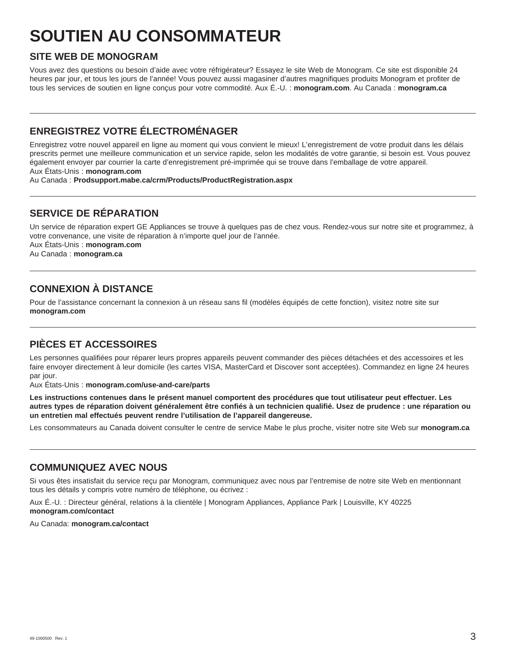# **SOUTIEN AU CONSOMMATEUR**

### **SITE WEB DE MONOGRAM**

Vous avez des questions ou besoin d'aide avec votre réfrigérateur? Essayez le site Web de Monogram. Ce site est disponible 24 heures par jour, et tous les jours de l'année! Vous pouvez aussi magasiner d'autres magnifiques produits Monogram et profiter de tous les services de soutien en ligne conçus pour votre commodité. Aux É.-U. : **monogram.com**. Au Canada : **monogram.ca**

# **ENREGISTREZ VOTRE ÉLECTROMÉNAGER**

Enregistrez votre nouvel appareil en ligne au moment qui vous convient le mieux! L'enregistrement de votre produit dans les délais prescrits permet une meilleure communication et un service rapide, selon les modalités de votre garantie, si besoin est. Vous pouvez également envoyer par courrier la carte d'enregistrement pré-imprimée qui se trouve dans l'emballage de votre appareil. Aux États-Unis : **monogram.com**

Au Canada : **Prodsupport.mabe.ca/crm/Products/ProductRegistration.aspx**

# **SERVICE DE RÉPARATION**

Un service de réparation expert GE Appliances se trouve à quelques pas de chez vous. Rendez-vous sur notre site et programmez, à votre convenance, une visite de réparation à n'importe quel jour de l'année.

Aux États-Unis : **monogram.com** Au Canada : **monogram.ca**

# **CONNEXION À DISTANCE**

Pour de l'assistance concernant la connexion à un réseau sans fil (modèles équipés de cette fonction), visitez notre site sur **monogram.com**

# **PIÈCES ET ACCESSOIRES**

Les personnes qualifiées pour réparer leurs propres appareils peuvent commander des pièces détachées et des accessoires et les faire envoyer directement à leur domicile (les cartes VISA, MasterCard et Discover sont acceptées). Commandez en ligne 24 heures par jour.

Aux États-Unis : **monogram.com/use-and-care/parts**

**Les instructions contenues dans le présent manuel comportent des procédures que tout utilisateur peut effectuer. Les autres types de réparation doivent généralement être confiés à un technicien qualifié. Usez de prudence : une réparation ou un entretien mal effectués peuvent rendre l'utilisation de l'appareil dangereuse.**

Les consommateurs au Canada doivent consulter le centre de service Mabe le plus proche, visiter notre site Web sur **monogram.ca**

### **COMMUNIQUEZ AVEC NOUS**

Si vous êtes insatisfait du service reçu par Monogram, communiquez avec nous par l'entremise de notre site Web en mentionnant tous les détails y compris votre numéro de téléphone, ou écrivez :

Aux É.-U. : Directeur général, relations à la clientèle | Monogram Appliances, Appliance Park | Louisville, KY 40225 **monogram.com/contact**

Au Canada: **monogram.ca/contact**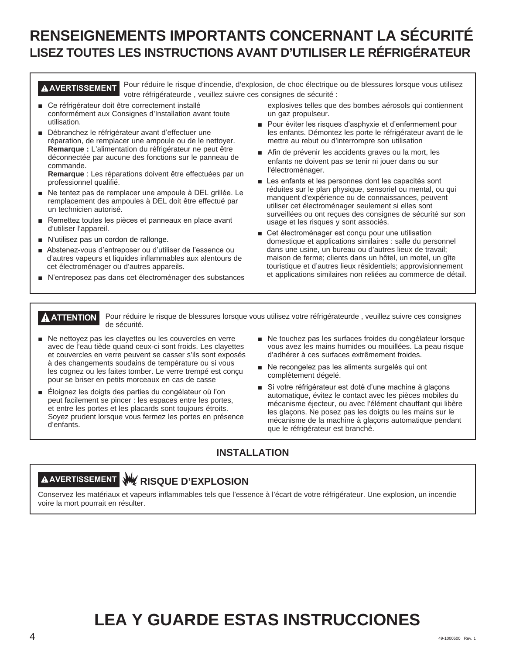# **RENSEIGNEMENTS IMPORTANTS CONCERNANT LA SÉCURITÉ LISEZ TOUTES LES INSTRUCTIONS AVANT D'UTILISER LE RÉFRIGÉRATEUR**

**AVERTISSEMENT** Pour réduire le risque d'incendie, d'explosion, de choc électrique ou de blessures lorsque vous utilisez votre réfrigérateurde , veuillez suivre ces consignes de sécurité :

- Ce réfrigérateur doit être correctement installé conformément aux Consignes d'Installation avant toute utilisation.
- **D**ébranchez le réfrigérateur avant d'effectuer une réparation, de remplacer une ampoule ou de le nettoyer. **Remarque :** L'alimentation du réfrigérateur ne peut être déconnectée par aucune des fonctions sur le panneau de commande.

**Remarque** : Les réparations doivent être effectuées par un professionnel qualifié.

- Ne tentez pas de remplacer une ampoule à DEL grillée. Le remplacement des ampoules à DEL doit être effectué par un technicien autorisé.
- Remettez toutes les pièces et panneaux en place avant d'utiliser l'appareil.
- $\blacksquare$  N'utilisez pas un cordon de rallonge.
- Abstenez-vous d'entreposer ou d'utiliser de l'essence ou d'autres vapeurs et liquides inflammables aux alentours de cet électroménager ou d'autres appareils.
- N'entreposez pas dans cet électroménager des substances
- explosives telles que des bombes aérosols qui contiennent un gaz propulseur.
- Pour éviter les risques d'asphyxie et d'enfermement pour les enfants. Démontez les porte le réfrigérateur avant de le mettre au rebut ou d'interrompre son utilisation
- Afin de prévenir les accidents graves ou la mort, les enfants ne doivent pas se tenir ni jouer dans ou sur l'électroménager.
- $\blacksquare$  Les enfants et les personnes dont les capacités sont réduites sur le plan physique, sensoriel ou mental, ou qui manquent d'expérience ou de connaissances, peuvent utiliser cet électroménager seulement si elles sont surveillées ou ont reçues des consignes de sécurité sur son usage et les risques y sont associés.
- Get électroménager est conçu pour une utilisation domestique et applications similaires : salle du personnel dans une usine, un bureau ou d'autres lieux de travail; maison de ferme; clients dans un hôtel, un motel, un gîte touristique et d'autres lieux résidentiels; approvisionnement et applications similaires non reliées au commerce de détail.

**A ATTENTION** Pour réduire le risque de blessures lorsque vous utilisez votre réfrigérateurde, veuillez suivre ces consignes de sécurité.

- $\blacksquare$  Ne nettovez pas les clavettes ou les couvercles en verre avec de l'eau tiède quand ceux-ci sont froids. Les clayettes et couvercles en verre peuvent se casser s'ils sont exposés à des changements soudains de température ou si vous les cognez ou les faites tomber. Le verre trempé est conçu pour se briser en petits morceaux en cas de casse
- Eloignez les doigts des parties du congélateur où l'on peut facilement se pincer : les espaces entre les portes, et entre les portes et les placards sont toujours étroits. Soyez prudent lorsque vous fermez les portes en présence d'enfants.
- Ne touchez pas les surfaces froides du congélateur lorsque vous avez les mains humides ou mouillées. La peau risque d'adhérer à ces surfaces extrêmement froides.
- $\blacksquare$  Ne recongelez pas les aliments surgelés qui ont complètement dégelé.
- Si votre réfrigérateur est doté d'une machine à glaçons automatique, évitez le contact avec les pièces mobiles du mécanisme éjecteur, ou avec l'élément chauffant qui libère les glaçons. Ne posez pas les doigts ou les mains sur le mécanisme de la machine à glaçons automatique pendant que le réfrigérateur est branché.

### **INSTALLATION**

# **AVERTISSEMENT RISQUE D'EXPLOSION**

Conservez les matériaux et vapeurs inflammables tels que l'essence à l'écart de votre réfrigérateur. Une explosion, un incendie voire la mort pourrait en résulter.

# **LEA Y GUARDE ESTAS INSTRUCCIONES**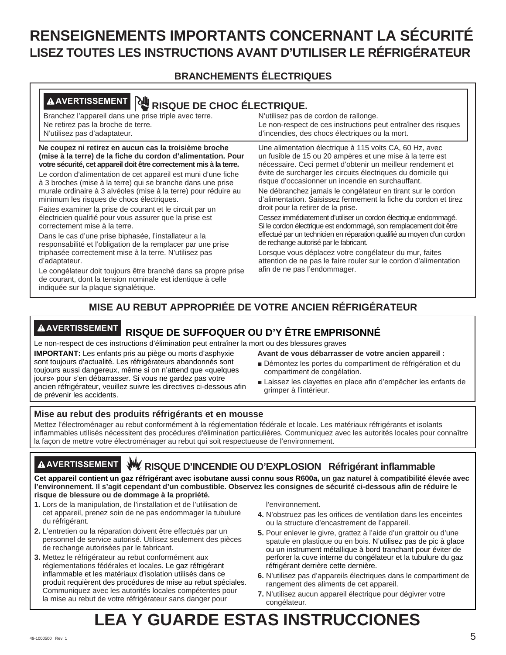# **RENSEIGNEMENTS IMPORTANTS CONCERNANT LA SÉCURITÉ LISEZ TOUTES LES INSTRUCTIONS AVANT D'UTILISER LE RÉFRIGÉRATEUR**

# **BRANCHEMENTS ÉLECTRIQUES**

| <b>AAVERTISSEMENT</b><br>陑<br><b>RISQUE DE CHOC ÉLECTRIQUE.</b>                                                                                                                                                                                                                                                                                                                                                                                                                                                                                                                                                                                                                                                                                                                                                                                                                                                                                                                  |                                                                                                                                                                                                                                                                                                                                                                                                                                                                                                                                                                                                                                                                                                                                                                                                                                                                                                           |
|----------------------------------------------------------------------------------------------------------------------------------------------------------------------------------------------------------------------------------------------------------------------------------------------------------------------------------------------------------------------------------------------------------------------------------------------------------------------------------------------------------------------------------------------------------------------------------------------------------------------------------------------------------------------------------------------------------------------------------------------------------------------------------------------------------------------------------------------------------------------------------------------------------------------------------------------------------------------------------|-----------------------------------------------------------------------------------------------------------------------------------------------------------------------------------------------------------------------------------------------------------------------------------------------------------------------------------------------------------------------------------------------------------------------------------------------------------------------------------------------------------------------------------------------------------------------------------------------------------------------------------------------------------------------------------------------------------------------------------------------------------------------------------------------------------------------------------------------------------------------------------------------------------|
| Branchez l'appareil dans une prise triple avec terre.<br>Ne retirez pas la broche de terre.<br>N'utilisez pas d'adaptateur.                                                                                                                                                                                                                                                                                                                                                                                                                                                                                                                                                                                                                                                                                                                                                                                                                                                      | N'utilisez pas de cordon de rallonge.<br>Le non-respect de ces instructions peut entraîner des risques<br>d'incendies, des chocs électriques ou la mort.                                                                                                                                                                                                                                                                                                                                                                                                                                                                                                                                                                                                                                                                                                                                                  |
| Ne coupez ni retirez en aucun cas la troisième broche<br>(mise à la terre) de la fiche du cordon d'alimentation. Pour<br>votre sécurité, cet appareil doit être correctement mis à la terre.<br>Le cordon d'alimentation de cet appareil est muni d'une fiche<br>à 3 broches (mise à la terre) qui se branche dans une prise<br>murale ordinaire à 3 alvéoles (mise à la terre) pour réduire au<br>minimum les risques de chocs électriques.<br>Faites examiner la prise de courant et le circuit par un<br>électricien qualifié pour vous assurer que la prise est<br>correctement mise à la terre.<br>Dans le cas d'une prise biphasée, l'installateur a la<br>responsabilité et l'obligation de la remplacer par une prise<br>triphasée correctement mise à la terre. N'utilisez pas<br>d'adaptateur.<br>Le congélateur doit toujours être branché dans sa propre prise<br>de courant, dont la tension nominale est identique à celle<br>indiquée sur la plaque signalétique. | Une alimentation électrique à 115 volts CA, 60 Hz, avec<br>un fusible de 15 ou 20 ampères et une mise à la terre est<br>nécessaire. Ceci permet d'obtenir un meilleur rendement et<br>évite de surcharger les circuits électriques du domicile qui<br>risque d'occasionner un incendie en surchauffant.<br>Ne débranchez jamais le congélateur en tirant sur le cordon<br>d'alimentation. Saisissez fermement la fiche du cordon et tirez<br>droit pour la retirer de la prise.<br>Cessez immédiatement d'utiliser un cordon électrique endommagé.<br>Si le cordon électrique est endommagé, son remplacement doit être<br>effectué par un technicien en réparation qualifié au moyen d'un cordon<br>de rechange autorisé par le fabricant.<br>Lorsque vous déplacez votre congélateur du mur, faites<br>attention de ne pas le faire rouler sur le cordon d'alimentation<br>afin de ne pas l'endommager. |

# **MISE AU REBUT APPROPRIÉE DE VOTRE ANCIEN RÉFRIGÉRATEUR**

# **AVERTISSEMENT RISQUE DE SUFFOQUER OU D'Y ÊTRE EMPRISONNÉ**

Le non-respect de ces instructions d'élimination peut entraîner la mort ou des blessures graves

**IMPORTANT:** Les enfants pris au piège ou morts d'asphyxie sont toujours d'actualité. Les réfrigérateurs abandonnés sont toujours aussi dangereux, même si on n'attend que «quelques jours» pour s'en débarrasser. Si vous ne gardez pas votre ancien réfrigérateur, veuillez suivre les directives ci-dessous afin de prévenir les accidents.

- **Avant de vous débarrasser de votre ancien appareil :**
- $\blacksquare$ Démontez les portes du compartiment de réfrigération et du compartiment de congélation.
- Laissez les clayettes en place afin d'empêcher les enfants de grimper à l'intérieur.

### **Mise au rebut des produits réfrigérants et en mousse**

Mettez l'électroménager au rebut conformément à la réglementation fédérale et locale. Les matériaux réfrigérants et isolants inflammables utilisés nécessitent des procédures d'élimination particulières. Communiquez avec les autorités locales pour connaître la façon de mettre votre électroménager au rebut qui soit respectueuse de l'environnement.

# **AVERTISSEMENT RISQUE D'INCENDIE OU D'EXPLOSION Réfrigérant inflammable**

**Cet appareil contient un gaz réfrigérant avec isobutane aussi connu sous R600a, un gaz naturel à compatibilité élevée avec l'environnement. Il s'agit cependant d'un combustible. Observez les consignes de sécurité ci-dessous afin de réduire le risque de blessure ou de dommage à la propriété.**

- **1.** Lors de la manipulation, de l'installation et de l'utilisation de cet appareil, prenez soin de ne pas endommager la tubulure du réfrigérant.
- **2.** L'entretien ou la réparation doivent être effectués par un personnel de service autorisé. Utilisez seulement des pièces de rechange autorisées par le fabricant.
- **3.** Mettez le réfrigérateur au rebut conformément aux réglementations fédérales et locales. Le gaz réfrigérant inflammable et les matériaux d'isolation utilisés dans ce produit requièrent des procédures de mise au rebut spéciales. Communiquez avec les autorités locales compétentes pour la mise au rebut de votre réfrigérateur sans danger pour

#### l'environnement.

- **4.** N'obstruez pas les orifices de ventilation dans les enceintes ou la structure d'encastrement de l'appareil.
- **5.** Pour enlever le givre, grattez à l'aide d'un grattoir ou d'une spatule en plastique ou en bois. N'utilisez pas de pic à glace ou un instrument métallique à bord tranchant pour éviter de perforer la cuve interne du congélateur et la tubulure du gaz réfrigérant derrière cette dernière.
- **6.** N'utilisez pas d'appareils électriques dans le compartiment de rangement des aliments de cet appareil.
- **7.** N'utilisez aucun appareil électrique pour dégivrer votre congélateur.

# **LEA Y GUARDE ESTAS INSTRUCCIONES**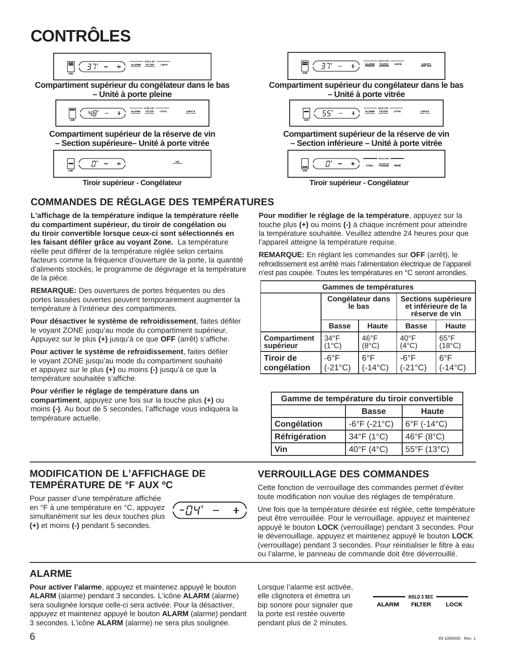# **CONTRÔLES**

| Compartition          | Supers:               |                       |                       |                       |                       |                       |                       |                       |                       |                       |                       |                       |                       |                       |                       |                       |                       |                       |                       |                       |                       |                       |                       |                       |       |
|-----------------------|-----------------------|-----------------------|-----------------------|-----------------------|-----------------------|-----------------------|-----------------------|-----------------------|-----------------------|-----------------------|-----------------------|-----------------------|-----------------------|-----------------------|-----------------------|-----------------------|-----------------------|-----------------------|-----------------------|-----------------------|-----------------------|-----------------------|-----------------------|-----------------------|-------|
| \n $\frac{1}{\pi}$ \n | \n $\frac{1}{\pi}$ \n | \n $\frac{1}{\pi}$ \n |                       |                       |                       |                       |                       |                       |                       |                       |                       |                       |                       |                       |                       |                       |                       |                       |                       |                       |                       |                       |                       |                       |       |
| \n $\frac{1}{\pi}$ \n | \n $\frac{1}{\pi}$ \n | \n $\frac{1}{\pi}$ \n |                       |                       |                       |                       |                       |                       |                       |                       |                       |                       |                       |                       |                       |                       |                       |                       |                       |                       |                       |                       |                       |                       |       |
| \n $\frac{1}{\pi}$ \n | \n $\frac{1}{\pi}$ \n | \n $\frac{1}{\pi}$ \n | \n $\frac{1}{\pi}$ \n | \n $\frac{1}{\pi}$ \n | \n $\frac{1}{\pi}$ \n | \n $\frac{1}{\pi}$ \n | \n $\frac{1}{\pi}$ \n | \n $\frac{1}{\pi}$ \n | \n $\frac{1}{\pi}$ \n | \n $\frac{1}{\pi}$ \n | \n $\frac{1}{\pi}$ \n | \n $\frac{1}{\pi}$ \n | \n $\frac{1}{\pi}$ \n | \n $\frac{1}{\pi}$ \n | \n $\frac{1}{\pi}$ \n | \n $\frac{1}{\pi}$ \n | \n $\frac{1}{\pi}$ \n | \n $\frac{1}{\pi}$ \n | \n $\frac{1}{\pi}$ \n | \n $\frac{1}{\pi}$ \n | \n $\frac{1}{\pi}$ \n | \n $\frac{1}{\pi}$ \n | \n $\frac{1}{\pi}$ \n | \n $\frac{1}{\pi}$ \n | \n $$ |

**Tiroir supérieur - Congélateur Tiroir supérieur - Congélateur**

# **COMMANDES DE RÉGLAGE DES TEMPÉRATURES**

**L'affichage de la température indique la température réelle du compartiment supérieur, du tiroir de congélation ou du tiroir convertible lorsque ceux-ci sont sélectionnés en les faisant défiler grâce au voyant Zone.** La température réelle peut différer de la température réglée selon certains facteurs comme la fréquence d'ouverture de la porte, la quantité d'aliments stockés, le programme de dégivrage et la température de la pièce.

**REMARQUE:** Des ouvertures de portes fréquentes ou des portes laissées ouvertes peuvent temporairement augmenter la température à l'intérieur des compartiments.

**Pour désactiver le système de refroidissement**, faites défiler le voyant ZONE jusqu'au mode du compartiment supérieur. Appuyez sur le plus **(+)** jusqu'à ce que **OFF** (arrêt) s'affiche.

**Pour activer le système de refroidissement**, faites défiler le voyant ZONE jusqu'au mode du compartiment souhaité et appuyez sur le plus **(+)** ou moins **(-)** jusqu'à ce que la température souhaitée s'affiche.

#### **Pour vérifier le réglage de température dans un**

**compartiment**, appuyez une fois sur la touche plus **(+)** ou moins **(-)**. Au bout de 5 secondes, l'affichage vous indiquera la température actuelle.

### **MODIFICATION DE L'AFFICHAGE DE TEMPÉRATURE DE °F AUX ºC**

Pour passer d'une température affichée en °F à une température en °C, appuyez simultanément sur les deux touches plus **(+)** et moins **(-)** pendant 5 secondes.



#### **Pour modifier le réglage de la température**, appuyez sur la touche plus **(+)** ou moins **(-)** à chaque incrément pour atteindre la température souhaitée. Veuillez attendre 24 heures pour que l'appareil atteigne la température requise.

**REMARQUE:** En réglant les commandes sur **OFF** (arrêt), le refroidissement est arrêté mais l'alimentation électrique de l'appareil n'est pas coupée. Toutes les températures en °C seront arrondies.

| Gammes de températures           |                                    |                                   |                                                              |                                   |
|----------------------------------|------------------------------------|-----------------------------------|--------------------------------------------------------------|-----------------------------------|
|                                  | <b>Congélateur dans</b><br>le bas  |                                   | Sections supérieure<br>et inférieure de la<br>réserve de vin |                                   |
|                                  | <b>Basse</b>                       | <b>Haute</b>                      | <b>Basse</b>                                                 | <b>Haute</b>                      |
| <b>Compartiment</b><br>supérieur | $34^{\circ}$ F<br>(1°C)            | $46^{\circ}$ F<br>$(8^{\circ}C)$  | $40^{\circ}$ F<br>$(4^{\circ}C)$                             | $65^{\circ}$ F<br>$(18^{\circ}C)$ |
| <b>Tiroir de</b><br>congélation  | $-6^{\circ}$ F<br>$(-21^{\circ}C)$ | $6^{\circ}$ F<br>$-14^{\circ}$ C) | $-6^{\circ}$ F<br>$(-21^{\circ}C)$                           | $6^{\circ}$ F<br>$-14^{\circ}$ C) |

| Gamme de température du tiroir convertible |                                   |             |  |  |
|--------------------------------------------|-----------------------------------|-------------|--|--|
| <b>Haute</b><br><b>Basse</b>               |                                   |             |  |  |
| Congélation                                | $-6^{\circ}$ F ( $-21^{\circ}$ C) | 6°F (-14°C) |  |  |
| Réfrigération                              | 34°F (1°C)                        | 46°F (8°C)  |  |  |
| Vin                                        | 40°F (4°C)                        | 55°F (13°C) |  |  |

### **VERROUILLAGE DES COMMANDES**

Cette fonction de verrouillage des commandes permet d'éviter toute modification non voulue des réglages de température.

Une fois que la température désirée est réglée, cette température peut être verrouillée. Pour le verrouillage, appuyez et maintenez appuyé le bouton **LOCK** (verrouillage) pendant 3 secondes. Pour le déverrouillage, appuyez et maintenez appuyé le bouton **LOCK** (verrouillage) pendant 3 secondes. Pour réinitialiser le filtre à eau ou l'alarme, le panneau de commande doit être déverrouillé.

### **ALARME**

**Pour activer l'alarme**, appuyez et maintenez appuyé le bouton **ALARM** (alarme) pendant 3 secondes. L'icône **ALARM** (alarme) sera soulignée lorsque celle-ci sera activée. Pour la désactiver, appuyez et maintenez appuyé le bouton **ALARM** (alarme) pendant 3 secondes. L'icône **ALARM** (alarme) ne sera plus soulignée.

Lorsque l'alarme est activée, elle clignotera et émettra un bip sonore pour signaler que la porte est restée ouverte pendant plus de 2 minutes.

|              | HOLD 3 SEC .  |             |
|--------------|---------------|-------------|
| <b>ALARM</b> | <b>FILTER</b> | <b>LOCK</b> |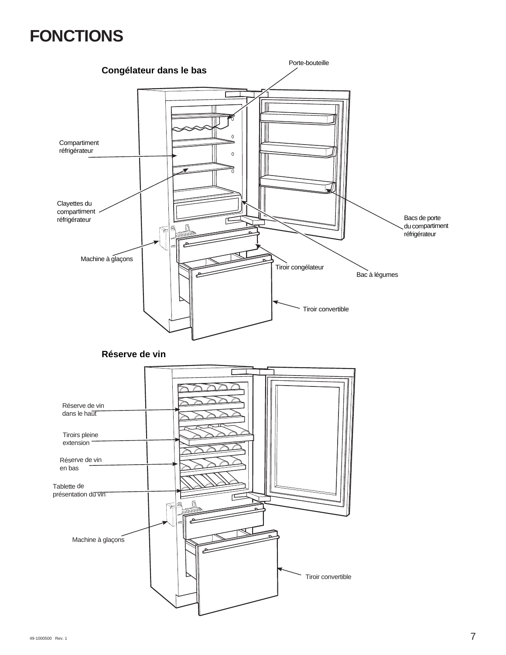# **FONCTIONS**

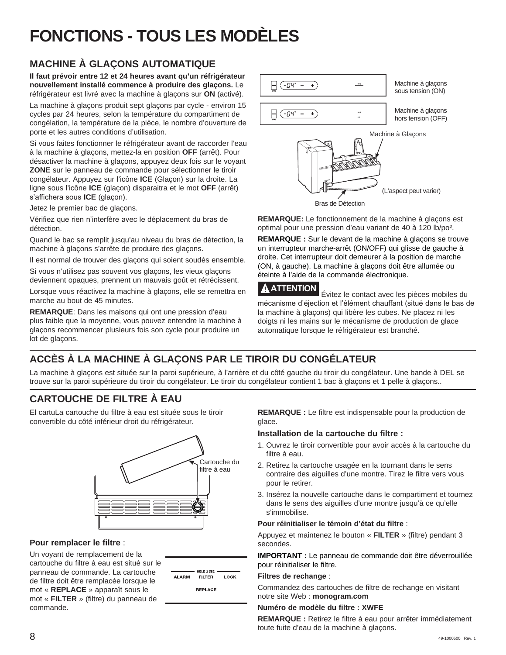# **FONCTIONS - TOUS LES MODÈLES**

# **MACHINE À GLAÇONS AUTOMATIQUE**

**Il faut prévoir entre 12 et 24 heures avant qu'un réfrigérateur nouvellement installé commence à produire des glaçons.** Le réfrigérateur est livré avec la machine à glaçons sur **ON** (activé).

La machine à glaçons produit sept glaçons par cycle - environ 15 cycles par 24 heures, selon la température du compartiment de congélation, la température de la pièce, le nombre d'ouverture de porte et les autres conditions d'utilisation.

Si vous faites fonctionner le réfrigérateur avant de raccorder l'eau à la machine à glaçons, mettez-la en position **OFF** (arrêt). Pour désactiver la machine à glaçons, appuyez deux fois sur le voyant **ZONE** sur le panneau de commande pour sélectionner le tiroir congélateur. Appuyez sur l'icône **ICE** (Glaçon) sur la droite. La ligne sous l'icône **ICE** (glaçon) disparaitra et le mot **OFF** (arrêt) s'affichera sous **ICE** (glaçon).

Jetez le premier bac de glaçons.

Vérifiez que rien n'interfère avec le déplacement du bras de détection.

Quand le bac se remplit jusqu'au niveau du bras de détection, la machine à glaçons s'arrête de produire des glaçons.

Il est normal de trouver des glaçons qui soient soudés ensemble.

Si vous n'utilisez pas souvent vos glaçons, les vieux glaçons deviennent opaques, prennent un mauvais goût et rétrécissent.

Lorsque vous réactivez la machine à glaçons, elle se remettra en marche au bout de 45 minutes.

**REMARQUE**: Dans les maisons qui ont une pression d'eau plus faible que la moyenne, vous pouvez entendre la machine à glaçons recommencer plusieurs fois son cycle pour produire un lot de glaçons.



**REMARQUE:** Le fonctionnement de la machine à glaçons est optimal pour une pression d'eau variant de 40 à 120 lb/po².

**REMARQUE :** Sur le devant de la machine à glaçons se trouve un interrupteur marche-arrêt (ON/OFF) qui glisse de gauche à droite. Cet interrupteur doit demeurer à la position de marche (ON, à gauche). La machine à glaçons doit être allumée ou éteinte à l'aide de la commande électronique.

**ATTENTION** Évitez le contact avec les pièces mobiles du mécanisme d'éjection et l'élément chauffant (situé dans le bas de la machine à glaçons) qui libère les cubes. Ne placez ni les doigts ni les mains sur le mécanisme de production de glace automatique lorsque le réfrigérateur est branché.

# **ACCÈS À LA MACHINE À GLAÇONS PAR LE TIROIR DU CONGÉLATEUR**

La machine à glaçons est située sur la paroi supérieure, à l'arrière et du côté gauche du tiroir du congélateur. Une bande à DEL se trouve sur la paroi supérieure du tiroir du congélateur. Le tiroir du congélateur contient 1 bac à glaçons et 1 pelle à glaçons..

# **CARTOUCHE DE FILTRE À EAU**

El cartuLa cartouche du filtre à eau est située sous le tiroir convertible du côté inférieur droit du réfrigérateur.



### **Pour remplacer le filtre** :

Un voyant de remplacement de la cartouche du filtre à eau est situé sur le panneau de commande. La cartouche de filtre doit être remplacée lorsque le mot « **REPLACE** » apparaît sous le mot « **FILTER** » (filtre) du panneau de commande.

| <b>ALARM</b> | HOLD 3 SEC<br><b>FILTER</b> | LOCK |
|--------------|-----------------------------|------|
|              | <b>REPLACE</b>              |      |

**REMARQUE :** Le filtre est indispensable pour la production de glace.

### **Installation de la cartouche du filtre :**

- 1. Ouvrez le tiroir convertible pour avoir accès à la cartouche du filtre à eau.
- 2. Retirez la cartouche usagée en la tournant dans le sens contraire des aiguilles d'une montre. Tirez le filtre vers vous pour le retirer.
- 3. Insérez la nouvelle cartouche dans le compartiment et tournez dans le sens des aiguilles d'une montre jusqu'à ce qu'elle s'immobilise.

#### **Pour réinitialiser le témoin d'état du filtre** :

Appuyez et maintenez le bouton « **FILTER** » (filtre) pendant 3 secondes.

**IMPORTANT :** Le panneau de commande doit être déverrouillée pour réinitialiser le filtre.

#### **Filtres de rechange** :

Commandez des cartouches de filtre de rechange en visitant notre site Web : **monogram.com**

#### **Numéro de modèle du filtre : XWFE**

**REMARQUE :** Retirez le filtre à eau pour arrêter immédiatement toute fuite d'eau de la machine à glaçons.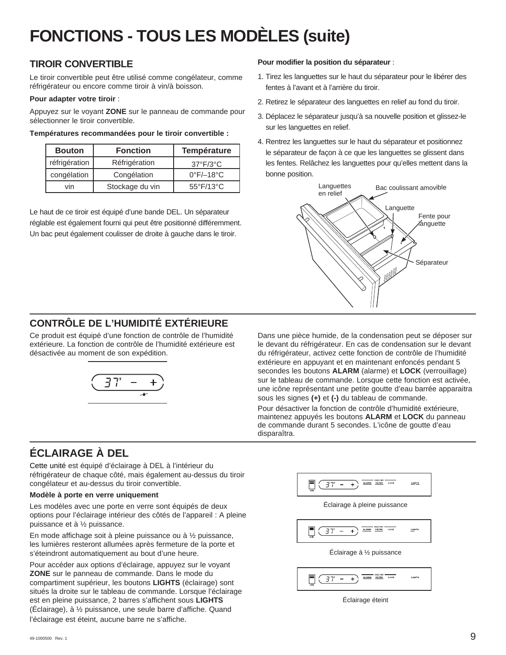# **FONCTIONS - TOUS LES MODÈLES (suite)**

### **TIROIR CONVERTIBLE**

Le tiroir convertible peut être utilisé comme congélateur, comme réfrigérateur ou encore comme tiroir à vin/à boisson.

#### **Pour adapter votre tiroir** :

Appuyez sur le voyant **ZONE** sur le panneau de commande pour sélectionner le tiroir convertible.

#### **Températures recommandées pour le tiroir convertible :**

| <b>Bouton</b> | <b>Fonction</b> | Température                    |
|---------------|-----------------|--------------------------------|
| réfrigération | Réfrigération   | $37^{\circ}F/3^{\circ}C$       |
| congélation   | Congélation     | $0^{\circ}$ F/ $-18^{\circ}$ C |
| vin           | Stockage du vin | 55°F/13°C                      |

Le haut de ce tiroir est équipé d'une bande DEL. Un séparateur réglable est également fourni qui peut être positionné différemment. Un bac peut également coulisser de droite à gauche dans le tiroir.

#### **Pour modifier la position du séparateur** :

- 1. Tirez les languettes sur le haut du séparateur pour le libérer des fentes à l'avant et à l'arrière du tiroir.
- 2. Retirez le séparateur des languettes en relief au fond du tiroir.
- 3. Déplacez le séparateur jusqu'à sa nouvelle position et glissez-le sur les languettes en relief.
- 4. Rentrez les languettes sur le haut du séparateur et positionnez le séparateur de façon à ce que les languettes se glissent dans les fentes. Relâchez les languettes pour qu'elles mettent dans la bonne position.



## **CONTRÔLE DE L'HUMIDITÉ EXTÉRIEURE**

Ce produit est équipé d'une fonction de contrôle de l'humidité extérieure. La fonction de contrôle de l'humidité extérieure est désactivée au moment de son expédition.



Dans une pièce humide, de la condensation peut se déposer sur le devant du réfrigérateur. En cas de condensation sur le devant du réfrigérateur, activez cette fonction de contrôle de l'humidité extérieure en appuyant et en maintenant enfoncés pendant 5 secondes les boutons **ALARM** (alarme) et **LOCK** (verrouillage) sur le tableau de commande. Lorsque cette fonction est activée, une icône représentant une petite goutte d'eau barrée apparaitra sous les signes **(+)** et **(-)** du tableau de commande.

Pour désactiver la fonction de contrôle d'humidité extérieure, maintenez appuyés les boutons **ALARM** et **LOCK** du panneau de commande durant 5 secondes. L'icône de goutte d'eau disparaîtra.

# **ÉCLAIRAGE À DEL**

Cette unité est équipé d'éclairage à DEL à l'intérieur du réfrigérateur de chaque côté, mais également au-dessus du tiroir congélateur et au-dessus du tiroir convertible.

#### **Modèle à porte en verre uniquement**

Les modèles avec une porte en verre sont équipés de deux options pour l'éclairage intérieur des côtés de l'appareil : A pleine puissance et à ½ puissance.

En mode affichage soit à pleine puissance ou à ½ puissance, les lumières resteront allumées après fermeture de la porte et s'éteindront automatiquement au bout d'une heure.

Pour accéder aux options d'éclairage, appuyez sur le voyant **ZONE** sur le panneau de commande. Dans le mode du compartiment supérieur, les boutons **LIGHTS** (éclairage) sont situés la droite sur le tableau de commande. Lorsque l'éclairage est en pleine puissance, 2 barres s'affichent sous **LIGHTS** (Éclairage), à ½ puissance, une seule barre d'affiche. Quand l'éclairage est éteint, aucune barre ne s'affiche.



Éclairage éteint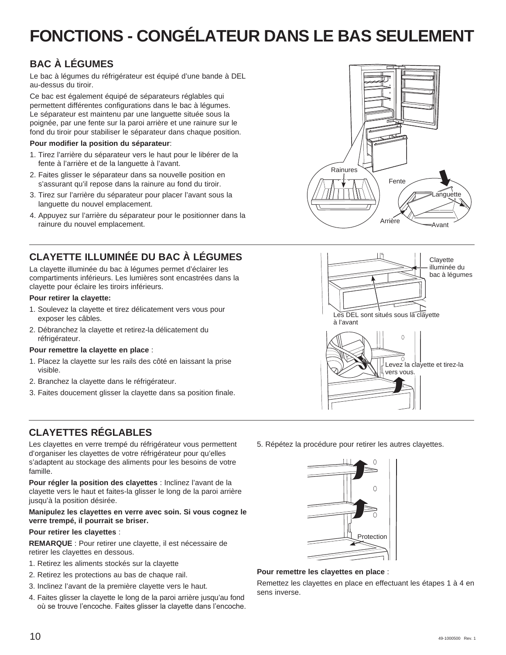# **FONCTIONS - CONGÉLATEUR DANS LE BAS SEULEMENT**

# **BAC À LÉGUMES**

Le bac à légumes du réfrigérateur est équipé d'une bande à DEL au-dessus du tiroir.

Ce bac est également équipé de séparateurs réglables qui permettent différentes configurations dans le bac à légumes. Le séparateur est maintenu par une languette située sous la poignée, par une fente sur la paroi arrière et une rainure sur le fond du tiroir pour stabiliser le séparateur dans chaque position.

#### **Pour modifier la position du séparateur**:

- 1. Tirez l'arrière du séparateur vers le haut pour le libérer de la fente à l'arrière et de la languette à l'avant.
- 2. Faites glisser le séparateur dans sa nouvelle position en s'assurant qu'il repose dans la rainure au fond du tiroir.
- 3. Tirez sur l'arrière du séparateur pour placer l'avant sous la languette du nouvel emplacement.
- 4. Appuyez sur l'arrière du séparateur pour le positionner dans la rainure du nouvel emplacement.

# **CLAYETTE ILLUMINÉE DU BAC À LÉGUMES**

La clayette illuminée du bac à légumes permet d'éclairer les compartiments inférieurs. Les lumières sont encastrées dans la clayette pour éclaire les tiroirs inférieurs.

#### **Pour retirer la clayette:**

- 1. Soulevez la clayette et tirez délicatement vers vous pour exposer les câbles.
- 2. Débranchez la clayette et retirez-la délicatement du réfrigérateur.

#### **Pour remettre la clayette en place** :

- 1. Placez la clayette sur les rails des côté en laissant la prise visible.
- 2. Branchez la clayette dans le réfrigérateur.
- 3. Faites doucement glisser la clayette dans sa position finale.

# **CLAYETTES RÉGLABLES**

Les clayettes en verre trempé du réfrigérateur vous permettent d'organiser les clayettes de votre réfrigérateur pour qu'elles s'adaptent au stockage des aliments pour les besoins de votre famille.

**Pour régler la position des clayettes** : Inclinez l'avant de la clayette vers le haut et faites-la glisser le long de la paroi arrière jusqu'à la position désirée.

#### **Manipulez les clayettes en verre avec soin. Si vous cognez le verre trempé, il pourrait se briser.**

#### **Pour retirer les clayettes** :

**REMARQUE** : Pour retirer une clayette, il est nécessaire de retirer les clayettes en dessous.

- 1. Retirez les aliments stockés sur la clayette
- 2. Retirez les protections au bas de chaque rail.
- 3. Inclinez l'avant de la première clayette vers le haut.
- 4. Faites glisser la clayette le long de la paroi arrière jusqu'au fond où se trouve l'encoche. Faites glisser la clayette dans l'encoche.





5. Répétez la procédure pour retirer les autres clayettes.



#### **Pour remettre les clayettes en place** :

Remettez les clayettes en place en effectuant les étapes 1 à 4 en sens inverse.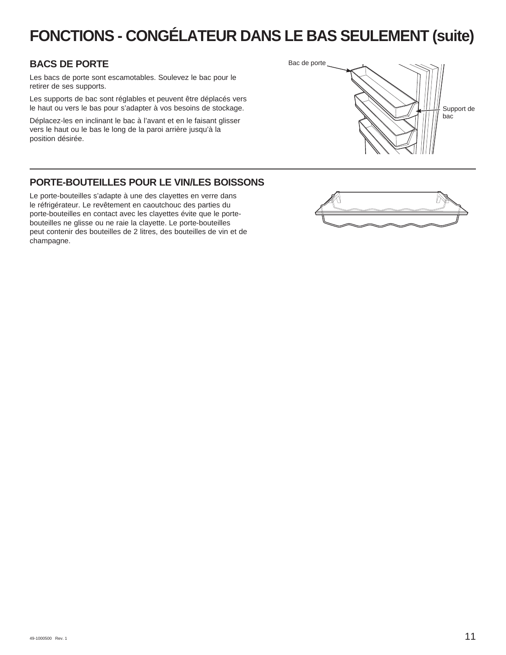# **FONCTIONS - CONGÉLATEUR DANS LE BAS SEULEMENT (suite)**

### **BACS DE PORTE**

Les bacs de porte sont escamotables. Soulevez le bac pour le retirer de ses supports.

Les supports de bac sont réglables et peuvent être déplacés vers le haut ou vers le bas pour s'adapter à vos besoins de stockage.

Déplacez-les en inclinant le bac à l'avant et en le faisant glisser vers le haut ou le bas le long de la paroi arrière jusqu'à la position désirée.



### **PORTE-BOUTEILLES POUR LE VIN/LES BOISSONS**

Le porte-bouteilles s'adapte à une des clayettes en verre dans le réfrigérateur. Le revêtement en caoutchouc des parties du porte-bouteilles en contact avec les clayettes évite que le portebouteilles ne glisse ou ne raie la clayette. Le porte-bouteilles peut contenir des bouteilles de 2 litres, des bouteilles de vin et de champagne.

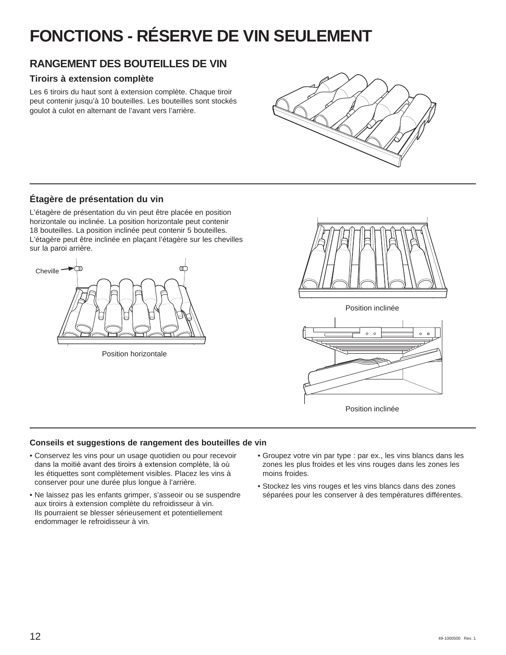# **FONCTIONS - RÉSERVE DE VIN SEULEMENT**

# **RANGEMENT DES BOUTEILLES DE VIN**

### **Tiroirs à extension complète**

Les 6 tiroirs du haut sont à extension complète. Chaque tiroir peut contenir jusqu'à 10 bouteilles. Les bouteilles sont stockés goulot à culot en alternant de l'avant vers l'arrière.



### **Étagère de présentation du vin**

L'étagère de présentation du vin peut être placée en position horizontale ou inclinée. La position horizontale peut contenir 18 bouteilles. La position inclinée peut contenir 5 bouteilles. L'étagère peut être inclinée en plaçant l'étagère sur les chevilles sur la paroi arrière.



Position horizontale



Position inclinée

![](_page_31_Figure_11.jpeg)

Position inclinée

### **Conseils et suggestions de rangement des bouteilles de vin**

- Conservez les vins pour un usage quotidien ou pour recevoir dans la moitié avant des tiroirs à extension complète, là où les étiquettes sont complètement visibles. Placez les vins à conserver pour une durée plus longue à l'arrière.
- Ne laissez pas les enfants grimper, s'asseoir ou se suspendre aux tiroirs à extension complète du refroidisseur à vin. Ils pourraient se blesser sérieusement et potentiellement endommager le refroidisseur à vin.
- Groupez votre vin par type : par ex., les vins blancs dans les zones les plus froides et les vins rouges dans les zones les moins froides.
- Stockez les vins rouges et les vins blancs dans des zones séparées pour les conserver à des températures différentes.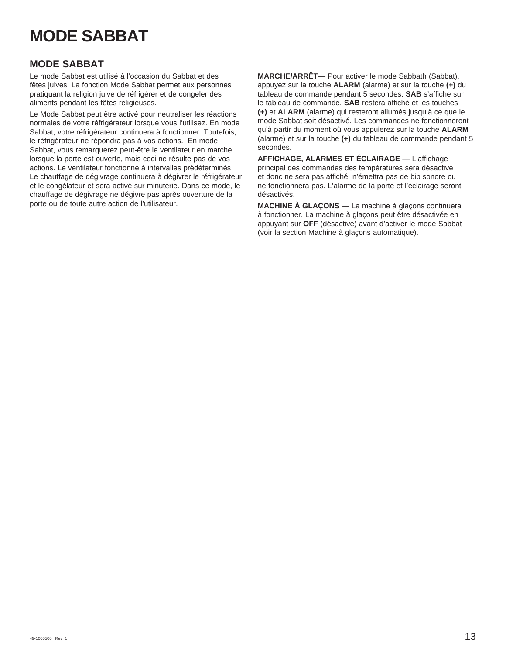# **MODE SABBAT**

### **MODE SABBAT**

Le mode Sabbat est utilisé à l'occasion du Sabbat et des fêtes juives. La fonction Mode Sabbat permet aux personnes pratiquant la religion juive de réfrigérer et de congeler des aliments pendant les fêtes religieuses.

Le Mode Sabbat peut être activé pour neutraliser les réactions normales de votre réfrigérateur lorsque vous l'utilisez. En mode Sabbat, votre réfrigérateur continuera à fonctionner. Toutefois, le réfrigérateur ne répondra pas à vos actions. En mode Sabbat, vous remarquerez peut-être le ventilateur en marche lorsque la porte est ouverte, mais ceci ne résulte pas de vos actions. Le ventilateur fonctionne à intervalles prédéterminés. Le chauffage de dégivrage continuera à dégivrer le réfrigérateur et le congélateur et sera activé sur minuterie. Dans ce mode, le chauffage de dégivrage ne dégivre pas après ouverture de la porte ou de toute autre action de l'utilisateur.

**MARCHE/ARRÊT**— Pour activer le mode Sabbath (Sabbat), appuyez sur la touche **ALARM** (alarme) et sur la touche **(+)** du tableau de commande pendant 5 secondes. **SAB** s'affiche sur le tableau de commande. **SAB** restera affiché et les touches **(+)** et **ALARM** (alarme) qui resteront allumés jusqu'à ce que le mode Sabbat soit désactivé. Les commandes ne fonctionneront gu'à partir du moment où vous appuierez sur la touche **ALARM** (alarme) et sur la touche **(+)** du tableau de commande pendant 5 secondes.

**AFFICHAGE, ALARMES ET ÉCLAIRAGE** — L'affichage principal des commandes des températures sera désactivé et donc ne sera pas affiché, n'émettra pas de bip sonore ou ne fonctionnera pas. L'alarme de la porte et l'éclairage seront désactivés.

**MACHINE À GLAÇONS** — La machine à glaçons continuera à fonctionner. La machine à glaçons peut être désactivée en appuyant sur **OFF** (désactivé) avant d'activer le mode Sabbat (voir la section Machine à glaçons automatique).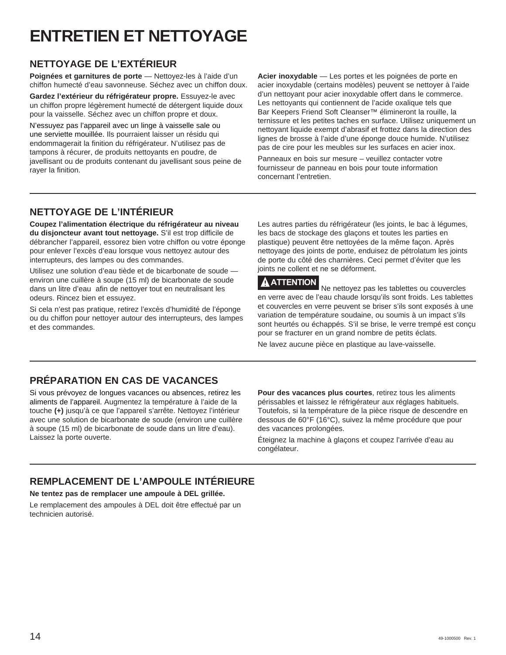# **ENTRETIEN ET NETTOYAGE**

# **NETTOYAGE DE L'EXTÉRIEUR**

**Poignées et garnitures de porte** — Nettoyez-les à l'aide d'un chiffon humecté d'eau savonneuse. Séchez avec un chiffon doux.

**Gardez l'extérieur du réfrigérateur propre.** Essuyez-le avec un chiffon propre légèrement humecté de détergent liquide doux pour la vaisselle. Séchez avec un chiffon propre et doux.

N'essuyez pas l'appareil avec un linge à vaisselle sale ou une serviette mouillée. Ils pourraient laisser un résidu qui endommagerait la finition du réfrigérateur. N'utilisez pas de tampons à récurer, de produits nettoyants en poudre, de javellisant ou de produits contenant du javellisant sous peine de rayer la finition.

**Acier inoxydable** — Les portes et les poignées de porte en acier inoxydable (certains modèles) peuvent se nettoyer à l'aide d'un nettoyant pour acier inoxydable offert dans le commerce. Les nettovants qui contiennent de l'acide oxalique tels que Bar Keepers Friend Soft Cleanser™ élimineront la rouille, la ternissure et les petites taches en surface. Utilisez uniquement un nettoyant liquide exempt d'abrasif et frottez dans la direction des lignes de brosse à l'aide d'une éponge douce humide. N'utilisez pas de cire pour les meubles sur les surfaces en acier inox.

Panneaux en bois sur mesure – veuillez contacter votre fournisseur de panneau en bois pour toute information concernant l'entretien.

# **NETTOYAGE DE L'INTÉRIEUR**

**Coupez l'alimentation électrique du réfrigérateur au niveau du disjoncteur avant tout nettoyage.** S'il est trop difficile de débrancher l'appareil, essorez bien votre chiffon ou votre éponge pour enlever l'excès d'eau lorsque vous nettoyez autour des interrupteurs, des lampes ou des commandes.

Utilisez une solution d'eau tiède et de bicarbonate de soude environ une cuillère à soupe (15 ml) de bicarbonate de soude dans un litre d'eau afin de nettoyer tout en neutralisant les odeurs. Rincez bien et essuyez.

Si cela n'est pas pratique, retirez l'excès d'humidité de l'éponge ou du chiffon pour nettoyer autour des interrupteurs, des lampes et des commandes.

Les autres parties du réfrigérateur (les joints, le bac à légumes, les bacs de stockage des glaçons et toutes les parties en plastique) peuvent être nettoyées de la même façon. Après nettoyage des joints de porte, enduisez de pétrolatum les joints de porte du côté des charnières. Ceci permet d'éviter que les joints ne collent et ne se déforment.

### **ATTENTION**

 Ne nettoyez pas les tablettes ou couvercles en verre avec de l'eau chaude lorsqu'ils sont froids. Les tablettes et couvercles en verre peuvent se briser s'ils sont exposés à une variation de température soudaine, ou soumis à un impact s'ils sont heurtés ou échappés. S'il se brise, le verre trempé est conçu pour se fracturer en un grand nombre de petits éclats.

Ne lavez aucune pièce en plastique au lave-vaisselle.

# **PRÉPARATION EN CAS DE VACANCES**

Si vous prévoyez de longues vacances ou absences, retirez les aliments de l'appareil. Augmentez la température à l'aide de la touche **(+)** jusqu'à ce que l'appareil s'arrête. Nettoyez l'intérieur avec une solution de bicarbonate de soude (environ une cuillère à soupe (15 ml) de bicarbonate de soude dans un litre d'eau). Laissez la porte ouverte.

**Pour des vacances plus courtes**, retirez tous les aliments périssables et laissez le réfrigérateur aux réglages habituels. Toutefois, si la température de la pièce risque de descendre en dessous de 60°F (16°C), suivez la même procédure que pour des vacances prolongées.

Éteignez la machine à glaçons et coupez l'arrivée d'eau au congélateur.

# **REMPLACEMENT DE L'AMPOULE INTÉRIEURE**

**Ne tentez pas de remplacer une ampoule à DEL grillée.**

Le remplacement des ampoules à DEL doit être effectué par un technicien autorisé.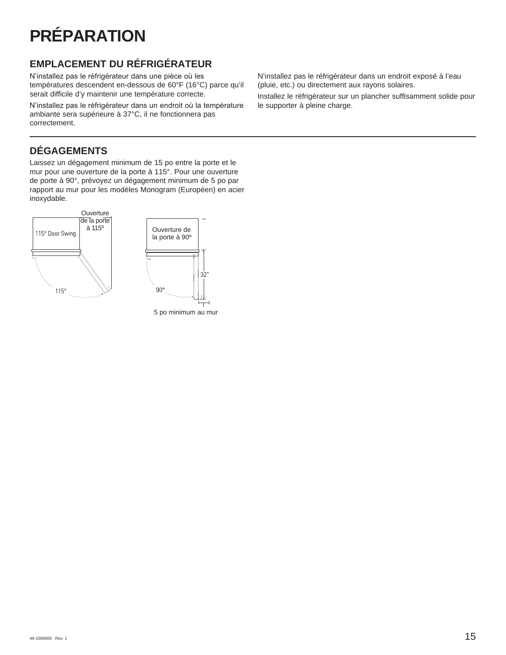# **PRÉPARATION**

# **EMPLACEMENT DU RÉFRIGÉRATEUR**

N'installez pas le réfrigérateur dans une pièce où les températures descendent en-dessous de 60°F (16°C) parce qu'il serait difficile d'y maintenir une température correcte.

N'installez pas le réfrigérateur dans un endroit où la température ambiante sera supérieure à 37°C, il ne fonctionnera pas correctement.

# **DÉGAGEMENTS**

Laissez un dégagement minimum de 15 po entre la porte et le mur pour une ouverture de la porte à 115°. Pour une ouverture de porte à 90°, prévoyez un dégagement minimum de 5 po par rapport au mur pour les modèles Monogram (Européen) en acier inoxydable.

![](_page_34_Figure_6.jpeg)

5 po minimum au mur

N'installez pas le réfrigérateur dans un endroit exposé à l'eau (pluie, etc.) ou directement aux rayons solaires.

Installez le réfrigérateur sur un plancher suffisamment solide pour le supporter à pleine charge.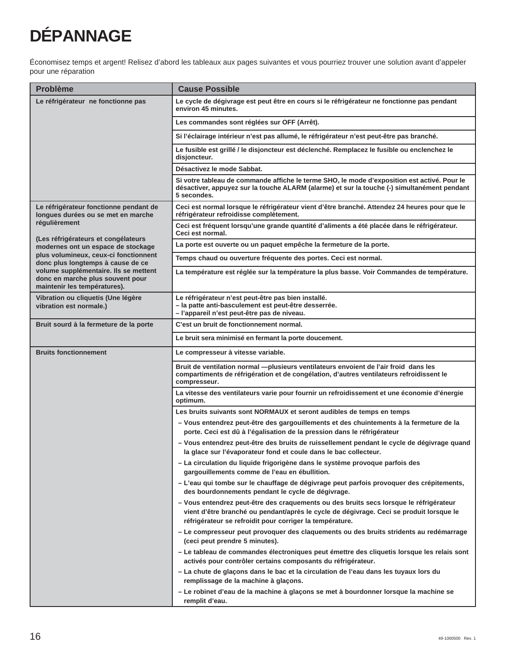# **DÉPANNAGE**

Économisez temps et argent! Relisez d'abord les tableaux aux pages suivantes et vous pourriez trouver une solution avant d'appeler pour une réparation

| <b>Problème</b>                                                                                           | <b>Cause Possible</b>                                                                                                                                                                                                                         |  |  |  |
|-----------------------------------------------------------------------------------------------------------|-----------------------------------------------------------------------------------------------------------------------------------------------------------------------------------------------------------------------------------------------|--|--|--|
| Le réfrigérateur ne fonctionne pas                                                                        | Le cycle de dégivrage est peut être en cours si le réfrigérateur ne fonctionne pas pendant<br>environ 45 minutes.                                                                                                                             |  |  |  |
|                                                                                                           | Les commandes sont réglées sur OFF (Arrêt).                                                                                                                                                                                                   |  |  |  |
|                                                                                                           | Si l'éclairage intérieur n'est pas allumé, le réfrigérateur n'est peut-être pas branché.                                                                                                                                                      |  |  |  |
|                                                                                                           | Le fusible est grillé / le disjoncteur est déclenché. Remplacez le fusible ou enclenchez le<br>disjoncteur.                                                                                                                                   |  |  |  |
|                                                                                                           | Désactivez le mode Sabbat.                                                                                                                                                                                                                    |  |  |  |
|                                                                                                           | Si votre tableau de commande affiche le terme SHO, le mode d'exposition est activé. Pour le<br>désactiver, appuyez sur la touche ALARM (alarme) et sur la touche (-) simultanément pendant<br>5 secondes.                                     |  |  |  |
| Le réfrigérateur fonctionne pendant de<br>longues durées ou se met en marche                              | Ceci est normal lorsque le réfrigérateur vient d'être branché. Attendez 24 heures pour que le<br>réfrigérateur refroidisse complètement.                                                                                                      |  |  |  |
| régulièrement                                                                                             | Ceci est fréquent lorsqu'une grande quantité d'aliments a été placée dans le réfrigérateur.<br>Ceci est normal.                                                                                                                               |  |  |  |
| (Les réfrigérateurs et congélateurs<br>modernes ont un espace de stockage                                 | La porte est ouverte ou un paquet empêche la fermeture de la porte.                                                                                                                                                                           |  |  |  |
| plus volumineux, ceux-ci fonctionnent<br>donc plus longtemps à cause de ce                                | Temps chaud ou ouverture fréquente des portes. Ceci est normal.                                                                                                                                                                               |  |  |  |
| volume supplémentaire. Ils se mettent<br>donc en marche plus souvent pour<br>maintenir les températures). | La température est réglée sur la température la plus basse. Voir Commandes de température.                                                                                                                                                    |  |  |  |
| Vibration ou cliquetis (Une légère<br>vibration est normale.)                                             | Le réfrigérateur n'est peut-être pas bien installé.<br>- la patte anti-basculement est peut-être desserrée.<br>- l'appareil n'est peut-être pas de niveau.                                                                                    |  |  |  |
| Bruit sourd à la fermeture de la porte                                                                    | C'est un bruit de fonctionnement normal.                                                                                                                                                                                                      |  |  |  |
|                                                                                                           | Le bruit sera minimisé en fermant la porte doucement.                                                                                                                                                                                         |  |  |  |
| <b>Bruits fonctionnement</b>                                                                              | Le compresseur à vitesse variable.                                                                                                                                                                                                            |  |  |  |
|                                                                                                           | Bruit de ventilation normal - plusieurs ventilateurs envoient de l'air froid dans les<br>compartiments de réfrigération et de congélation, d'autres ventilateurs refroidissent le<br>compresseur.                                             |  |  |  |
|                                                                                                           | La vitesse des ventilateurs varie pour fournir un refroidissement et une économie d'énergie<br>optimum.                                                                                                                                       |  |  |  |
|                                                                                                           | Les bruits suivants sont NORMAUX et seront audibles de temps en temps                                                                                                                                                                         |  |  |  |
|                                                                                                           | - Vous entendrez peut-être des gargouillements et des chuintements à la fermeture de la<br>porte. Ceci est dû à l'égalisation de la pression dans le réfrigérateur                                                                            |  |  |  |
|                                                                                                           | - Vous entendrez peut-être des bruits de ruissellement pendant le cycle de dégivrage quand<br>la glace sur l'évaporateur fond et coule dans le bac collecteur.                                                                                |  |  |  |
|                                                                                                           | - La circulation du liquide frigorigène dans le système provoque parfois des<br>gargouillements comme de l'eau en ébullition.                                                                                                                 |  |  |  |
|                                                                                                           | - L'eau qui tombe sur le chauffage de dégivrage peut parfois provoquer des crépitements,<br>des bourdonnements pendant le cycle de dégivrage.                                                                                                 |  |  |  |
|                                                                                                           | - Vous entendrez peut-être des craquements ou des bruits secs lorsque le réfrigérateur<br>vient d'être branché ou pendant/après le cycle de dégivrage. Ceci se produit lorsque le<br>réfrigérateur se refroidit pour corriger la température. |  |  |  |
|                                                                                                           | - Le compresseur peut provoquer des claquements ou des bruits stridents au redémarrage<br>(ceci peut prendre 5 minutes).                                                                                                                      |  |  |  |
|                                                                                                           | - Le tableau de commandes électroniques peut émettre des cliquetis lorsque les relais sont<br>activés pour contrôler certains composants du réfrigérateur.                                                                                    |  |  |  |
|                                                                                                           | - La chute de glaçons dans le bac et la circulation de l'eau dans les tuyaux lors du<br>remplissage de la machine à glaçons.                                                                                                                  |  |  |  |
|                                                                                                           | - Le robinet d'eau de la machine à glaçons se met à bourdonner lorsque la machine se<br>remplit d'eau.                                                                                                                                        |  |  |  |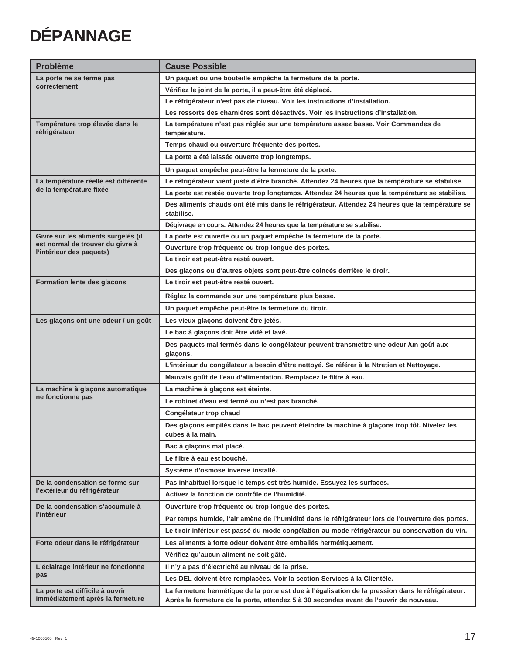# **DÉPANNAGE**

| <b>Problème</b>                                              | <b>Cause Possible</b>                                                                                           |  |  |  |
|--------------------------------------------------------------|-----------------------------------------------------------------------------------------------------------------|--|--|--|
| La porte ne se ferme pas                                     | Un paquet ou une bouteille empêche la fermeture de la porte.                                                    |  |  |  |
| correctement                                                 | Vérifiez le joint de la porte, il a peut-être été déplacé.                                                      |  |  |  |
|                                                              | Le réfrigérateur n'est pas de niveau. Voir les instructions d'installation.                                     |  |  |  |
|                                                              | Les ressorts des charnières sont désactivés. Voir les instructions d'installation.                              |  |  |  |
| Température trop élevée dans le<br>réfrigérateur             | La température n'est pas réglée sur une température assez basse. Voir Commandes de<br>température.              |  |  |  |
|                                                              | Temps chaud ou ouverture fréquente des portes.                                                                  |  |  |  |
|                                                              | La porte a été laissée ouverte trop longtemps.                                                                  |  |  |  |
|                                                              | Un paquet empêche peut-être la fermeture de la porte.                                                           |  |  |  |
| La température réelle est différente                         | Le réfrigérateur vient juste d'être branché. Attendez 24 heures que la température se stabilise.                |  |  |  |
| de la température fixée                                      | La porte est restée ouverte trop longtemps. Attendez 24 heures que la température se stabilise.                 |  |  |  |
|                                                              | Des aliments chauds ont été mis dans le réfrigérateur. Attendez 24 heures que la température se<br>stabilise.   |  |  |  |
|                                                              | Dégivrage en cours. Attendez 24 heures que la température se stabilise.                                         |  |  |  |
| Givre sur les aliments surgelés (il                          | La porte est ouverte ou un paquet empêche la fermeture de la porte.                                             |  |  |  |
| est normal de trouver du givre à<br>l'intérieur des paquets) | Ouverture trop fréquente ou trop longue des portes.                                                             |  |  |  |
|                                                              | Le tiroir est peut-être resté ouvert.                                                                           |  |  |  |
|                                                              | Des glaçons ou d'autres objets sont peut-être coincés derrière le tiroir.                                       |  |  |  |
| <b>Formation lente des glacons</b>                           | Le tiroir est peut-être resté ouvert.                                                                           |  |  |  |
|                                                              | Réglez la commande sur une température plus basse.                                                              |  |  |  |
|                                                              | Un paquet empêche peut-être la fermeture du tiroir.                                                             |  |  |  |
| Les glaçons ont une odeur / un goût                          | Les vieux glaçons doivent être jetés.                                                                           |  |  |  |
|                                                              | Le bac à glaçons doit être vidé et lavé.                                                                        |  |  |  |
|                                                              | Des paquets mal fermés dans le congélateur peuvent transmettre une odeur /un goût aux<br>glaçons.               |  |  |  |
|                                                              | L'intérieur du congélateur a besoin d'être nettoyé. Se référer à la Ntretien et Nettoyage.                      |  |  |  |
|                                                              | Mauvais goût de l'eau d'alimentation. Remplacez le filtre à eau.                                                |  |  |  |
| La machine à glacons automatique                             | La machine à glaçons est éteinte.                                                                               |  |  |  |
| ne fonctionne pas                                            | Le robinet d'eau est fermé ou n'est pas branché.                                                                |  |  |  |
|                                                              | Congélateur trop chaud                                                                                          |  |  |  |
|                                                              | Des glaçons empilés dans le bac peuvent éteindre la machine à glaçons trop tôt. Nivelez les<br>cubes à la main. |  |  |  |
|                                                              | Bac à glaçons mal placé.                                                                                        |  |  |  |
|                                                              | Le filtre à eau est bouché.                                                                                     |  |  |  |
|                                                              | Système d'osmose inverse installé.                                                                              |  |  |  |
| De la condensation se forme sur                              | Pas inhabituel lorsque le temps est très humide. Essuyez les surfaces.                                          |  |  |  |
| l'extérieur du réfrigérateur                                 | Activez la fonction de contrôle de l'humidité.                                                                  |  |  |  |
| De la condensation s'accumule à                              | Ouverture trop fréquente ou trop longue des portes.                                                             |  |  |  |
| l'intérieur                                                  | Par temps humide, l'air amène de l'humidité dans le réfrigérateur lors de l'ouverture des portes.               |  |  |  |
|                                                              | Le tiroir inférieur est passé du mode congélation au mode réfrigérateur ou conservation du vin.                 |  |  |  |
| Forte odeur dans le réfrigérateur                            | Les aliments à forte odeur doivent être emballés hermétiquement.                                                |  |  |  |
|                                                              | Vérifiez qu'aucun aliment ne soit gâté.                                                                         |  |  |  |
| L'éclairage intérieur ne fonctionne                          | Il n'y a pas d'électricité au niveau de la prise.                                                               |  |  |  |
| pas                                                          | Les DEL doivent être remplacées. Voir la section Services à la Clientèle.                                       |  |  |  |
| La porte est difficile à ouvrir                              | La fermeture hermétique de la porte est due à l'égalisation de la pression dans le réfrigérateur.               |  |  |  |
| immédiatement après la fermeture                             | Après la fermeture de la porte, attendez 5 à 30 secondes avant de l'ouvrir de nouveau.                          |  |  |  |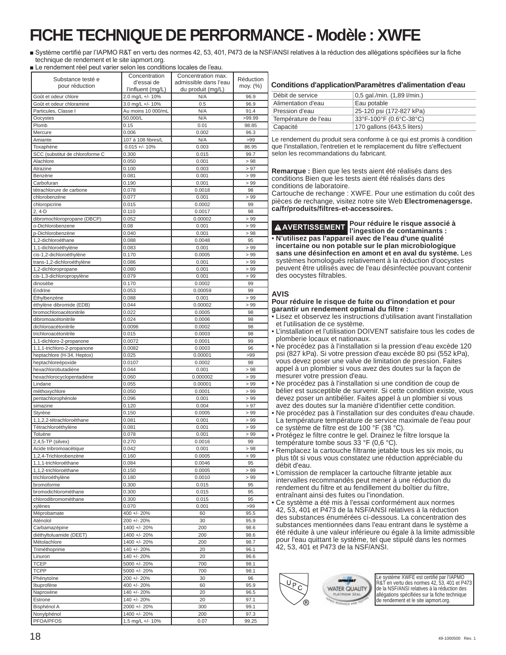# **FICHE TECHNIQUE DE PERFORMANCE - Modèle : XWFE**

 $\blacksquare$  Système certifié par l'IAPMO R&T en vertu des normes 42, 53, 401, P473 de la NSF/ANSI relatives à la réduction des allégations spécifiées sur la fiche technique de rendement et le site iapmort.org.

 $\overline{\phantom{a}}$ 

■ Le rendement réel peut varier selon les conditions locales de l'eau.

| Substance testé e<br>pour réduction               | Concentration<br>d'essai de           | Concentration max.<br>admissible dans l'eau | Réduction<br>moy. (%) | Conditions d'application/Paramètres d'alimentation d'eau                                                                                    |                                                                                                                       |  |
|---------------------------------------------------|---------------------------------------|---------------------------------------------|-----------------------|---------------------------------------------------------------------------------------------------------------------------------------------|-----------------------------------------------------------------------------------------------------------------------|--|
| Goût et odeur chlore                              | l'influent (mg/L)<br>2.0 mg/L +/- 10% | du produit (mg/L)<br>N/A                    | 96.9                  | Débit de service                                                                                                                            | 0,5 gal./min. (1,89 l/min.)                                                                                           |  |
| Goût et odeur chloramine                          | 3.0 mg/L +/- 10%                      | 0.5                                         | 96.9                  | Alimentation d'eau                                                                                                                          | Eau potable                                                                                                           |  |
| Particules, Classe I                              | Au moins 10 000/mL                    | N/A                                         | 91.4                  | Pression d'eau                                                                                                                              | 25-120 psi (172-827 kPa)                                                                                              |  |
| Oocystes                                          | 50,000/L                              | N/A                                         | >99.99                | Température de l'eau                                                                                                                        | 33°F-100°F (0.6°C-38°C)                                                                                               |  |
| Plomb                                             | 0.15                                  | 0.01                                        | 98.85                 | Capacité                                                                                                                                    | 170 gallons (643,5 liters)                                                                                            |  |
| Mercure                                           | 0.006                                 | 0.002                                       | 96.3                  |                                                                                                                                             |                                                                                                                       |  |
| Amiante                                           | 107 à 108 fibres/L                    | N/A                                         | >99                   |                                                                                                                                             | Le rendement du produit sera conforme à ce qui est promis à condition                                                 |  |
| Toxaphène                                         | $0.015 +/- 10%$                       | 0.003                                       | 86.95                 |                                                                                                                                             | que l'installation, l'entretien et le remplacement du filtre s'effectuent                                             |  |
| SCC (substitut de chloroforme C                   | 0.300                                 | 0.015                                       | 99.7                  | selon les recommandations du fabricant.                                                                                                     |                                                                                                                       |  |
| Alachlore<br>Atrazine                             | 0.050<br>0.100                        | 0.001<br>0.003                              | >98<br>> 97           |                                                                                                                                             |                                                                                                                       |  |
| Benzène                                           | 0.081                                 | 0.001                                       | > 99                  |                                                                                                                                             | Remarque : Bien que les tests aient été réalisés dans des                                                             |  |
| Carbofuran                                        | 0.190                                 | 0.001                                       | >99                   |                                                                                                                                             | conditions Bien que les tests aient été réalisés dans des                                                             |  |
| tétrachlorure de carbone                          | 0.078                                 | 0.0018                                      | 98                    | conditions de laboratoire.                                                                                                                  |                                                                                                                       |  |
| chlorobenzène                                     | 0.077                                 | 0.001                                       | >99                   |                                                                                                                                             | Cartouche de rechange : XWFE. Pour une estimation du coût des                                                         |  |
| chloropicrine                                     | 0.015                                 | 0.0002                                      | 99                    |                                                                                                                                             | pièces de rechange, visitez notre site Web Electromenagersge.                                                         |  |
| $2, 4-D$                                          | 0.110                                 | 0.0017                                      | 98                    | ca/fr/produits/filtres-et-accessoires.                                                                                                      |                                                                                                                       |  |
| dibromochloropropane (DBCP)                       | 0.052                                 | 0.00002                                     | >99                   |                                                                                                                                             |                                                                                                                       |  |
| o-Dichlorobenzene                                 | 0.08                                  | 0.001                                       | > 99                  |                                                                                                                                             | Pour réduire le risque associé à<br>A AVERTISSEMENT l'ingestion de contaminants :                                     |  |
| p-Dichlorobenzène                                 | 0.040                                 | 0.001                                       | >98                   |                                                                                                                                             | · N'utilisez pas l'appareil avec de l'eau d'une qualité                                                               |  |
| 1,2-dichloroéthane                                | 0.088                                 | 0.0048                                      | 95                    |                                                                                                                                             | incertaine ou non potable sur le plan microbiologique                                                                 |  |
| 1,1-dichloroéthylène                              | 0.083                                 | 0.001                                       | > 99                  |                                                                                                                                             | sans une désinfection en amont et en aval du système. Les                                                             |  |
| cis-1,2-dichloroéthylène                          | 0.170<br>0.086                        | 0.0005<br>0.001                             | >99<br>>99            |                                                                                                                                             | systèmes homologués relativement à la réduction d'oocystes                                                            |  |
| trans-1,2-dichloroéthylène<br>1,2-dichloropropane | 0.080                                 | 0.001                                       | >99                   |                                                                                                                                             | peuvent être utilisés avec de l'eau désinfectée pouvant contenir                                                      |  |
| cis-1,3-dichloropropylène                         | 0.079                                 | 0.001                                       | >99                   | des oocystes filtrables.                                                                                                                    |                                                                                                                       |  |
| dinosèbe                                          | 0.170                                 | 0.0002                                      | 99                    |                                                                                                                                             |                                                                                                                       |  |
| Endrine                                           | 0.053                                 | 0.00059                                     | 99                    |                                                                                                                                             |                                                                                                                       |  |
| Ethylbenzène                                      | 0.088                                 | 0.001                                       | >99                   | <b>AVIS</b>                                                                                                                                 |                                                                                                                       |  |
| éthylène dibromide (EDB)                          | 0.044                                 | 0.00002                                     | >99                   |                                                                                                                                             | Pour réduire le risque de fuite ou d'inondation et pour                                                               |  |
| bromochloroacétonitrile                           | 0.022                                 | 0.0005                                      | 98                    | garantir un rendement optimal du filtre :                                                                                                   |                                                                                                                       |  |
| dibromoacétonitrile                               | 0.024                                 | 0.0006                                      | 98                    |                                                                                                                                             | • Lisez et observez les instructions d'utilisation avant l'installation                                               |  |
| dichloroacétonitrile                              | 0.0096                                | 0.0002                                      | 98                    | et l'utilisation de ce système.<br>• L'installation et l'utilisation DOIVENT satisfaire tous les codes de<br>plomberie locaux et nationaux. |                                                                                                                       |  |
| trichloroacétonitrile                             | 0.015                                 | 0.0003                                      | 98                    |                                                                                                                                             |                                                                                                                       |  |
| 1,1-dichloro-2-propanone                          | 0.0072                                | 0.0001                                      | 99                    |                                                                                                                                             | . Ne procédez pas à l'installation si la pression d'eau excède 120                                                    |  |
| 1,1,1-trichloro-2-propanone                       | 0.0082                                | 0.0003                                      | 96                    |                                                                                                                                             | psi (827 kPa). Si votre pression d'eau excède 80 psi (552 kPa),                                                       |  |
| heptachlore (H-34, Heptox)                        | 0.025<br>0.0107                       | 0.00001<br>0.0002                           | >99<br>98             |                                                                                                                                             | vous devez poser une valve de limitation de pression. Faites                                                          |  |
| heptachloreépoxide<br>hexachlorobutadiène         | 0.044                                 | 0.001                                       | >98                   |                                                                                                                                             | appel à un plombier si vous avez des doutes sur la façon de                                                           |  |
| hexachlorocyclopentadiène                         | 0.060                                 | 0.000002                                    | > 99                  | mesurer votre pression d'eau.                                                                                                               |                                                                                                                       |  |
| Lindane                                           | 0.055                                 | 0.00001                                     | > 99                  |                                                                                                                                             | • Ne procédez pas à l'installation si une condition de coup de                                                        |  |
| méthoxychlore                                     | 0.050                                 | 0.0001                                      | > 99                  |                                                                                                                                             | bélier est susceptible de survenir. Si cette condition existe, vous                                                   |  |
| pentachlorophénole                                | 0.096                                 | 0.001                                       | >99                   |                                                                                                                                             | devez poser un antibélier. Faites appel à un plombier si vous                                                         |  |
| simazine                                          | 0.120                                 | 0.004                                       | > 97                  |                                                                                                                                             | avez des doutes sur la manière d'identifier cette condition.                                                          |  |
| Styrène                                           | 0.150                                 | 0.0005                                      | > 99                  |                                                                                                                                             | • Ne procédez pas à l'installation sur des conduites d'eau chaude.                                                    |  |
| 1,1,2,2-tétrachloroéthane                         | 0.081                                 | 0.001                                       | > 99                  |                                                                                                                                             | La température température de service maximale de l'eau pour                                                          |  |
| Tétrachloroéthylène                               | 0.081                                 | 0.001                                       | >99                   | ce système de filtre est de 100 °F (38 °C).                                                                                                 |                                                                                                                       |  |
| Toluène                                           | 0.078                                 | 0.001                                       | >99                   |                                                                                                                                             | • Protégez le filtre contre le gel. Drainez le filtre lorsque la                                                      |  |
| $2,4,5$ -TP (silvex)                              | 0.270                                 | 0.0016                                      | 99                    | température tombe sous 33 °F (0,6 °C).                                                                                                      |                                                                                                                       |  |
| Acide tribromoacétique<br>1,2,4-Trichlorobenzène  | 0.042<br>0.160                        | 0.001<br>0.0005                             | >98<br>> 99           |                                                                                                                                             | • Remplacez la cartouche filtrante jetable tous les six mois, ou                                                      |  |
| 1,1,1-trichloroéthane                             | 0.084                                 | 0.0046                                      | 95                    |                                                                                                                                             | plus tôt si vous vous constatez une réduction appréciable du                                                          |  |
| 1,1,2-trichloroéthane                             | 0.150                                 | 0.0005                                      | >99                   | débit d'eau.                                                                                                                                |                                                                                                                       |  |
| trichloroéthylène                                 | 0.180                                 | 0.0010                                      | >99                   |                                                                                                                                             | · L'omission de remplacer la cartouche filtrante jetable aux<br>intervalles recommandés peut mener à une réduction du |  |
| bromoforme                                        | 0.300                                 | 0.015                                       | 95                    |                                                                                                                                             | rendement du filtre et au fendillement du boîtier du filtre,                                                          |  |
| bromodichlorométhane                              | 0.300                                 | 0.015                                       | 95                    | entraînant ainsi des fuites ou l'inondation.                                                                                                |                                                                                                                       |  |
| chlorodibromométhane                              | 0.300                                 | 0.015                                       | 95                    |                                                                                                                                             | • Ce système a été mis à l'essai conformément aux normes                                                              |  |
| xylènes                                           | 0.070                                 | 0.001                                       | >99                   |                                                                                                                                             | 42, 53, 401 et P473 de la NSF/ANSI relatives à la réduction                                                           |  |
| Méprobamate                                       | 400 +/- 20%                           | 60                                          | 95.5                  |                                                                                                                                             | des substances énumérées ci-dessous. La concentration des                                                             |  |
| Aténolol                                          | 200 +/- 20%                           | 30                                          | 95.9                  |                                                                                                                                             | substances mentionnées dans l'eau entrant dans le système a                                                           |  |
| Carbamazépine                                     | 1400 +/- 20%                          | 200                                         | 98.6                  |                                                                                                                                             | été réduite à une valeur inférieure ou égale à la limite admissible                                                   |  |
| diéthyltoluamide (DEET)                           | 1400 +/- 20%<br>1400 +/- 20%          | 200                                         | 98.6                  |                                                                                                                                             | pour l'eau quittant le système, tel que stipulé dans les normes                                                       |  |
| Métolachlore<br>Triméthoprime                     | 140 +/- 20%                           | 200<br>20                                   | 98.7<br>96.1          | 42, 53, 401 et P473 de la NSF/ANSI.                                                                                                         |                                                                                                                       |  |
| Linuron                                           | 140 +/- 20%                           | 20                                          | 96.6                  |                                                                                                                                             |                                                                                                                       |  |
| <b>TCEP</b>                                       | 5000 +/- 20%                          | 700                                         | 98.1                  |                                                                                                                                             |                                                                                                                       |  |
| <b>TCPP</b>                                       | 5000 +/- 20%                          | 700                                         | 98.1                  |                                                                                                                                             |                                                                                                                       |  |
| Phénytoïne                                        | 200 +/- 20%                           | 30                                          | 96                    | <b>UNIVERS</b>                                                                                                                              | Le système XWFE est certifié par l'IAPMO                                                                              |  |
| Ibuprofène                                        | 400 +/- 20%                           | 60                                          | 95.9                  | $\sqrt{\nu_{\rm C}}$                                                                                                                        | R&T en vertu des normes 42, 53, 401 et P473                                                                           |  |
| Naproxène                                         | 140 +/- 20%                           | 20                                          | 96.5                  | WATER QUALITY<br>PLATINUM SEA                                                                                                               | de la NSF/ANSI relatives à la réduction des<br>allégations spécifiées sur la fiche technique                          |  |
| Estrone                                           | 140 +/- 20%                           | 20                                          | 97.1                  | <b>BESEARCH AND TV</b>                                                                                                                      | de rendement et le site iapmort.org.                                                                                  |  |
| Bisphénol A                                       | 2000 +/- 20%                          | 300                                         | 99.1                  |                                                                                                                                             |                                                                                                                       |  |
| Nonylphénol                                       | 1400 +/- 20%                          | 200                                         | 97.3                  |                                                                                                                                             |                                                                                                                       |  |
| PFOA/PFOS                                         | 1.5 mg/L +/- 10%                      | 0.07                                        | 99.25                 |                                                                                                                                             |                                                                                                                       |  |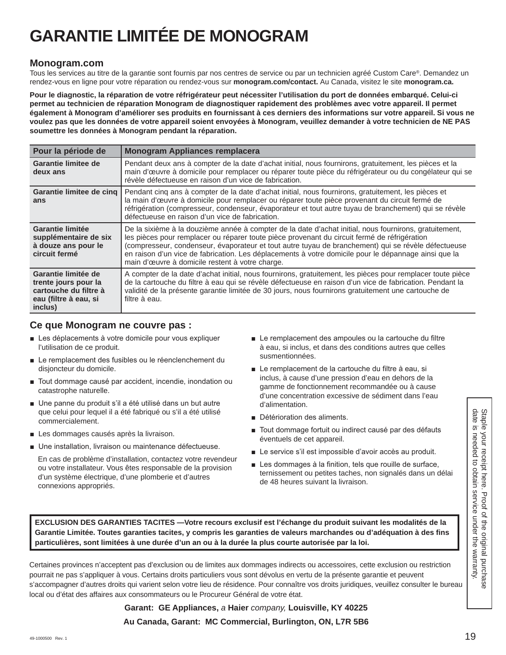# **GARANTIE LIMITÉE DE MONOGRAM**

### **Monogram.com**

Tous les services au titre de la garantie sont fournis par nos centres de service ou par un technicien agréé Custom Care®. Demandez un rendez-vous en ligne pour votre réparation ou rendez-vous sur **monogram.com/contact.** Au Canada, visitez le site **monogram.ca.**

**Pour le diagnostic, la réparation de votre réfrigérateur peut nécessiter l'utilisation du port de données embarqué. Celui-ci permet au technicien de réparation Monogram de diagnostiquer rapidement des problèmes avec votre appareil. Il permet également à Monogram d'améliorer ses produits en fournissant à ces derniers des informations sur votre appareil. Si vous ne voulez pas que les données de votre appareil soient envoyées à Monogram, veuillez demander à votre technicien de NE PAS soumettre les données à Monogram pendant la réparation.**

| Pour la période de                                                                                       | <b>Monogram Appliances remplacera</b>                                                                                                                                                                                                                                                                                                                                                                                                                                    |
|----------------------------------------------------------------------------------------------------------|--------------------------------------------------------------------------------------------------------------------------------------------------------------------------------------------------------------------------------------------------------------------------------------------------------------------------------------------------------------------------------------------------------------------------------------------------------------------------|
| Garantie limitee de<br>deux ans                                                                          | Pendant deux ans à compter de la date d'achat initial, nous fournirons, gratuitement, les pièces et la<br>main d'œuvre à domicile pour remplacer ou réparer toute pièce du réfrigérateur ou du congélateur qui se<br>révèle défectueuse en raison d'un vice de fabrication.                                                                                                                                                                                              |
| Garantie limitee de cing<br>ans                                                                          | Pendant cing ans à compter de la date d'achat initial, nous fournirons, gratuitement, les pièces et<br>la main d'œuvre à domicile pour remplacer ou réparer toute pièce provenant du circuit fermé de<br>réfrigération (compresseur, condenseur, évaporateur et tout autre tuyau de branchement) qui se révèle<br>défectueuse en raison d'un vice de fabrication.                                                                                                        |
| Garantie limitée<br>supplémentaire de six<br>à douze ans pour le<br>circuit fermé                        | De la sixième à la douzième année à compter de la date d'achat initial, nous fournirons, gratuitement,<br>les pièces pour remplacer ou réparer toute pièce provenant du circuit fermé de réfrigération<br>(compresseur, condenseur, évaporateur et tout autre tuyau de branchement) qui se révèle défectueuse<br>en raison d'un vice de fabrication. Les déplacements à votre domicile pour le dépannage ainsi que la<br>main d'œuvre à domicile restent à votre charge. |
| Garantie limitée de<br>trente jours pour la<br>cartouche du filtre à<br>eau (filtre à eau, si<br>inclus) | A compter de la date d'achat initial, nous fournirons, gratuitement, les pièces pour remplacer toute pièce<br>de la cartouche du filtre à eau qui se révèle défectueuse en raison d'un vice de fabrication. Pendant la<br>validité de la présente garantie limitée de 30 jours, nous fournirons gratuitement une cartouche de<br>filtre à eau.                                                                                                                           |

### **Ce que Monogram ne couvre pas :**

- E Les déplacements à votre domicile pour vous expliquer l'utilisation de ce produit.
- E Le remplacement des fusibles ou le réenclenchement du disjoncteur du domicile.
- Tout dommage causé par accident, incendie, inondation ou catastrophe naturelle.
- Une panne du produit s'il a été utilisé dans un but autre que celui pour lequel il a été fabriqué ou s'il a été utilisé commercialement.
- Les dommages causés après la livraison.
- Une installation, livraison ou maintenance défectueuse.

 En cas de problème d'installation, contactez votre revendeur ou votre installateur. Vous êtes responsable de la provision d'un système électrique, d'une plomberie et d'autres connexions appropriés.

- $\blacksquare$  Le remplacement des ampoules ou la cartouche du filtre à eau, si inclus, et dans des conditions autres que celles susmentionnées.
- Le remplacement de la cartouche du filtre à eau, si inclus, à cause d'une pression d'eau en dehors de la gamme de fonctionnement recommandée ou à cause d'une concentration excessive de sédiment dans l'eau d'alimentation.
- Détérioration des aliments.
- Tout dommage fortuit ou indirect causé par des défauts éventuels de cet appareil.
- Le service s'il est impossible d'avoir accès au produit.
- Les dommages à la finition, tels que rouille de surface, ternissement ou petites taches, non signalés dans un délai de 48 heures suivant la livraison.

**EXCLUSION DES GARANTIES TACITES —Votre recours exclusif est l'échange du produit suivant les modalités de la Garantie Limitée. Toutes garanties tacites, y compris les garanties de valeurs marchandes ou d'adéquation à des fins particulières, sont limitées à une durée d'un an ou à la durée la plus courte autorisée par la loi.**

Certaines provinces n'acceptent pas d'exclusion ou de limites aux dommages indirects ou accessoires, cette exclusion ou restriction pourrait ne pas s'appliquer à vous. Certains droits particuliers vous sont dévolus en vertu de la présente garantie et peuvent s'accompagner d'autres droits qui varient selon votre lieu de résidence. Pour connaître vos droits juridiques, veuillez consulter le bureau local ou d'état des affaires aux consommateurs ou le Procureur Général de votre état.

> **Garant: GE Appliances,** *a* **Haier** *company,* **Louisville, KY 40225 Au Canada, Garant: MC Commercial, Burlington, ON, L7R 5B6**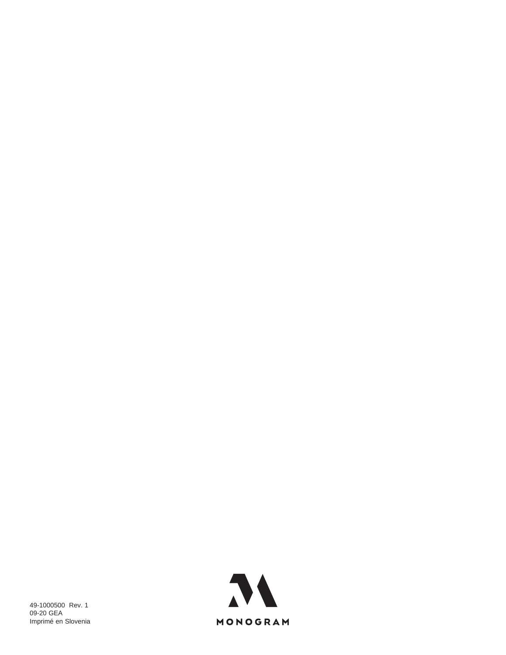![](_page_39_Picture_0.jpeg)

![](_page_39_Picture_1.jpeg)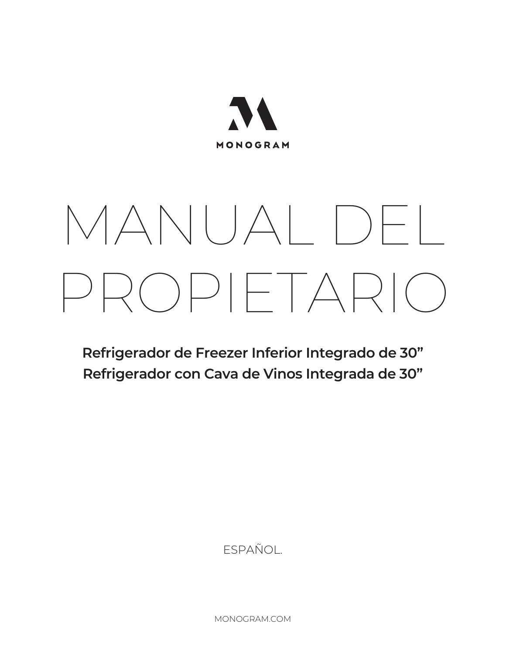![](_page_40_Picture_0.jpeg)

# MANUAL DEL PROPIETARIO

**Refrigerador de Freezer Inferior Integrado de 30" Refrigerador con Cava de Vinos Integrada de 30"**

ESPAÑOL.

MONOGRAM.COM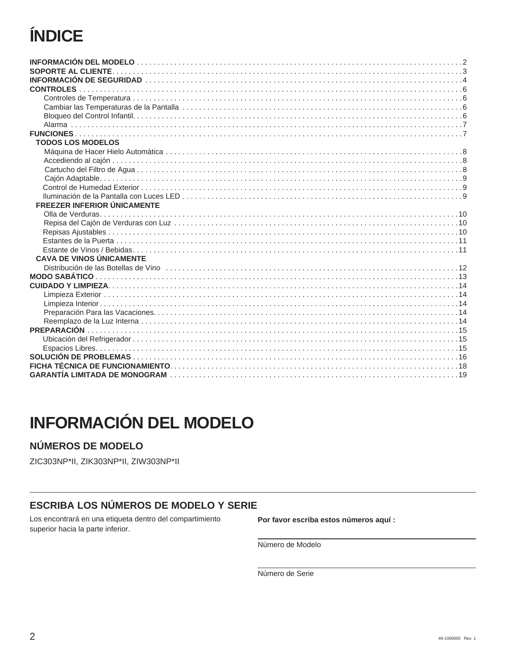# ÍNDICE

| <b>TODOS LOS MODELOS</b>           |
|------------------------------------|
|                                    |
|                                    |
|                                    |
|                                    |
|                                    |
|                                    |
| <b>FREEZER INFERIOR ÚNICAMENTE</b> |
|                                    |
|                                    |
|                                    |
|                                    |
|                                    |
| <b>CAVA DE VINOS ÚNICAMENTE</b>    |
|                                    |
|                                    |
|                                    |
|                                    |
|                                    |
|                                    |
|                                    |
|                                    |
|                                    |
|                                    |
|                                    |
|                                    |
|                                    |

# **INFORMACIÓN DEL MODELO**

# NÚMEROS DE MODELO

ZIC303NP\*II, ZIK303NP\*II, ZIW303NP\*II

### **ESCRIBA LOS NÚMEROS DE MODELO Y SERIE**

Los encontrará en una etiqueta dentro del compartimiento superior hacia la parte inferior.

Por favor escriba estos números aquí :

Número de Modelo

Número de Serie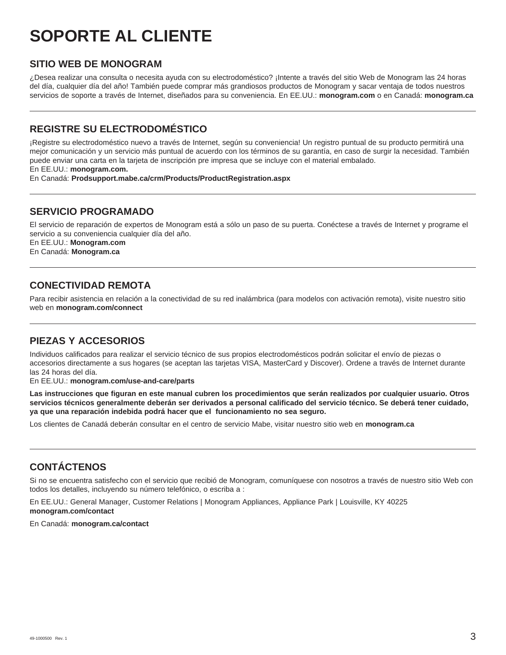# **SOPORTE AL CLIENTE**

### **SITIO WEB DE MONOGRAM**

¿Desea realizar una consulta o necesita ayuda con su electrodoméstico? ¡Intente a través del sitio Web de Monogram las 24 horas del día, cualquier día del año! También puede comprar más grandiosos productos de Monogram y sacar ventaja de todos nuestros servicios de soporte a través de Internet, diseñados para su conveniencia. En EE.UU.: **monogram.com** o en Canadá: **monogram.ca**

### **REGISTRE SU ELECTRODOMÉSTICO**

¡Registre su electrodoméstico nuevo a través de Internet, según su conveniencia! Un registro puntual de su producto permitirá una mejor comunicación y un servicio más puntual de acuerdo con los términos de su garantía, en caso de surgir la necesidad. También puede enviar una carta en la tarjeta de inscripción pre impresa que se incluye con el material embalado.

En EE.UU.: **monogram.com.** 

En Canadá: **Prodsupport.mabe.ca/crm/Products/ProductRegistration.aspx**

### **SERVICIO PROGRAMADO**

El servicio de reparación de expertos de Monogram está a sólo un paso de su puerta. Conéctese a través de Internet y programe el servicio a su conveniencia cualquier día del año.

En EE.UU.: **Monogram.com**  En Canadá: **Monogram.ca**

### **CONECTIVIDAD REMOTA**

Para recibir asistencia en relación a la conectividad de su red inalámbrica (para modelos con activación remota), visite nuestro sitio web en **monogram.com/connect**

### **PIEZAS Y ACCESORIOS**

Individuos calificados para realizar el servicio técnico de sus propios electrodomésticos podrán solicitar el envío de piezas o accesorios directamente a sus hogares (se aceptan las tarjetas VISA, MasterCard y Discover). Ordene a través de Internet durante las 24 horas del día.

En EE.UU.: **monogram.com/use-and-care/parts**

**Las instrucciones que figuran en este manual cubren los procedimientos que serán realizados por cualquier usuario. Otros servicios técnicos generalmente deberán ser derivados a personal calificado del servicio técnico. Se deberá tener cuidado, ya que una reparación indebida podrá hacer que el funcionamiento no sea seguro.**

Los clientes de Canadá deberán consultar en el centro de servicio Mabe, visitar nuestro sitio web en **monogram.ca**

### **CONTÁCTENOS**

Si no se encuentra satisfecho con el servicio que recibió de Monogram, comuníquese con nosotros a través de nuestro sitio Web con todos los detalles, incluyendo su número telefónico, o escriba a :

En EE.UU.: General Manager, Customer Relations | Monogram Appliances, Appliance Park | Louisville, KY 40225 **monogram.com/contact**

En Canadá: **monogram.ca/contact**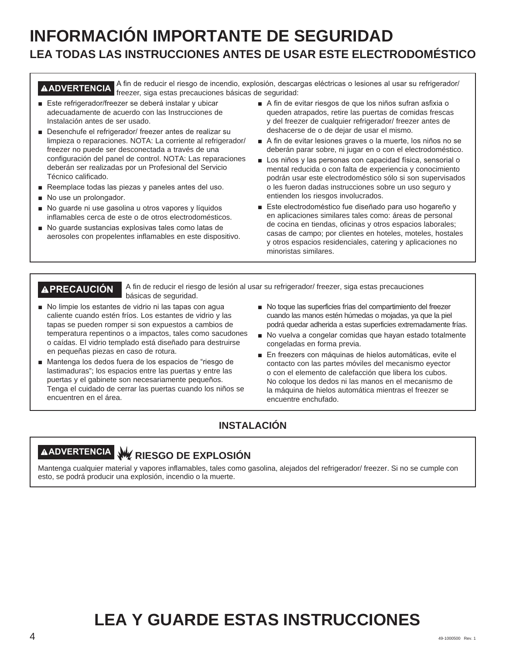# **INFORMACIÓN IMPORTANTE DE SEGURIDAD LEA TODAS LAS INSTRUCCIONES ANTES DE USAR ESTE ELECTRODOMÉSTICO**

A ADVERTENCIA <sup>A fin</sup> de reducir el riesgo de incendio, explosión, descargas eléctricas o lesiones al usar su refrigerador/ freezer, siga estas precauciones básicas de seguridad:

- Este refrigerador/freezer se deberá instalar y ubicar adecuadamente de acuerdo con las Instrucciones de Instalación antes de ser usado.
- Desenchufe el refrigerador/ freezer antes de realizar su limpieza o reparaciones. NOTA: La corriente al refrigerador/ freezer no puede ser desconectada a través de una configuración del panel de control. NOTA: Las reparaciones deberán ser realizadas por un Profesional del Servicio Técnico calificado.
- $\blacksquare$  Reemplace todas las piezas y paneles antes del uso.
- $\blacksquare$  No use un prolongador.
- $\blacksquare$  No guarde ni use gasolina u otros vapores y líquidos inflamables cerca de este o de otros electrodomésticos.
- No quarde sustancias explosivas tales como latas de aerosoles con propelentes inflamables en este dispositivo.
- A fin de evitar riesgos de que los niños sufran asfixia o queden atrapados, retire las puertas de comidas frescas y del freezer de cualquier refrigerador/ freezer antes de deshacerse de o de dejar de usar el mismo.
- A fin de evitar lesiones graves o la muerte, los niños no se deberán parar sobre, ni jugar en o con el electrodoméstico.
- Los niños y las personas con capacidad física, sensorial o mental reducida o con falta de experiencia y conocimiento podrán usar este electrodoméstico sólo si son supervisados o les fueron dadas instrucciones sobre un uso seguro y entienden los riesgos involucrados.
- Este electrodoméstico fue diseñado para uso hogareño y en aplicaciones similares tales como: áreas de personal de cocina en tiendas, oficinas y otros espacios laborales; casas de campo; por clientes en hoteles, moteles, hostales y otros espacios residenciales, catering y aplicaciones no minoristas similares.

**PRECAUCIÓN** A fin de reducir el riesgo de lesión al usar su refrigerador/ freezer, siga estas precauciones básicas de seguridad.

- No limpie los estantes de vidrio ni las tapas con agua caliente cuando estén fríos. Los estantes de vidrio y las tapas se pueden romper si son expuestos a cambios de temperatura repentinos o a impactos, tales como sacudones o caídas. El vidrio templado está diseñado para destruirse en pequeñas piezas en caso de rotura.
- Mantenga los dedos fuera de los espacios de "riesgo de lastimaduras"; los espacios entre las puertas y entre las puertas y el gabinete son necesariamente pequeños. Tenga el cuidado de cerrar las puertas cuando los niños se encuentren en el área.
- No toque las superficies frías del compartimiento del freezer cuando las manos estén húmedas o mojadas, ya que la piel podrá quedar adherida a estas superficies extremadamente frías.
- No vuelva a congelar comidas que hayan estado totalmente congeladas en forma previa.
- En freezers con máquinas de hielos automáticas, evite el contacto con las partes móviles del mecanismo eyector o con el elemento de calefacción que libera los cubos. No coloque los dedos ni las manos en el mecanismo de la máquina de hielos automática mientras el freezer se encuentre enchufado.

# **INSTALACIÓN**

# **ADVERTENCIA RIESGO DE EXPLOSIÓN**

Mantenga cualquier material y vapores inflamables, tales como gasolina, alejados del refrigerador/ freezer. Si no se cumple con esto, se podrá producir una explosión, incendio o la muerte.

# **LEA Y GUARDE ESTAS INSTRUCCIONES**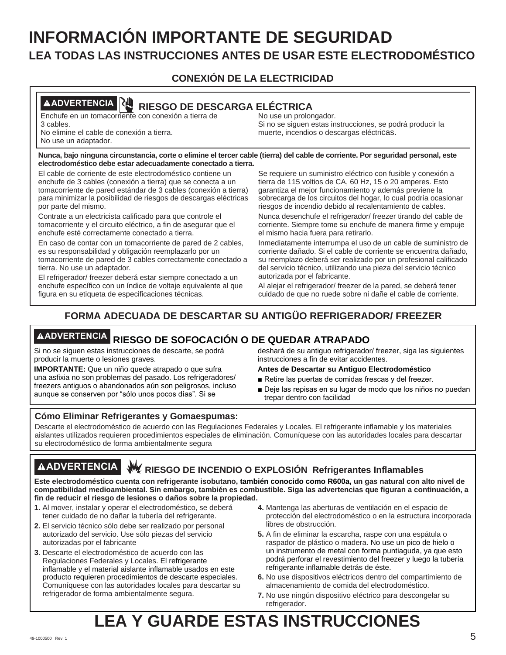# **INFORMACIÓN IMPORTANTE DE SEGURIDAD LEA TODAS LAS INSTRUCCIONES ANTES DE USAR ESTE ELECTRODOMÉSTICO**

# **CONEXIÓN DE LA ELECTRICIDAD**

# **ADVERTENCIA RIESGO DE DESCARGA ELÉCTRICA**

Enchufe en un tomacorriente con conexión a tierra de 3 cables. No elimine el cable de conexión a tierra.

No use un adaptador.

No use un prolongador. Si no se siguen estas instrucciones, se podrá producir la muerte, incendios o descargas eléctricas.

#### **Nunca, bajo ninguna circunstancia, corte o elimine el tercer cable (tierra) del cable de corriente. Por seguridad personal, este electrodoméstico debe estar adecuadamente conectado a tierra.**

El cable de corriente de este electrodoméstico contiene un enchufe de 3 cables (conexión a tierra) que se conecta a un tomacorriente de pared estándar de 3 cables (conexión a tierra) para minimizar la posibilidad de riesgos de descargas eléctricas por parte del mismo.

Contrate a un electricista calificado para que controle el tomacorriente y el circuito eléctrico, a fin de asegurar que el enchufe esté correctamente conectado a tierra.

En caso de contar con un tomacorriente de pared de 2 cables, es su responsabilidad y obligación reemplazarlo por un tomacorriente de pared de 3 cables correctamente conectado a tierra. No use un adaptador.

El refrigerador/ freezer deberá estar siempre conectado a un enchufe específico con un índice de voltaje equivalente al que figura en su etiqueta de especificaciones técnicas.

Se requiere un suministro eléctrico con fusible y conexión a tierra de 115 voltios de CA, 60 Hz, 15 o 20 amperes. Esto garantiza el mejor funcionamiento y además previene la sobrecarga de los circuitos del hogar, lo cual podría ocasionar riesgos de incendio debido al recalentamiento de cables.

Nunca desenchufe el refrigerador/ freezer tirando del cable de corriente. Siempre tome su enchufe de manera firme y empuje el mismo hacia fuera para retirarlo.

Inmediatamente interrumpa el uso de un cable de suministro de corriente dañado. Si el cable de corriente se encuentra dañado, su reemplazo deberá ser realizado por un profesional calificado del servicio técnico, utilizando una pieza del servicio técnico autorizada por el fabricante.

Al alejar el refrigerador/ freezer de la pared, se deberá tener cuidado de que no ruede sobre ni dañe el cable de corriente.

# **FORMA ADECUADA DE DESCARTAR SU ANTIGÜO REFRIGERADOR/ FREEZER**

# **ADVERTENCIA RIESGO DE SOFOCACIÓN O DE QUEDAR ATRAPADO**

Si no se siguen estas instrucciones de descarte, se podrá producir la muerte o lesiones graves.

**IMPORTANTE:** Que un niño quede atrapado o que sufra una asfixia no son problemas del pasado. Los refrigeradores/ freezers antiguos o abandonados aún son peligrosos, incluso aunque se conserven por "sólo unos pocos días". Si se

deshará de su antiguo refrigerador/ freezer, siga las siguientes instrucciones a fin de evitar accidentes.

#### **Antes de Descartar su Antiguo Electrodoméstico**

- Retire las puertas de comidas frescas y del freezer.
- Deje las repisas en su lugar de modo que los niños no puedan trepar dentro con facilidad

### **Cómo Eliminar Refrigerantes y Gomaespumas:**

Descarte el electrodoméstico de acuerdo con las Regulaciones Federales y Locales. El refrigerante inflamable y los materiales aislantes utilizados requieren procedimientos especiales de eliminación. Comuníquese con las autoridades locales para descartar su electrodoméstico de forma ambientalmente segura

# **AADVERTENCIA** W RIESGO DE INCENDIO O EXPLOSIÓN Refrigerantes Inflamables

**Este electrodoméstico cuenta con refrigerante isobutano, también conocido como R600a, un gas natural con alto nivel de compatibilidad medioambiental. Sin embargo, también es combustible. Siga las advertencias que figuran a continuación, a fin de reducir el riesgo de lesiones o daños sobre la propiedad.**

- **1.** Al mover, instalar y operar el electrodoméstico, se deberá tener cuidado de no dañar la tubería del refrigerante.
- **2.** El servicio técnico sólo debe ser realizado por personal autorizado del servicio. Use sólo piezas del servicio autorizadas por el fabricante
- **3**. Descarte el electrodoméstico de acuerdo con las Regulaciones Federales y Locales. El refrigerante inflamable y el material aislante inflamable usados en este producto requieren procedimientos de descarte especiales. Comuníquese con las autoridades locales para descartar su refrigerador de forma ambientalmente segura.
- **4.** Mantenga las aberturas de ventilación en el espacio de protección del electrodoméstico o en la estructura incorporada libres de obstrucción.
- **5.** A fin de eliminar la escarcha, raspe con una espátula o raspador de plástico o madera. No use un pico de hielo o un instrumento de metal con forma puntiaguda, ya que esto podrá perforar el revestimiento del freezer y luego la tubería refrigerante inflamable detrás de éste.
- **6.** No use dispositivos eléctricos dentro del compartimiento de almacenamiento de comida del electrodoméstico.
- **7.** No use ningún dispositivo eléctrico para descongelar su refrigerador.

# **LEA Y GUARDE ESTAS INSTRUCCIONES**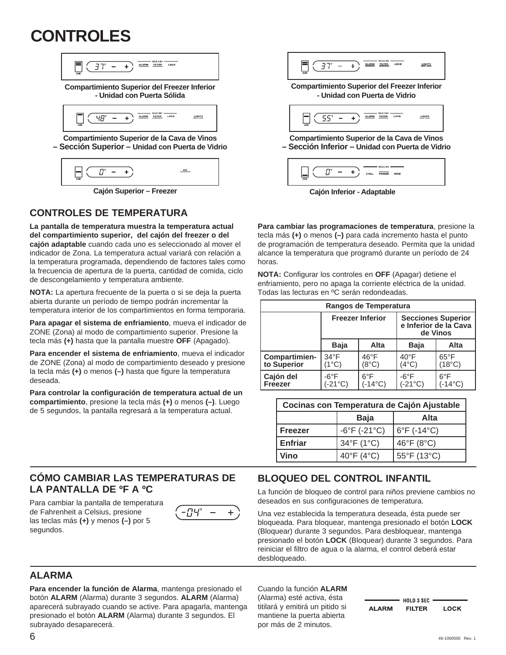# **CONTROLES**

![](_page_45_Picture_1.jpeg)

**Cajón Superior – Freezer Cajón Inferior - Adaptable**

### **CONTROLES DE TEMPERATURA**

**La pantalla de temperatura muestra la temperatura actual del compartimiento superior, del cajón del freezer o del cajón adaptable** cuando cada uno es seleccionado al mover el indicador de Zona. La temperatura actual variará con relación a la temperatura programada, dependiendo de factores tales como la frecuencia de apertura de la puerta, cantidad de comida, ciclo de descongelamiento y temperatura ambiente.

**NOTA:** La apertura frecuente de la puerta o si se deja la puerta abierta durante un período de tiempo podrán incrementar la temperatura interior de los compartimientos en forma temporaria.

**Para apagar el sistema de enfriamiento**, mueva el indicador de ZONE (Zona) al modo de compartimiento superior. Presione la tecla más **(+)** hasta que la pantalla muestre **OFF** (Apagado).

**Para encender el sistema de enfriamiento**, mueva el indicador de ZONE (Zona) al modo de compartimiento deseado y presione la tecla más **(+)** o menos **(–)** hasta que figure la temperatura deseada.

**Para controlar la configuración de temperatura actual de un compartimiento**, presione la tecla más **(+)** o menos **(–)**. Luego de 5 segundos, la pantalla regresará a la temperatura actual.

### **CÓMO CAMBIAR LAS TEMPERATURAS DE LA PANTALLA DE ºF A ºC**

Para cambiar la pantalla de temperatura de Fahrenheit a Celsius, presione las teclas más **(+)** y menos **(–)** por 5 segundos.

![](_page_45_Picture_11.jpeg)

| ZONE |  |  |  |  | <b>ALARM</b> | HOLD 3 SEC<br><b>FILTER</b> | LOCK | LIGHTS |
|------|--|--|--|--|--------------|-----------------------------|------|--------|
|------|--|--|--|--|--------------|-----------------------------|------|--------|

**Compartimiento Superior del Freezer Inferior - Unidad con Puerta de Vidrio** 

| HOLD 3 SEC -<br><b>LIGHTS</b><br>LOCK<br><b>FILTER</b><br><b>ALARM</b><br>_<br>ZONE |  |
|-------------------------------------------------------------------------------------|--|
|-------------------------------------------------------------------------------------|--|

**Compartimiento Superior de la Cava de Vinos – Sección Inferior – Unidad con Puerta de Vidrio** 

![](_page_45_Figure_16.jpeg)

**Para cambiar las programaciones de temperatura**, presione la tecla más **(+)** o menos **(–)** para cada incremento hasta el punto de programación de temperatura deseado. Permita que la unidad alcance la temperatura que programó durante un período de 24 horas.

**NOTA:** Configurar los controles en **OFF** (Apagar) detiene el enfriamiento, pero no apaga la corriente eléctrica de la unidad. Todas las lecturas en ºC serán redondeadas.

| Rangos de Temperatura               |                                    |                                   |                                                                |                                   |  |
|-------------------------------------|------------------------------------|-----------------------------------|----------------------------------------------------------------|-----------------------------------|--|
|                                     |                                    | <b>Freezer Inferior</b>           | <b>Secciones Superior</b><br>e Inferior de la Cava<br>de Vinos |                                   |  |
|                                     | <b>Baja</b>                        | Alta                              | <b>Baja</b>                                                    | Alta                              |  |
| <b>Compartimien-</b><br>to Superior | $34^{\circ}F$<br>(1°C)             | $46^{\circ}$ F<br>(8°C)           | $40^{\circ}$ F<br>$(4^{\circ}C)$                               | $65^{\circ}$ F<br>(18°C)          |  |
| Cajón del<br><b>Freezer</b>         | $-6^{\circ}$ F<br>$-21^{\circ}$ C) | $6^{\circ}$ F<br>$-14^{\circ}$ C) | $-6^{\circ}$ F<br>(-21°C)                                      | $6^{\circ}$ F<br>$-14^{\circ}$ C) |  |

| Cocinas con Temperatura de Cajón Ajustable |                                   |             |  |
|--------------------------------------------|-----------------------------------|-------------|--|
|                                            | Baja                              | Alta        |  |
| <b>Freezer</b>                             | $-6^{\circ}$ F ( $-21^{\circ}$ C) | 6°F (-14°C) |  |
| Enfriar                                    | 34°F (1°C)                        | 46°F (8°C)  |  |
| Vino                                       | 40°F (4°C)                        | 55°F (13°C) |  |

# **BLOQUEO DEL CONTROL INFANTIL**

La función de bloqueo de control para niños previene cambios no deseados en sus configuraciones de temperatura.

Una vez establecida la temperatura deseada, ésta puede ser bloqueada. Para bloquear, mantenga presionado el botón **LOCK** (Bloquear) durante 3 segundos. Para desbloquear, mantenga presionado el botón **LOCK** (Bloquear) durante 3 segundos. Para reiniciar el filtro de agua o la alarma, el control deberá estar desbloqueado.

### **ALARMA**

**Para encender la función de Alarma**, mantenga presionado el botón **ALARM** (Alarma) durante 3 segundos. **ALARM** (Alarma) aparecerá subrayado cuando se active. Para apagarla, mantenga presionado el botón **ALARM** (Alarma) durante 3 segundos. El subrayado desaparecerá.

Cuando la función **ALARM** (Alarma) esté activa, ésta titilará y emitirá un pitido si mantiene la puerta abierta por más de 2 minutos.

|              | <b>HOLD 3 SEC</b> |             |
|--------------|-------------------|-------------|
| <b>ALARM</b> | <b>FILTER</b>     | <b>LOCK</b> |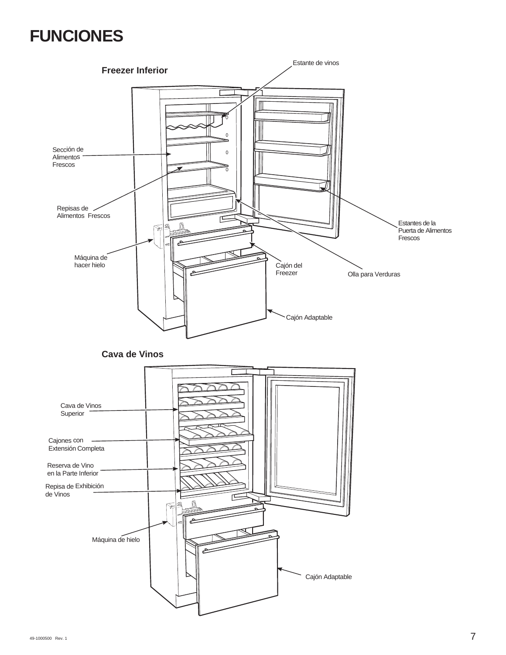# **FUNCIONES**

![](_page_46_Figure_1.jpeg)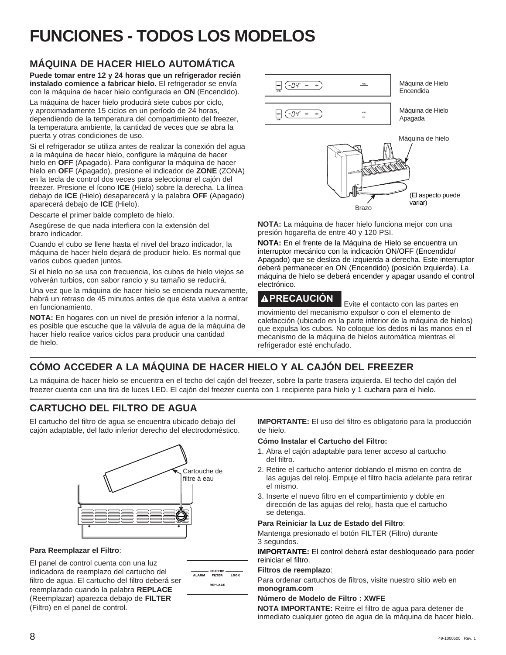# **FUNCIONES - TODOS LOS MODELOS**

# **MÁQUINA DE HACER HIELO AUTOMÁTICA**

**Puede tomar entre 12 y 24 horas que un refrigerador recién instalado comience a fabricar hielo.** El refrigerador se envía con la máquina de hacer hielo configurada en ON (Encendido).

La máquina de hacer hielo producirá siete cubos por ciclo, y aproximadamente 15 ciclos en un período de 24 horas, dependiendo de la temperatura del compartimiento del freezer, la temperatura ambiente, la cantidad de veces que se abra la puerta y otras condiciones de uso.

Si el refrigerador se utiliza antes de realizar la conexión del agua a la máquina de hacer hielo, configure la máquina de hacer hielo en OFF (Apagado). Para configurar la máquina de hacer hielo en **OFF** (Apagado), presione el indicador de **ZONE** (ZONA) en la tecla de control dos veces para seleccionar el cajón del freezer. Presione el ícono **ICE** (Hielo) sobre la derecha. La línea debajo de **ICE** (Hielo) desaparecerá y la palabra **OFF** (Apagado) aparecerá debajo de **ICE** (Hielo).

Descarte el primer balde completo de hielo.

Asegúrese de que nada interfiera con la extensión del brazo indicador.

Cuando el cubo se llene hasta el nivel del brazo indicador, la máquina de hacer hielo dejará de producir hielo. Es normal que varios cubos queden juntos.

Si el hielo no se usa con frecuencia, los cubos de hielo viejos se volverán turbios, con sabor rancio y su tamaño se reducirá.

Una vez que la máquina de hacer hielo se encienda nuevamente, habrá un retraso de 45 minutos antes de que ésta vuelva a entrar en funcionamiento.

**NOTA:** En hogares con un nivel de presión inferior a la normal, es posible que escuche que la válvula de agua de la máquina de hacer hielo realice varios ciclos para producir una cantidad de hielo.

![](_page_47_Figure_11.jpeg)

**NOTA:** La máquina de hacer hielo funciona mejor con una presión hogareña de entre 40 y 120 PSI.

**NOTA:** En el frente de la Máquina de Hielo se encuentra un interruptor mecánico con la indicación ON/OFF (Encendido/ Apagado) que se desliza de izquierda a derecha. Este interruptor deberá permanecer en ON (Encendido) (posición izquierda). La máquina de hielo se deberá encender y apagar usando el control electrónico.

**PRECAUCIÓN** Evite el contacto con las partes en movimiento del mecanismo expulsor o con el elemento de calefacción (ubicado en la parte inferior de la máquina de hielos) que expulsa los cubos. No coloque los dedos ni las manos en el mecanismo de la máquina de hielos automática mientras el refrigerador esté enchufado.

# **CÓMO ACCEDER A LA MÁQUINA DE HACER HIELO Y AL CAJÓN DEL FREEZER**

La máquina de hacer hielo se encuentra en el techo del cajón del freezer, sobre la parte trasera izquierda. El techo del cajón del freezer cuenta con una tira de luces LED. El cajón del freezer cuenta con 1 recipiente para hielo y 1 cuchara para el hielo.

# **CARTUCHO DEL FILTRO DE AGUA**

El cartucho del filtro de agua se encuentra ubicado debajo del cajón adaptable, del lado inferior derecho del electrodoméstico.

![](_page_47_Figure_20.jpeg)

#### **Para Reemplazar el Filtro**:

El panel de control cuenta con una luz indicadora de reemplazo del cartucho del filtro de agua. El cartucho del filtro deberá ser reemplazado cuando la palabra **REPLACE** (Reemplazar) aparezca debajo de **FILTER**  (Filtro) en el panel de control.

| <b>ALARM</b> | HOLD 3 SEC<br><b>FILTER</b> | LOCK |
|--------------|-----------------------------|------|
|              | <b>REPLACE</b>              |      |

**IMPORTANTE:** El uso del filtro es obligatorio para la producción de hielo.

#### **Cómo Instalar el Cartucho del Filtro:**

- 1. Abra el cajón adaptable para tener acceso al cartucho del filtro.
- 2. Retire el cartucho anterior doblando el mismo en contra de las agujas del reloj. Empuje el filtro hacia adelante para retirar el mismo.
- 3. Inserte el nuevo filtro en el compartimiento y doble en dirección de las agujas del reloj, hasta que el cartucho se detenga.

#### **Para Reiniciar la Luz de Estado del Filtro**:

Mantenga presionado el botón FILTER (Filtro) durante 3 segundos.

**IMPORTANTE:** El control deberá estar desbloqueado para poder reiniciar el filtro.

#### **Filtros de reemplazo**:

Para ordenar cartuchos de filtros, visite nuestro sitio web en **monogram.com**

#### **Número de Modelo de Filtro : XWFE**

**NOTA IMPORTANTE:** Reitre el filtro de agua para detener de inmediato cualquier goteo de agua de la máquina de hacer hielo.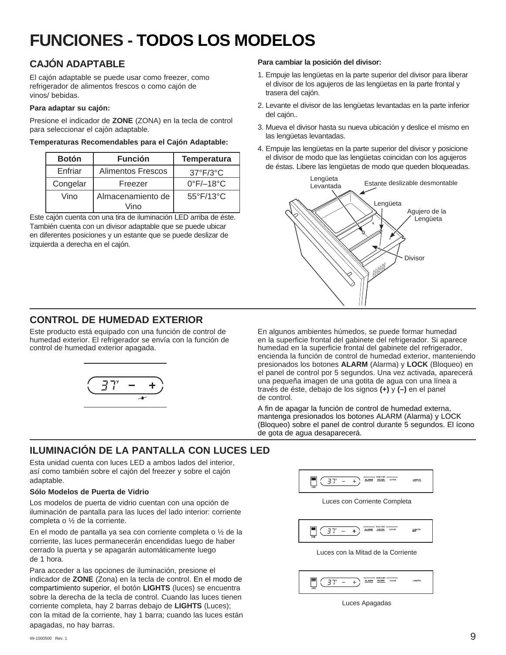# **FUNCIONES - TODOS LOS MODELOS**

# **CAJÓN ADAPTABLE**

El cajón adaptable se puede usar como freezer, como refrigerador de alimentos frescos o como cajón de vinos/ bebidas.

#### **Para adaptar su cajón:**

Presione el indicador de **ZONE** (ZONA) en la tecla de control para seleccionar el cajón adaptable.

| Temperaturas Recomendables para el Cajón Adaptable: |  |  |
|-----------------------------------------------------|--|--|
|                                                     |  |  |

| <b>Botón</b> | <b>Función</b>            | <b>Temperatura</b>             |
|--------------|---------------------------|--------------------------------|
| Enfriar      | Alimentos Frescos         | $37^{\circ}F/3^{\circ}C$       |
| Congelar     | Freezer                   | $0^{\circ}$ F/ $-18^{\circ}$ C |
| Vino         | Almacenamiento de<br>Vino | 55°F/13°C                      |

Este cajón cuenta con una tira de iluminación LED arriba de éste. También cuenta con un divisor adaptable que se puede ubicar en diferentes posiciones y un estante que se puede deslizar de izquierda a derecha en el cajón.

#### **Para cambiar la posición del divisor:**

- 1. Empuje las lengüetas en la parte superior del divisor para liberar el divisor de los agujeros de las lengüetas en la parte frontal y trasera del cajón.
- 2. Levante el divisor de las lengüetas levantadas en la parte inferior del cajón..
- 3. Mueva el divisor hasta su nueva ubicación y deslice el mismo en las lengüetas levantadas.
- 4. Empuje las lengüetas en la parte superior del divisor y posicione el divisor de modo que las lengüetas coincidan con los agujeros de éstas. Libere las lengüetas de modo que queden bloqueadas.

![](_page_48_Figure_13.jpeg)

### **CONTROL DE HUMEDAD EXTERIOR**

Este producto está equipado con una función de control de humedad exterior. El refrigerador se envía con la función de control de humedad exterior apagada.

![](_page_48_Figure_16.jpeg)

En algunos ambientes húmedos, se puede formar humedad en la superficie frontal del gabinete del refrigerador. Si aparece humedad en la superficie frontal del gabinete del refrigerador, encienda la función de control de humedad exterior, manteniendo presionados los botones **ALARM** (Alarma) y **LOCK** (Bloqueo) en el panel de control por 5 segundos. Una vez activada, aparecerá una pequeña imagen de una gotita de agua con una línea a través de éste, debajo de los signos **(+)** y **(–)** en el panel de control.

A fin de apagar la función de control de humedad externa, mantenga presionados los botones ALARM (Alarma) y LOCK (Bloqueo) sobre el panel de control durante 5 segundos. El ícono de gota de agua desaparecerá.

# **ILUMINACIÓN DE LA PANTALLA CON LUCES LED**

Esta unidad cuenta con luces LED a ambos lados del interior, así como también sobre el cajón del freezer y sobre el cajón adaptable.

#### **Sólo Modelos de Puerta de Vidrio**

Los modelos de puerta de vidrio cuentan con una opción de iluminación de pantalla para las luces del lado interior: corriente completa o ½ de la corriente.

En el modo de pantalla ya sea con corriente completa o ½ de la corriente, las luces permanecerán encendidas luego de haber cerrado la puerta y se apagarán automáticamente luego de 1 hora.

Para acceder a las opciones de iluminación, presione el indicador de **ZONE** (Zona) en la tecla de control. En el modo de compartimiento superior, el botón **LIGHTS** (luces) se encuentra sobre la derecha de la tecla de control. Cuando las luces tienen corriente completa, hay 2 barras debajo de **LIGHTS** (Luces); con la mitad de la corriente, hay 1 barra; cuando las luces están apagadas, no hay barras.

![](_page_48_Picture_25.jpeg)

Luces con Corriente Completa

 $\overline{37'}$  - +  $\overline{)$   $\overline{) \dots}$   $\overline{) \dots}$   $\overline{) \dots}$   $\overline{) \dots}$   $\overline{) \dots}$ LIGHTS

Luces con la Mitad de la Corriente

|--|

Luces Apagadas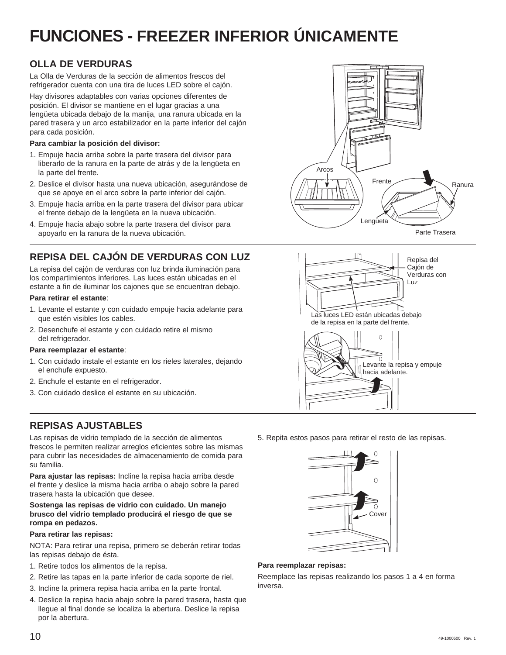# **FUNCIONES - FREEZER INFERIOR ÚNICAMENTE**

## **OLLA DE VERDURAS**

La Olla de Verduras de la sección de alimentos frescos del refrigerador cuenta con una tira de luces LED sobre el cajón.

Hay divisores adaptables con varias opciones diferentes de posición. El divisor se mantiene en el lugar gracias a una lengüeta ubicada debajo de la manija, una ranura ubicada en la pared trasera y un arco estabilizador en la parte inferior del cajón para cada posición.

#### **Para cambiar la posición del divisor:**

- 1. Empuje hacia arriba sobre la parte trasera del divisor para liberarlo de la ranura en la parte de atrás y de la lengüeta en la parte del frente.
- 2. Deslice el divisor hasta una nueva ubicación, asegurándose de que se apoye en el arco sobre la parte inferior del cajón.
- 3. Empuje hacia arriba en la parte trasera del divisor para ubicar el frente debajo de la lengüeta en la nueva ubicación.
- 4. Empuje hacia abajo sobre la parte trasera del divisor para apoyarlo en la ranura de la nueva ubicación.

# **REPISA DEL CAJÓN DE VERDURAS CON LUZ**

La repisa del cajón de verduras con luz brinda iluminación para los compartimientos inferiores. Las luces están ubicadas en el estante a fin de iluminar los cajones que se encuentran debajo.

#### **Para retirar el estante**:

- 1. Levante el estante y con cuidado empuje hacia adelante para que estén visibles los cables.
- 2. Desenchufe el estante y con cuidado retire el mismo del refrigerador.

#### **Para reemplazar el estante**:

- 1. Con cuidado instale el estante en los rieles laterales, dejando el enchufe expuesto.
- 2. Enchufe el estante en el refrigerador.
- 3. Con cuidado deslice el estante en su ubicación.

### **REPISAS AJUSTABLES**

Las repisas de vidrio templado de la sección de alimentos frescos le permiten realizar arreglos eficientes sobre las mismas para cubrir las necesidades de almacenamiento de comida para su familia.

**Para ajustar las repisas:** Incline la repisa hacia arriba desde el frente y deslice la misma hacia arriba o abajo sobre la pared trasera hasta la ubicación que desee.

#### **Sostenga las repisas de vidrio con cuidado. Un manejo brusco del vidrio templado producirá el riesgo de que se rompa en pedazos.**

#### **Para retirar las repisas:**

NOTA: Para retirar una repisa, primero se deberán retirar todas las repisas debajo de ésta.

- 1. Retire todos los alimentos de la repisa.
- 2. Retire las tapas en la parte inferior de cada soporte de riel.
- 3. Incline la primera repisa hacia arriba en la parte frontal.
- 4. Deslice la repisa hacia abajo sobre la pared trasera, hasta que llegue al final donde se localiza la abertura. Deslice la repisa por la abertura.

![](_page_49_Figure_28.jpeg)

Parte Trasera

![](_page_49_Figure_30.jpeg)

5. Repita estos pasos para retirar el resto de las repisas.

![](_page_49_Figure_32.jpeg)

#### **Para reemplazar repisas:**

Reemplace las repisas realizando los pasos 1 a 4 en forma inversa.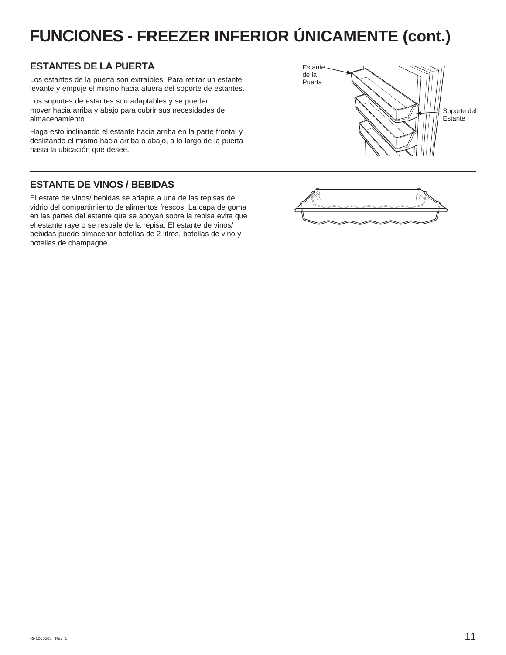# **FUNCIONES - FREEZER INFERIOR ÚNICAMENTE (cont.)**

## **ESTANTES DE LA PUERTA**

Los estantes de la puerta son extraíbles. Para retirar un estante, levante y empuje el mismo hacia afuera del soporte de estantes.

Los soportes de estantes son adaptables y se pueden mover hacia arriba y abajo para cubrir sus necesidades de almacenamiento.

Haga esto inclinando el estante hacia arriba en la parte frontal y deslizando el mismo hacia arriba o abajo, a lo largo de la puerta hasta la ubicación que desee.

### **ESTANTE DE VINOS / BEBIDAS**

El estate de vinos/ bebidas se adapta a una de las repisas de vidrio del compartimiento de alimentos frescos. La capa de goma en las partes del estante que se apoyan sobre la repisa evita que el estante raye o se resbale de la repisa. El estante de vinos/ bebidas puede almacenar botellas de 2 litros, botellas de vino y botellas de champagne.

![](_page_50_Figure_7.jpeg)

![](_page_50_Figure_8.jpeg)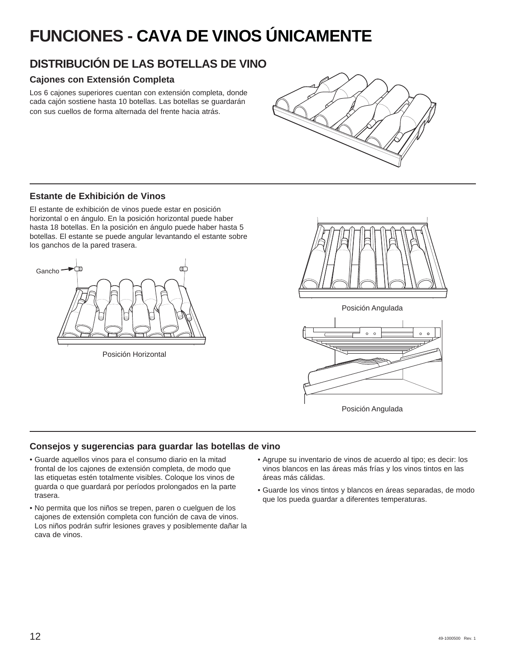# **FUNCIONES - CAVA DE VINOS ÚNICAMENTE**

# **DISTRIBUCIÓN DE LAS BOTELLAS DE VINO**

### **Cajones con Extensión Completa**

Los 6 cajones superiores cuentan con extensión completa, donde cada cajón sostiene hasta 10 botellas. Las botellas se guardarán con sus cuellos de forma alternada del frente hacia atrás.

![](_page_51_Figure_4.jpeg)

### **Estante de Exhibición de Vinos**

El estante de exhibición de vinos puede estar en posición horizontal o en ángulo. En la posición horizontal puede haber hasta 18 botellas. En la posición en ángulo puede haber hasta 5 botellas. El estante se puede angular levantando el estante sobre los ganchos de la pared trasera.

![](_page_51_Figure_7.jpeg)

Posición Horizontal

![](_page_51_Picture_9.jpeg)

Posición Angulada

![](_page_51_Figure_11.jpeg)

Posición Angulada

### **Consejos y sugerencias para guardar las botellas de vino**

- Guarde aquellos vinos para el consumo diario en la mitad frontal de los cajones de extensión completa, de modo que las etiquetas estén totalmente visibles. Coloque los vinos de guarda o que guardará por períodos prolongados en la parte trasera.
- No permita que los niños se trepen, paren o cuelguen de los cajones de extensión completa con función de cava de vinos. Los niños podrán sufrir lesiones graves y posiblemente dañar la cava de vinos.
- Agrupe su inventario de vinos de acuerdo al tipo; es decir: los vinos blancos en las áreas más frías y los vinos tintos en las áreas más cálidas.
- Guarde los vinos tintos y blancos en áreas separadas, de modo que los pueda guardar a diferentes temperaturas.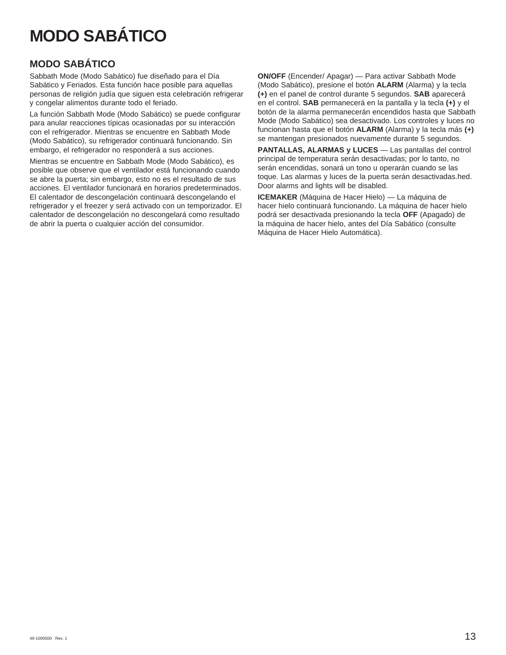# **MODO SABÁTICO**

### **MODO SABÁTICO**

Sabbath Mode (Modo Sabático) fue diseñado para el Día Sabático y Feriados. Esta función hace posible para aquellas personas de religión judía que siguen esta celebración refrigerar y congelar alimentos durante todo el feriado.

La función Sabbath Mode (Modo Sabático) se puede configurar para anular reacciones típicas ocasionadas por su interacción con el refrigerador. Mientras se encuentre en Sabbath Mode (Modo Sabático), su refrigerador continuará funcionando. Sin embargo, el refrigerador no responderá a sus acciones.

Mientras se encuentre en Sabbath Mode (Modo Sabático), es posible que observe que el ventilador está funcionando cuando se abre la puerta; sin embargo, esto no es el resultado de sus acciones. El ventilador funcionará en horarios predeterminados. El calentador de descongelación continuará descongelando el refrigerador y el freezer y será activado con un temporizador. El calentador de descongelación no descongelará como resultado de abrir la puerta o cualquier acción del consumidor.

**ON/OFF** (Encender/ Apagar) — Para activar Sabbath Mode (Modo Sabático), presione el botón **ALARM** (Alarma) y la tecla **(+)** en el panel de control durante 5 segundos. **SAB** aparecerá en el control. **SAB** permanecerá en la pantalla y la tecla **(+)** y el botón de la alarma permanecerán encendidos hasta que Sabbath Mode (Modo Sabático) sea desactivado. Los controles y luces no funcionan hasta que el botón **ALARM** (Alarma) y la tecla más **(+)** se mantengan presionados nuevamente durante 5 segundos.

**PANTALLAS, ALARMAS y LUCES** — Las pantallas del control principal de temperatura serán desactivadas; por lo tanto, no serán encendidas, sonará un tono u operarán cuando se las toque. Las alarmas y luces de la puerta serán desactivadas.hed. Door alarms and lights will be disabled.

**ICEMAKER** (Máquina de Hacer Hielo) — La máquina de hacer hielo continuará funcionando. La máquina de hacer hielo podrá ser desactivada presionando la tecla **OFF** (Apagado) de la máquina de hacer hielo, antes del Día Sabático (consulte Máquina de Hacer Hielo Automática).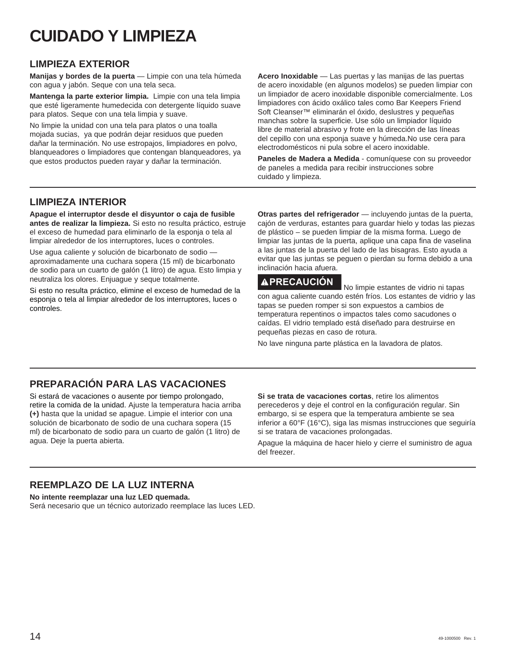# **CUIDADO Y LIMPIEZA**

### **LIMPIEZA EXTERIOR**

**Manijas y bordes de la puerta** — Limpie con una tela húmeda con agua y jabón. Seque con una tela seca.

**Mantenga la parte exterior limpia.** Limpie con una tela limpia que esté ligeramente humedecida con detergente líquido suave para platos. Seque con una tela limpia y suave.

No limpie la unidad con una tela para platos o una toalla mojada sucias, ya que podrán dejar residuos que pueden dañar la terminación. No use estropajos, limpiadores en polvo, blanqueadores o limpiadores que contengan blanqueadores, ya que estos productos pueden rayar y dañar la terminación.

**Acero Inoxidable** — Las puertas y las manijas de las puertas de acero inoxidable (en algunos modelos) se pueden limpiar con un limpiador de acero inoxidable disponible comercialmente. Los limpiadores con ácido oxálico tales como Bar Keepers Friend Soft Cleanser™ eliminarán el óxido, deslustres y pequeñas manchas sobre la superficie. Use sólo un limpiador líquido libre de material abrasivo y frote en la dirección de las líneas del cepillo con una esponja suave y húmeda.No use cera para electrodomésticos ni pula sobre el acero inoxidable.

**Paneles de Madera a Medida** - comuníquese con su proveedor de paneles a medida para recibir instrucciones sobre cuidado y limpieza.

### **LIMPIEZA INTERIOR**

**Apague el interruptor desde el disyuntor o caja de fusible antes de realizar la limpieza.** Si esto no resulta práctico, estruje el exceso de humedad para eliminarlo de la esponja o tela al limpiar alrededor de los interruptores, luces o controles.

Use agua caliente y solución de bicarbonato de sodio aproximadamente una cuchara sopera (15 ml) de bicarbonato de sodio para un cuarto de galón (1 litro) de agua. Esto limpia y neutraliza los olores. Enjuague y seque totalmente.

Si esto no resulta práctico, elimine el exceso de humedad de la esponja o tela al limpiar alrededor de los interruptores, luces o controles.

**Otras partes del refrigerador** — incluyendo juntas de la puerta, cajón de verduras, estantes para guardar hielo y todas las piezas de plástico – se pueden limpiar de la misma forma. Luego de limpiar las juntas de la puerta, aplique una capa fina de vaselina a las juntas de la puerta del lado de las bisagras. Esto ayuda a evitar que las juntas se peguen o pierdan su forma debido a una inclinación hacia afuera.

**PRECAUCIÓN** No limpie estantes de vidrio ni tapas con agua caliente cuando estén fríos. Los estantes de vidrio y las tapas se pueden romper si son expuestos a cambios de temperatura repentinos o impactos tales como sacudones o caídas. El vidrio templado está diseñado para destruirse en pequeñas piezas en caso de rotura.

No lave ninguna parte plástica en la lavadora de platos.

# **PREPARACIÓN PARA LAS VACACIONES**

Si estará de vacaciones o ausente por tiempo prolongado, retire la comida de la unidad. Ajuste la temperatura hacia arriba **(+)** hasta que la unidad se apague. Limpie el interior con una solución de bicarbonato de sodio de una cuchara sopera (15 ml) de bicarbonato de sodio para un cuarto de galón (1 litro) de agua. Deje la puerta abierta.

**Si se trata de vacaciones cortas**, retire los alimentos perecederos y deje el control en la configuración regular. Sin embargo, si se espera que la temperatura ambiente se sea inferior a 60°F (16°C), siga las mismas instrucciones que seguiría si se tratara de vacaciones prolongadas.

Apague la máquina de hacer hielo y cierre el suministro de agua del freezer.

### **REEMPLAZO DE LA LUZ INTERNA**

**No intente reemplazar una luz LED quemada.**  Será necesario que un técnico autorizado reemplace las luces LED.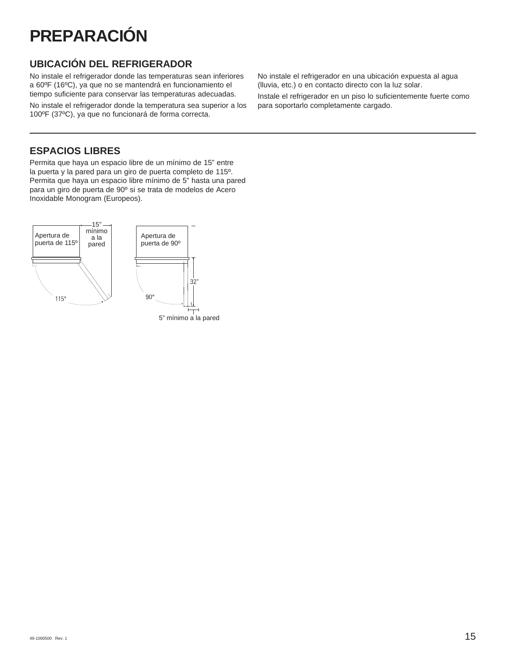# **PREPARACIÓN**

## **UBICACIÓN DEL REFRIGERADOR**

No instale el refrigerador donde las temperaturas sean inferiores a 60ºF (16ºC), ya que no se mantendrá en funcionamiento el tiempo suficiente para conservar las temperaturas adecuadas.

No instale el refrigerador donde la temperatura sea superior a los 100ºF (37ºC), ya que no funcionará de forma correcta.

No instale el refrigerador en una ubicación expuesta al agua (lluvia, etc.) o en contacto directo con la luz solar.

Instale el refrigerador en un piso lo suficientemente fuerte como para soportarlo completamente cargado.

## **ESPACIOS LIBRES**

Permita que haya un espacio libre de un mínimo de 15" entre la puerta y la pared para un giro de puerta completo de 115º. Permita que haya un espacio libre mínimo de 5" hasta una pared para un giro de puerta de 90º si se trata de modelos de Acero Inoxidable Monogram (Europeos).

![](_page_54_Figure_8.jpeg)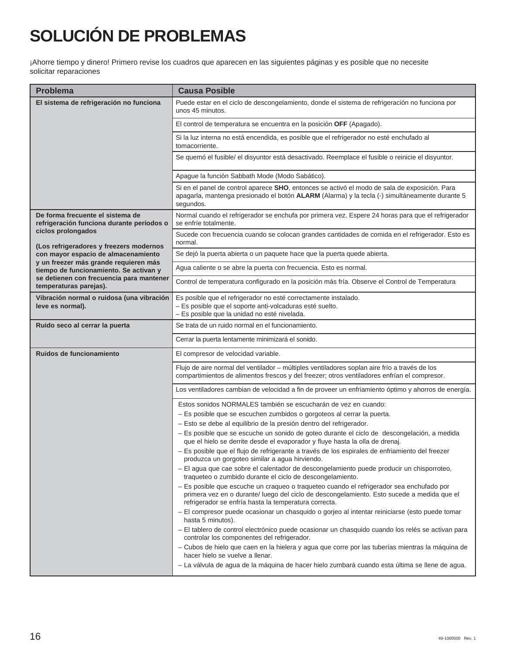# **SOLUCIÓN DE PROBLEMAS**

¡Ahorre tiempo y dinero! Primero revise los cuadros que aparecen en las siguientes páginas y es posible que no necesite solicitar reparaciones

| <b>Problema</b>                                                                 | <b>Causa Posible</b>                                                                                                                                                                                                                            |  |  |
|---------------------------------------------------------------------------------|-------------------------------------------------------------------------------------------------------------------------------------------------------------------------------------------------------------------------------------------------|--|--|
| El sistema de refrigeración no funciona                                         | Puede estar en el ciclo de descongelamiento, donde el sistema de refrigeración no funciona por<br>unos 45 minutos.                                                                                                                              |  |  |
|                                                                                 | El control de temperatura se encuentra en la posición OFF (Apagado).                                                                                                                                                                            |  |  |
|                                                                                 | Si la luz interna no está encendida, es posible que el refrigerador no esté enchufado al<br>tomacorriente.                                                                                                                                      |  |  |
|                                                                                 | Se quemó el fusible/ el disyuntor está desactivado. Reemplace el fusible o reinicie el disyuntor.                                                                                                                                               |  |  |
|                                                                                 | Apague la función Sabbath Mode (Modo Sabático).                                                                                                                                                                                                 |  |  |
|                                                                                 | Si en el panel de control aparece SHO, entonces se activó el modo de sala de exposición. Para<br>apagarla, mantenga presionado el botón ALARM (Alarma) y la tecla (-) simultáneamente durante 5<br>segundos.                                    |  |  |
| De forma frecuente el sistema de<br>refrigeración funciona durante períodos o   | Normal cuando el refrigerador se enchufa por primera vez. Espere 24 horas para que el refrigerador<br>se enfríe totalmente.                                                                                                                     |  |  |
| ciclos prolongados<br>(Los refrigeradores y freezers modernos                   | Sucede con frecuencia cuando se colocan grandes cantidades de comida en el refrigerador. Esto es<br>normal.                                                                                                                                     |  |  |
| con mayor espacio de almacenamiento                                             | Se dejó la puerta abierta o un paquete hace que la puerta quede abierta.                                                                                                                                                                        |  |  |
| y un freezer más grande requieren más<br>tiempo de funcionamiento. Se activan y | Agua caliente o se abre la puerta con frecuencia. Esto es normal.                                                                                                                                                                               |  |  |
| se detienen con frecuencia para mantener<br>temperaturas parejas).              | Control de temperatura configurado en la posición más fría. Observe el Control de Temperatura                                                                                                                                                   |  |  |
| Vibración normal o ruidosa (una vibración<br>leve es normal).                   | Es posible que el refrigerador no esté correctamente instalado.<br>- Es posible que el soporte anti-volcaduras esté suelto.<br>- Es posible que la unidad no esté nivelada.                                                                     |  |  |
| Ruido seco al cerrar la puerta                                                  | Se trata de un ruido normal en el funcionamiento.                                                                                                                                                                                               |  |  |
|                                                                                 | Cerrar la puerta lentamente minimizará el sonido.                                                                                                                                                                                               |  |  |
| Ruidos de funcionamiento                                                        | El compresor de velocidad variable.                                                                                                                                                                                                             |  |  |
|                                                                                 | Flujo de aire normal del ventilador - múltiples ventiladores soplan aire frío a través de los<br>compartimientos de alimentos frescos y del freezer; otros ventiladores enfrían el compresor.                                                   |  |  |
|                                                                                 | Los ventiladores cambian de velocidad a fin de proveer un enfriamiento óptimo y ahorros de energía.                                                                                                                                             |  |  |
|                                                                                 | Estos sonidos NORMALES también se escucharán de vez en cuando:                                                                                                                                                                                  |  |  |
|                                                                                 | - Es posible que se escuchen zumbidos o gorgoteos al cerrar la puerta.<br>- Esto se debe al equilibrio de la presión dentro del refrigerador.                                                                                                   |  |  |
|                                                                                 | - Es posible que se escuche un sonido de goteo durante el ciclo de descongelación, a medida                                                                                                                                                     |  |  |
|                                                                                 | que el hielo se derrite desde el evaporador y fluye hasta la olla de drenaj.                                                                                                                                                                    |  |  |
|                                                                                 | - Es posible que el flujo de refrigerante a través de los espirales de enfriamiento del freezer<br>produzca un gorgoteo similar a agua hirviendo.                                                                                               |  |  |
|                                                                                 | - El agua que cae sobre el calentador de descongelamiento puede producir un chisporroteo,<br>traqueteo o zumbido durante el ciclo de descongelamiento.                                                                                          |  |  |
|                                                                                 | - Es posible que escuche un craqueo o traqueteo cuando el refrigerador sea enchufado por<br>primera vez en o durante/ luego del ciclo de descongelamiento. Esto sucede a medida que el<br>refrigerador se enfría hasta la temperatura correcta. |  |  |
|                                                                                 | - El compresor puede ocasionar un chasquido o gorjeo al intentar reiniciarse (esto puede tomar<br>hasta 5 minutos).                                                                                                                             |  |  |
|                                                                                 | - El tablero de control electrónico puede ocasionar un chasquido cuando los relés se activan para<br>controlar los componentes del refrigerador.                                                                                                |  |  |
|                                                                                 | - Cubos de hielo que caen en la hielera y agua que corre por las tuberías mientras la máquina de<br>hacer hielo se vuelve a llenar.                                                                                                             |  |  |
|                                                                                 | - La válvula de agua de la máquina de hacer hielo zumbará cuando esta última se llene de agua.                                                                                                                                                  |  |  |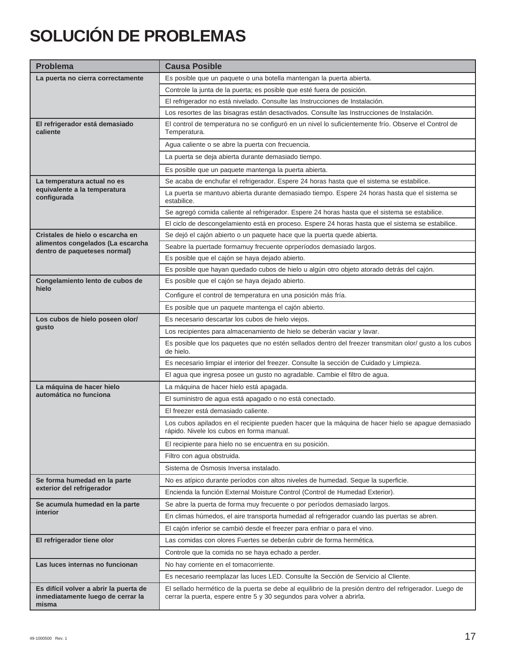# **SOLUCIÓN DE PROBLEMAS**

| <b>Problema</b>                                                                      | <b>Causa Posible</b>                                                                                                                                                             |  |  |  |
|--------------------------------------------------------------------------------------|----------------------------------------------------------------------------------------------------------------------------------------------------------------------------------|--|--|--|
| La puerta no cierra correctamente                                                    | Es posible que un paquete o una botella mantengan la puerta abierta.                                                                                                             |  |  |  |
|                                                                                      | Controle la junta de la puerta; es posible que esté fuera de posición.                                                                                                           |  |  |  |
|                                                                                      | El refrigerador no está nivelado. Consulte las Instrucciones de Instalación.                                                                                                     |  |  |  |
|                                                                                      | Los resortes de las bisagras están desactivados. Consulte las Instrucciones de Instalación.                                                                                      |  |  |  |
| El refrigerador está demasiado<br>caliente                                           | El control de temperatura no se configuró en un nivel lo suficientemente frío. Observe el Control de<br>Temperatura.                                                             |  |  |  |
|                                                                                      | Agua caliente o se abre la puerta con frecuencia.                                                                                                                                |  |  |  |
|                                                                                      | La puerta se deja abierta durante demasiado tiempo.                                                                                                                              |  |  |  |
|                                                                                      | Es posible que un paquete mantenga la puerta abierta.                                                                                                                            |  |  |  |
| La temperatura actual no es                                                          | Se acaba de enchufar el refrigerador. Espere 24 horas hasta que el sistema se estabilice.                                                                                        |  |  |  |
| equivalente a la temperatura<br>configurada                                          | La puerta se mantuvo abierta durante demasiado tiempo. Espere 24 horas hasta que el sistema se<br>estabilice.                                                                    |  |  |  |
|                                                                                      | Se agregó comida caliente al refrigerador. Espere 24 horas hasta que el sistema se estabilice.                                                                                   |  |  |  |
|                                                                                      | El ciclo de descongelamiento está en proceso. Espere 24 horas hasta que el sistema se estabilice.                                                                                |  |  |  |
| Cristales de hielo o escarcha en                                                     | Se dejó el cajón abierto o un paquete hace que la puerta quede abierta.                                                                                                          |  |  |  |
| alimentos congelados (La escarcha<br>dentro de paqueteses normal)                    | Seabre la puertade formamuy frecuente oprperíodos demasiado largos.                                                                                                              |  |  |  |
|                                                                                      | Es posible que el cajón se haya dejado abierto.                                                                                                                                  |  |  |  |
|                                                                                      | Es posible que hayan quedado cubos de hielo u algún otro objeto atorado detrás del cajón.                                                                                        |  |  |  |
| Congelamiento lento de cubos de<br>hielo                                             | Es posible que el cajón se haya dejado abierto.                                                                                                                                  |  |  |  |
|                                                                                      | Configure el control de temperatura en una posición más fría.                                                                                                                    |  |  |  |
|                                                                                      | Es posible que un paquete mantenga el cajón abierto.                                                                                                                             |  |  |  |
| Los cubos de hielo poseen olor/                                                      | Es necesario descartar los cubos de hielo viejos.                                                                                                                                |  |  |  |
| gusto                                                                                | Los recipientes para almacenamiento de hielo se deberán vaciar y lavar.                                                                                                          |  |  |  |
|                                                                                      | Es posible que los paquetes que no estén sellados dentro del freezer transmitan olor/ gusto a los cubos<br>de hielo.                                                             |  |  |  |
|                                                                                      | Es necesario limpiar el interior del freezer. Consulte la sección de Cuidado y Limpieza.                                                                                         |  |  |  |
|                                                                                      | El agua que ingresa posee un gusto no agradable. Cambie el filtro de agua.                                                                                                       |  |  |  |
| La máquina de hacer hielo                                                            | La máquina de hacer hielo está apagada.                                                                                                                                          |  |  |  |
| automática no funciona                                                               | El suministro de agua está apagado o no está conectado.                                                                                                                          |  |  |  |
|                                                                                      | El freezer está demasiado caliente.                                                                                                                                              |  |  |  |
|                                                                                      | Los cubos apilados en el recipiente pueden hacer que la máquina de hacer hielo se apague demasiado<br>rápido. Nivele los cubos en forma manual.                                  |  |  |  |
|                                                                                      | El recipiente para hielo no se encuentra en su posición.                                                                                                                         |  |  |  |
|                                                                                      | Filtro con agua obstruida.                                                                                                                                                       |  |  |  |
|                                                                                      | Sistema de Ósmosis Inversa instalado.                                                                                                                                            |  |  |  |
| Se forma humedad en la parte                                                         | No es atípico durante períodos con altos niveles de humedad. Seque la superficie.                                                                                                |  |  |  |
| exterior del refrigerador                                                            | Encienda la función External Moisture Control (Control de Humedad Exterior).                                                                                                     |  |  |  |
| Se acumula humedad en la parte                                                       | Se abre la puerta de forma muy frecuente o por períodos demasiado largos.                                                                                                        |  |  |  |
| interior                                                                             | En climas húmedos, el aire transporta humedad al refrigerador cuando las puertas se abren.                                                                                       |  |  |  |
|                                                                                      | El cajón inferior se cambió desde el freezer para enfriar o para el vino.                                                                                                        |  |  |  |
| El refrigerador tiene olor                                                           | Las comidas con olores Fuertes se deberán cubrir de forma hermética.                                                                                                             |  |  |  |
|                                                                                      | Controle que la comida no se haya echado a perder.                                                                                                                               |  |  |  |
| Las luces internas no funcionan                                                      | No hay corriente en el tomacorriente.                                                                                                                                            |  |  |  |
|                                                                                      | Es necesario reemplazar las luces LED. Consulte la Sección de Servicio al Cliente.                                                                                               |  |  |  |
| Es difícil volver a abrir la puerta de<br>inmediatamente luego de cerrar la<br>misma | El sellado hermético de la puerta se debe al equilibrio de la presión dentro del refrigerador. Luego de<br>cerrar la puerta, espere entre 5 y 30 segundos para volver a abrirla. |  |  |  |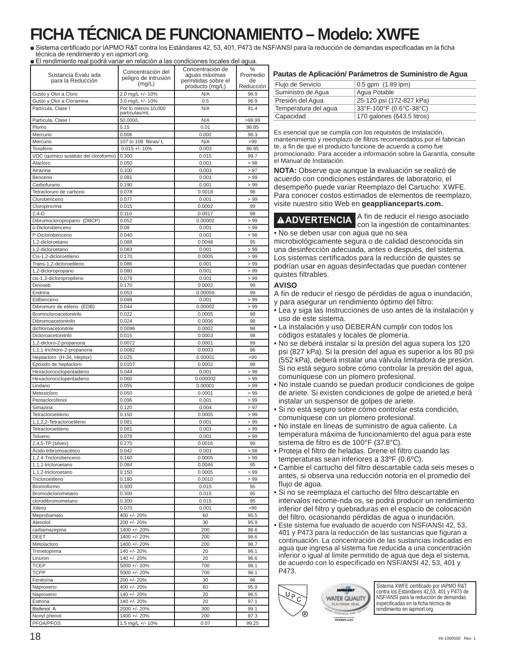# **FICHA TÉCNICA DE FUNCIONAMIENTO – Modelo: XWFE**

Sistema certificado por IAPMO R&T contra los Estándares 42, 53, 401, P473 de NSF/ANSI para la reducción de demandas especificadas en la ficha técnica de rendimiento y en iapmort.org.

El rendimiento real podrá variar en relación a las condiciones locales del agua.

| Sustancia Evalu ada<br>para la Reducción | Concentración del<br>peligro de intrusión<br>(mg/L) | Concentración de<br>aguas máximas<br>permitidas sobre el<br>producto (mg/L) | %<br>Promedio<br>de<br>Reducción |
|------------------------------------------|-----------------------------------------------------|-----------------------------------------------------------------------------|----------------------------------|
| Gusto y Olor a Cloro                     | 2.0 mg/L +/- 10%                                    | N/A                                                                         | 96.9                             |
| Gusto y Olor a Cloramina                 | 3.0 mg/L +/- 10%                                    | 0.5                                                                         | 96.9                             |
| Partícula, Clase I                       | Por lo menos 10,000<br>partículas/mL                | N/A                                                                         | 91.4                             |
| Partícula, Clase I                       | 50,000/L                                            | N/A                                                                         | >99.99                           |
| Plomo                                    | 0.15                                                | 0.01                                                                        | 98.85                            |
| Mercurio                                 | 0.006                                               | 0.002                                                                       | 96.3                             |
| Mercurio                                 | 107 to 108 fibras/ L                                | N/A                                                                         | >99                              |
| Toxafeno                                 | $0.015 +/- 10%$                                     | 0.003                                                                       | 86.95                            |
| VOC (químico sustituto del cloroformo)   | 0.300                                               | 0.015                                                                       | 99.7                             |
| Alacloro                                 | 0.050                                               | 0.001                                                                       | >98                              |
|                                          |                                                     |                                                                             |                                  |
| Atrazina                                 | 0.100                                               | 0.003                                                                       | > 97                             |
| Benceno                                  | 0.081                                               | 0.001                                                                       | > 99                             |
| Carbofurano                              | 0.190                                               | 0.001                                                                       | >99                              |
| Tetracloruro de carbono                  | 0.078                                               | 0.0018                                                                      | 98                               |
| Clorobenceno                             | 0.077                                               | 0.001                                                                       | >99                              |
| Cloropincrina                            | 0.015                                               | 0.0002                                                                      | 99                               |
| $2.4-D$                                  | 0.110                                               | 0.0017                                                                      | 98                               |
| Dibromocloropropano (DBCP)               | 0.052                                               | 0.00002                                                                     | >99                              |
|                                          |                                                     |                                                                             |                                  |
| o-Diclorobenceno                         | 0.08                                                | 0.001                                                                       | >99                              |
| P-Diclorobenceno                         | 0.040                                               | 0.001                                                                       | >98                              |
| 1,2-dicloroetano                         | 0.088                                               | 0.0048                                                                      | 95                               |
| 1,2-dicloroetano                         | 0.083                                               | 0.001                                                                       | >99                              |
| Cis-1,2-dicloroetileno                   | 0.170                                               | 0.0005                                                                      | >99                              |
| Trans-1,2-dicloroetileno                 | 0.086                                               | 0.001                                                                       | >99                              |
| 1,2-dicloropropano                       | 0.080                                               | 0.001                                                                       | >99                              |
| cis-1,3-dicloropropileno                 | 0.079                                               | 0.001                                                                       | >99                              |
|                                          |                                                     |                                                                             |                                  |
| Dinoseb                                  | 0.170                                               | 0.0002                                                                      | 99                               |
| Endrina                                  | 0.053                                               | 0.00059                                                                     | 99                               |
| Etilbenceno                              | 0.088                                               | 0.001                                                                       | >99                              |
| Dibromuro de etileno (EDB)               | 0.044                                               | 0.00002                                                                     | > 99                             |
| Bromocloroacetonitrilo                   | 0.022                                               | 0.0005                                                                      | 98                               |
| Dibromoacetonitrilo                      | 0.024                                               | 0.0006                                                                      | 98                               |
| dichloroacetonitrile                     | 0.0096                                              | 0.0002                                                                      | 98                               |
| Dicloroacetonitrilo                      | 0.015                                               | 0.0003                                                                      | 98                               |
|                                          |                                                     |                                                                             |                                  |
| 1,2-dicloro-2-propanona                  | 0.0072                                              | 0.0001                                                                      | 99                               |
| 1,1,1-trichloro-2-propanona              | 0.0082                                              | 0.0003                                                                      | 96                               |
| Heptacloro (H-34, Heptox)                | 0.025                                               | 0.00001                                                                     | >99                              |
| Epóxido de heptacloro                    | 0.0107                                              | 0.0002                                                                      | 98                               |
| Hexaclorociclopentadieno                 | 0.044                                               | 0.001                                                                       | >98                              |
| Hexaclorociclopentadieno                 | 0.060                                               | 0.000002                                                                    | >99                              |
| Lindano                                  | 0.055                                               | 0.00001                                                                     | >99                              |
| Metoxicloro                              | 0.050                                               | 0.0001                                                                      | >99                              |
| Pentaclorofenol                          |                                                     |                                                                             |                                  |
|                                          | 0.096                                               | 0.001                                                                       | >99                              |
| Simazina                                 | 0.120                                               | 0.004                                                                       | > 97                             |
| Tetracloroetileno                        | 0.150                                               | 0.0005                                                                      | >99                              |
| 1,1,2,2-Tetracloroetileno                | 0.081                                               | 0.001                                                                       | >99                              |
| Tetracloroetileno                        | 0.081                                               | 0.001                                                                       | >99                              |
| Tolueno                                  | 0.078                                               | 0.001                                                                       | >99                              |
| $2,4,5$ -TP (silvex)                     | 0.270                                               | 0.0016                                                                      | 99                               |
| Ácido tribromoacético                    | 0.042                                               | 0.001                                                                       | >98                              |
|                                          |                                                     |                                                                             |                                  |
| 1,2,4-Triclorobenceno                    | 0.160                                               | 0.0005                                                                      | >99                              |
| 1,1,1-tricloroetano                      | 0.084                                               | 0.0046                                                                      | 95                               |
| 1,1,2-tricloroetano                      | 0.150                                               | 0.0005                                                                      | >99                              |
| Tricloroetileno                          | 0.180                                               | 0.0010                                                                      | >99                              |
| Bromoformo                               | 0.300                                               | 0.015                                                                       | 95                               |
| Bromodiclorometano                       | 0.300                                               | 0.015                                                                       | 95                               |
| clorodibromometano                       | 0.300                                               | 0.015                                                                       | 95                               |
| Xileno                                   | 0.070                                               | 0.001                                                                       | >99                              |
|                                          |                                                     | 60                                                                          | 95.5                             |
| Meprobamato                              | 400 +/- 20%                                         |                                                                             |                                  |
| Atenolol                                 | 200 +/- 20%                                         | 30                                                                          | 95.9                             |
| carbamazepina                            | 1400 +/- 20%                                        | 200                                                                         | 98.6                             |
| DEET                                     | 1400 +/- 20%                                        | 200                                                                         | 98.6                             |
| Metolacloro                              | 1400 +/- 20%                                        | 200                                                                         | 98.7                             |
| Trimetoprima                             | 140 +/- 20%                                         | 20                                                                          | 96.1                             |
| Linuron                                  | 140 +/- 20%                                         | 20                                                                          | 96.6                             |
|                                          |                                                     |                                                                             |                                  |
| <b>TCEP</b>                              | $5000 +/- 20%$                                      | 700                                                                         | 98.1                             |
| <b>TCPP</b>                              | 5000 +/- 20%                                        | 700                                                                         | 98.1                             |
| Fenitoína                                | 200 +/- 20%                                         | 30                                                                          | 96                               |
| Naproxeno                                | 400 +/- 20%                                         | 60                                                                          | 95.9                             |
| Naproxeno                                | 140 +/- 20%                                         | 20                                                                          | 96.5                             |
| Estrona                                  | 140 +/- 20%                                         | 20                                                                          | 97.1                             |
| Bisfenol A                               |                                                     |                                                                             |                                  |
|                                          | 2000 +/- 20%                                        | 300                                                                         | 99.1                             |
| Nonyl phenol                             | 1400 +/- 20%                                        | 200                                                                         | 97.3                             |
| PFOA/PFOS                                | 1.5 mg/L +/- 10%                                    | 0.07                                                                        | 99.25                            |

| Pautas de Aplicación/ Parámetros de Suministro de Agua |  |
|--------------------------------------------------------|--|
|--------------------------------------------------------|--|

| $0.5$ gpm $(1.89$ lpm)     |
|----------------------------|
| Agua Potable               |
| 25-120 psi (172-827 kPa)   |
| 33°F-100°F (0.6°C-38°C)    |
| 170 galones (643.5 litros) |
|                            |

Es esencial que se cumpla con los requisitos de instalación, mantenimiento y reemplazo de filtros recomendados por el fabrican e, a fin de que el producto funcione de acuerdo a como fue promocionado. Para acceder a información sobre la Garantía, consulte el Manual de Instalación.

**NOTA:** Observe que aunque la evaluación se realizó de acuerdo con condiciones estándares de laboratorio, el lesempeño puede variar Reemplazo del Cartucho: XWFE. Para conocer costos estimados de elementos de reemplazo, visite nuestro sitio Web en **geapplianceparts.com.**

**ADVERTENCIA** A fin de reducir el riesgo asociado<br>con la ingestión de contaminantes:

• No se deben usar con agua que no sea microbiológicamente segura o de calidad desconocida sin na desinfección adecuada, antes o después, del sistema. Los sistemas certificados para la reducción de quistes se podrían usar en aguas desinfectadas que puedan contener quistes filtrables.

#### **AVISO**

A fin de reducir el riesgo de pérdidas de agua o inundación, para asegurar un rendimiento óptimo del filtro:

- Lea y siga las Instrucciones de uso antes de la instalación y uso de este sistema.
- La instalación y uso DEBERÁN cumplir con todos los códigos estatales y locales de plomería.
- No se deberá instalar si la presión del agua supera los 120 psi (827 kPa). Si la presión del agua es superior a los 80 psi (552 kPa), deberá instalar una válvula limitadora de presión. Si no está seguro sobre cómo controlar la presión del agua, comuníquese con un plomero profesional.
- No instale cuando se puedan producir condiciones de golpe de ariete. Si existen condiciones de golpe de arieted,e berá instalar un suspensor de golpes de ariete.
- Si no está seguro sobre cómo controlar esta condición, comuníquese con un plomero profesional.
- No instale en líneas de suministro de agua caliente. La temperatura máxima de funcionamiento del agua para este sistema de filtro es de 100°F (37.8°C).
- Proteja el filtro de heladas. Drene el filtro cuando las temperaturas sean inferiores a 33ºF (0.6ºC).
- Cambie el cartucho del filtro descartable cada seis meses o antes, si observa una reducción notoria en el promedio del flujo de agua.
- Si no se reemplaza el cartucho del filtro descartable en intervalos recome-nda os, se podrá producir un rendimiento inferior del filtro y quebraduras en el espacio de colocación del filtro, ocasionando pérdidas de agua o inundación.
- Este sistema fue evaluado de acuerdo con NSF/ANSI 42, 53, 401 y P473 para la reducción de las sustancias que figuran a continuación. La concentración de las sustancias indicadas en agua que ingresa al sistema fue reducida a una concentración inferior o igual al límite permitido de agua que deja el sistema, de acuerdo con lo especificado en NSF/ANSI 42, 53, 401 y P473.

![](_page_57_Picture_23.jpeg)

Sistema XWFE certificado por IAPMO R&T contra los Estándares 42,53, 401 y P473 de NSF/ANSI para la reducción de demandas especificadas en la ficha técnica de rendimiento en iapmort.org.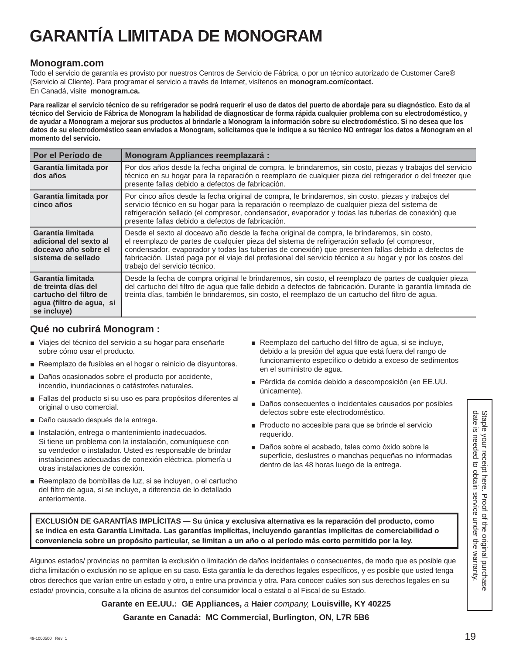# **GARANTÍA LIMITADA DE MONOGRAM**

### **Monogram.com**

Todo el servicio de garantía es provisto por nuestros Centros de Servicio de Fábrica, o por un técnico autorizado de Customer Care® (Servicio al Cliente). Para programar el servicio a través de Internet, visítenos en **monogram.com/contact.**  En Canadá, visite **monogram.ca.**

**Para realizar el servicio técnico de su refrigerador se podrá requerir el uso de datos del puerto de abordaje para su diagnóstico. Esto da al técnico del Servicio de Fábrica de Monogram la habilidad de diagnosticar de forma rápida cualquier problema con su electrodoméstico, y de ayudar a Monogram a mejorar sus productos al brindarle a Monogram la información sobre su electrodoméstico. Si no desea que los datos de su electrodoméstico sean enviados a Monogram, solicitamos que le indique a su técnico NO entregar los datos a Monogram en el momento del servicio.**

| Por el Período de                                                                                             | <b>Monogram Appliances reemplazará:</b>                                                                                                                                                                                                                                                                                                                                                                                                           |
|---------------------------------------------------------------------------------------------------------------|---------------------------------------------------------------------------------------------------------------------------------------------------------------------------------------------------------------------------------------------------------------------------------------------------------------------------------------------------------------------------------------------------------------------------------------------------|
| Garantía limitada por<br>dos años                                                                             | Por dos años desde la fecha original de compra, le brindaremos, sin costo, piezas y trabajos del servicio<br>técnico en su hogar para la reparación o reemplazo de cualquier pieza del refrigerador o del freezer que<br>presente fallas debido a defectos de fabricación.                                                                                                                                                                        |
| Garantía limitada por<br>cinco años                                                                           | Por cinco años desde la fecha original de compra, le brindaremos, sin costo, piezas y trabajos del<br>servicio técnico en su hogar para la reparación o reemplazo de cualquier pieza del sistema de<br>refrigeración sellado (el compresor, condensador, evaporador y todas las tuberías de conexión) que<br>presente fallas debido a defectos de fabricación.                                                                                    |
| Garantía limitada<br>adicional del sexto al<br>doceavo año sobre el<br>sistema de sellado                     | Desde el sexto al doceavo año desde la fecha original de compra, le brindaremos, sin costo,<br>el reemplazo de partes de cualquier pieza del sistema de refrigeración sellado (el compresor,<br>condensador, evaporador y todas las tuberías de conexión) que presenten fallas debido a defectos de<br>fabricación. Usted paga por el viaje del profesional del servicio técnico a su hogar y por los costos del<br>trabajo del servicio técnico. |
| Garantía limitada<br>de treinta días del<br>cartucho del filtro de<br>agua (filtro de agua, si<br>se incluye) | Desde la fecha de compra original le brindaremos, sin costo, el reemplazo de partes de cualquier pieza<br>del cartucho del filtro de agua que falle debido a defectos de fabricación. Durante la garantía limitada de<br>treinta días, también le brindaremos, sin costo, el reemplazo de un cartucho del filtro de agua.                                                                                                                         |

### **Qué no cubrirá Monogram :**

- Viajes del técnico del servicio a su hogar para enseñarle sobre cómo usar el producto.
- Reemplazo de fusibles en el hogar o reinicio de disyuntores.
- Daños ocasionados sobre el producto por accidente, incendio, inundaciones o catástrofes naturales.
- Fallas del producto si su uso es para propósitos diferentes al original o uso comercial.
- Daño causado después de la entrega.
- **Instalación, entrega o mantenimiento inadecuados.** Si tiene un problema con la instalación, comuníquese con su vendedor o instalador. Usted es responsable de brindar instalaciones adecuadas de conexión eléctrica, plomería u otras instalaciones de conexión.
- Reemplazo de bombillas de luz, si se incluyen, o el cartucho del filtro de agua, si se incluye, a diferencia de lo detallado anteriormente.
- Reemplazo del cartucho del filtro de aqua, si se incluye, debido a la presión del agua que está fuera del rango de funcionamiento específico o debido a exceso de sedimentos en el suministro de agua.
- Pérdida de comida debido a descomposición (en EE.UU. únicamente).
- Daños consecuentes o incidentales causados por posibles defectos sobre este electrodoméstico.
- Producto no accesible para que se brinde el servicio requerido.
- Daños sobre el acabado, tales como óxido sobre la superficie, deslustres o manchas pequeñas no informadas dentro de las 48 horas luego de la entrega.

**EXCLUSIÓN DE GARANTÍAS IMPLÍCITAS — Su única y exclusiva alternativa es la reparación del producto, como se indica en esta Garantía Limitada. Las garantías implícitas, incluyendo garantías implícitas de comerciabilidad o conveniencia sobre un propósito particular, se limitan a un año o al período más corto permitido por la ley.**

Algunos estados/ provincias no permiten la exclusión o limitación de daños incidentales o consecuentes, de modo que es posible que dicha limitación o exclusión no se aplique en su caso. Esta garantía le da derechos legales específicos, y es posible que usted tenga otros derechos que varían entre un estado y otro, o entre una provincia y otra. Para conocer cuáles son sus derechos legales en su estado/ provincia, consulte a la oficina de asuntos del consumidor local o estatal o al Fiscal de su Estado.

**Garante en EE.UU.: GE Appliances,** *a* **Haier** *company,* **Louisville, KY 40225**

### **Garante en Canadá: MC Commercial, Burlington, ON, L7R 5B6**